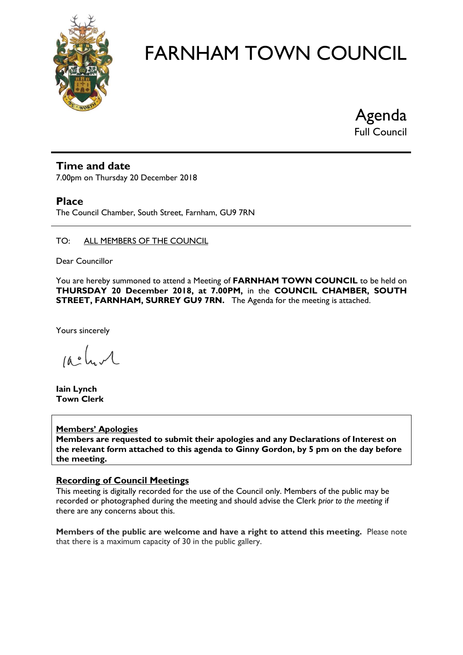

Agenda

Full Council

#### **Time and date**

7.00pm on Thursday 20 December 2018

#### **Place**

The Council Chamber, South Street, Farnham, GU9 7RN

#### TO: ALL MEMBERS OF THE COUNCIL

Dear Councillor

You are hereby summoned to attend a Meeting of **FARNHAM TOWN COUNCIL** to be held on **THURSDAY 20 December 2018, at 7.00PM,** in the **COUNCIL CHAMBER, SOUTH STREET, FARNHAM, SURREY GU9 7RN.** The Agenda for the meeting is attached.

Yours sincerely

 $10.0$ 

**Iain Lynch Town Clerk**

#### **Members' Apologies**

**Members are requested to submit their apologies and any Declarations of Interest on the relevant form attached to this agenda to Ginny Gordon, by 5 pm on the day before the meeting.**

#### **Recording of Council Meetings**

This meeting is digitally recorded for the use of the Council only. Members of the public may be recorded or photographed during the meeting and should advise the Clerk *prior to the meeting* if there are any concerns about this.

**Members of the public are welcome and have a right to attend this meeting.** Please note that there is a maximum capacity of 30 in the public gallery.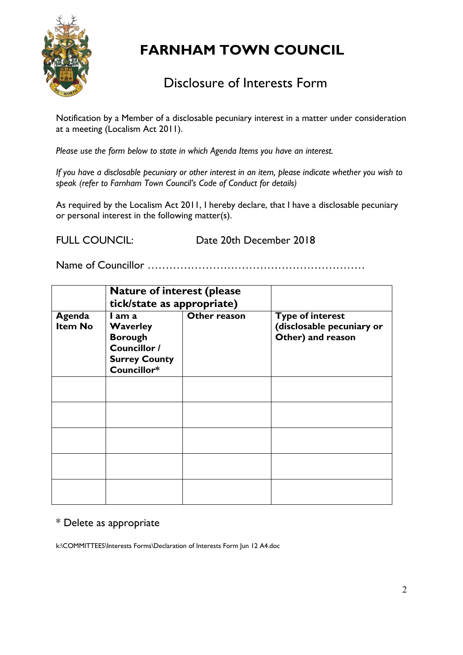

# Disclosure of Interests Form

Notification by a Member of a disclosable pecuniary interest in a matter under consideration at a meeting (Localism Act 2011).

*Please use the form below to state in which Agenda Items you have an interest.* 

*If you have a disclosable pecuniary or other interest in an item, please indicate whether you wish to speak (refer to Farnham Town Council's Code of Conduct for details)*

As required by the Localism Act 2011, I hereby declare, that I have a disclosable pecuniary or personal interest in the following matter(s).

FULL COUNCIL: Date 20th December 2018

Name of Councillor ……………………………………………………

|                          | <b>Nature of interest (please</b><br>tick/state as appropriate)                                    |              |                                                                           |
|--------------------------|----------------------------------------------------------------------------------------------------|--------------|---------------------------------------------------------------------------|
| Agenda<br><b>Item No</b> | I am a<br><b>Waverley</b><br><b>Borough</b><br>Councillor /<br><b>Surrey County</b><br>Councillor* | Other reason | <b>Type of interest</b><br>(disclosable pecuniary or<br>Other) and reason |
|                          |                                                                                                    |              |                                                                           |
|                          |                                                                                                    |              |                                                                           |
|                          |                                                                                                    |              |                                                                           |
|                          |                                                                                                    |              |                                                                           |
|                          |                                                                                                    |              |                                                                           |

#### \* Delete as appropriate

k:\COMMITTEES\Interests Forms\Declaration of Interests Form Jun 12 A4.doc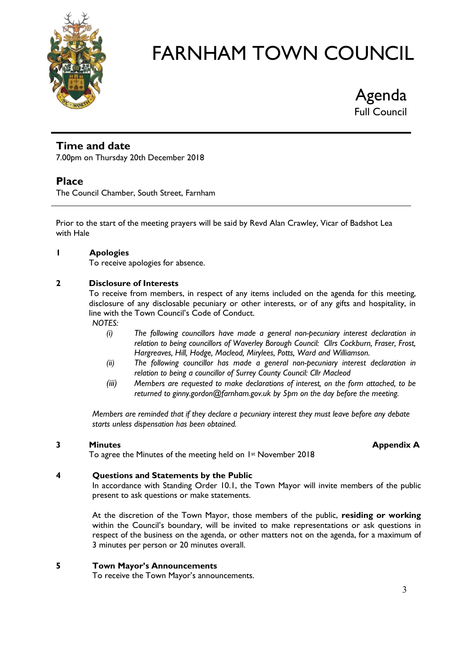

Agenda Full Council

### **Time and date**

7.00pm on Thursday 20th December 2018

#### **Place**

The Council Chamber, South Street, Farnham

Prior to the start of the meeting prayers will be said by Revd Alan Crawley, Vicar of Badshot Lea with Hale

#### **1 Apologies**

To receive apologies for absence.

#### **2 Disclosure of Interests**

To receive from members, in respect of any items included on the agenda for this meeting, disclosure of any disclosable pecuniary or other interests, or of any gifts and hospitality, in line with the Town Council's Code of Conduct.

*NOTES:*

- *(i) The following councillors have made a general non-pecuniary interest declaration in relation to being councillors of Waverley Borough Council: Cllrs Cockburn, Fraser, Frost, Hargreaves, Hill, Hodge, Macleod, Mirylees, Potts, Ward and Williamson.*
- *(ii) The following councillor has made a general non-pecuniary interest declaration in relation to being a councillor of Surrey County Council: Cllr Macleod*
- *(iii) Members are requested to make declarations of interest, on the form attached, to be returned to ginny.gordon@farnham.gov.uk by 5pm on the day before the meeting.*

*Members are reminded that if they declare a pecuniary interest they must leave before any debate starts unless dispensation has been obtained.*

#### **3 Minutes Appendix A**

To agree the Minutes of the meeting held on 1<sup>st</sup> November 2018

#### **4 Questions and Statements by the Public**

In accordance with Standing Order 10.1, the Town Mayor will invite members of the public present to ask questions or make statements.

At the discretion of the Town Mayor, those members of the public, **residing or working** within the Council's boundary, will be invited to make representations or ask questions in respect of the business on the agenda, or other matters not on the agenda, for a maximum of 3 minutes per person or 20 minutes overall.

#### **5 Town Mayor's Announcements**

To receive the Town Mayor's announcements.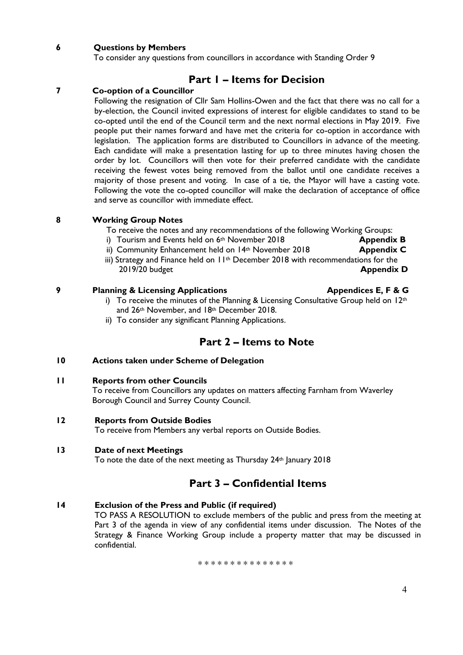#### **6 Questions by Members**

To consider any questions from councillors in accordance with Standing Order 9

#### **Part 1 – Items for Decision**

#### **7 Co-option of a Councillor**

Following the resignation of Cllr Sam Hollins-Owen and the fact that there was no call for a by-election, the Council invited expressions of interest for eligible candidates to stand to be co-opted until the end of the Council term and the next normal elections in May 2019. Five people put their names forward and have met the criteria for co-option in accordance with legislation. The application forms are distributed to Councillors in advance of the meeting. Each candidate will make a presentation lasting for up to three minutes having chosen the order by lot. Councillors will then vote for their preferred candidate with the candidate receiving the fewest votes being removed from the ballot until one candidate receives a majority of those present and voting. In case of a tie, the Mayor will have a casting vote. Following the vote the co-opted councillor will make the declaration of acceptance of office and serve as councillor with immediate effect.

|  | <b>Working Group Notes</b> |
|--|----------------------------|

To receive the notes and any recommendations of the following Working Groups:

- i) Tourism and Events held on 6<sup>th</sup> November 2018 **Appendix B**
- ii) Community Enhancement held on 14<sup>th</sup> November 2018 **Appendix C**
- iii) Strategy and Finance held on 11th December 2018 with recommendations for the 2019/20 budget **Appendix D**

#### **9 Planning & Licensing Applications Appendices E, F & G**

i) To receive the minutes of the Planning & Licensing Consultative Group held on  $12<sup>th</sup>$ and 26th November, and 18th December 2018.

ii) To consider any significant Planning Applications.

#### **Part 2 – Items to Note**

#### **10 Actions taken under Scheme of Delegation**

#### **11 Reports from other Councils**

To receive from Councillors any updates on matters affecting Farnham from Waverley Borough Council and Surrey County Council.

#### **12 Reports from Outside Bodies**

To receive from Members any verbal reports on Outside Bodies.

#### **13 Date of next Meetings**

To note the date of the next meeting as Thursday 24<sup>th</sup> January 2018

#### **Part 3 – Confidential Items**

#### **14 Exclusion of the Press and Public (if required)**

TO PASS A RESOLUTION to exclude members of the public and press from the meeting at Part 3 of the agenda in view of any confidential items under discussion. The Notes of the Strategy & Finance Working Group include a property matter that may be discussed in confidential.

\* \* \* \* \* \* \* \* \* \* \* \* \* \* \*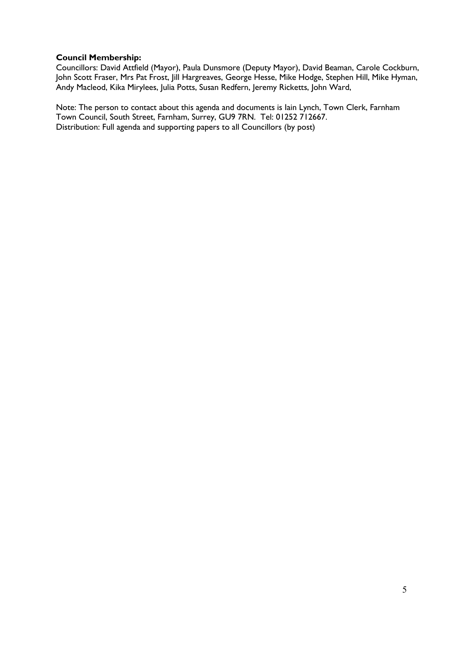#### **Council Membership:**

Councillors: David Attfield (Mayor), Paula Dunsmore (Deputy Mayor), David Beaman, Carole Cockburn, John Scott Fraser, Mrs Pat Frost, Jill Hargreaves, George Hesse, Mike Hodge, Stephen Hill, Mike Hyman, Andy Macleod, Kika Mirylees, Julia Potts, Susan Redfern, Jeremy Ricketts, John Ward,

Note: The person to contact about this agenda and documents is Iain Lynch, Town Clerk, Farnham Town Council, South Street, Farnham, Surrey, GU9 7RN. Tel: 01252 712667. Distribution: Full agenda and supporting papers to all Councillors (by post)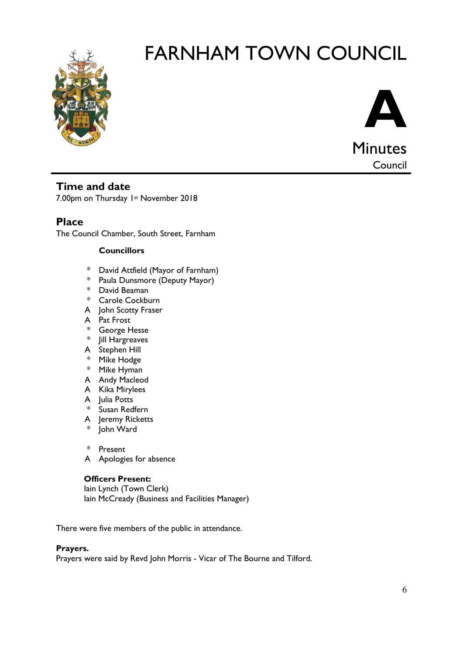



Council

#### **Time and date**

7.00pm on Thursday 1st November 2018

**Place**

The Council Chamber, South Street, Farnham

#### **Councillors**

- \* David Attfield (Mayor of Farnham)
- \* Paula Dunsmore (Deputy Mayor)
- \* David Beaman
- \* Carole Cockburn
- A John Scotty Fraser
- A Pat Frost
- \* George Hesse
- \* Jill Hargreaves
- A Stephen Hill
- \* Mike Hodge
- \* Mike Hyman
- A Andy Macleod
- A Kika Mirylees
- A Julia Potts
- \* Susan Redfern
- A Jeremy Ricketts
- John Ward
- \* Present
- A Apologies for absence

#### **Officers Present:**

Iain Lynch (Town Clerk) Iain McCready (Business and Facilities Manager)

There were five members of the public in attendance.

#### **Prayers.**

Prayers were said by Revd John Morris - Vicar of The Bourne and Tilford.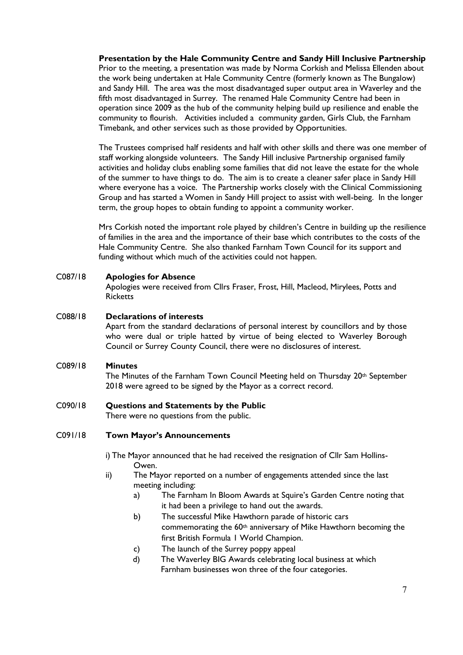**Presentation by the Hale Community Centre and Sandy Hill Inclusive Partnership** Prior to the meeting, a presentation was made by Norma Corkish and Melissa Ellenden about the work being undertaken at Hale Community Centre (formerly known as The Bungalow) and Sandy Hill. The area was the most disadvantaged super output area in Waverley and the fifth most disadvantaged in Surrey. The renamed Hale Community Centre had been in operation since 2009 as the hub of the community helping build up resilience and enable the community to flourish. Activities included a community garden, Girls Club, the Farnham Timebank, and other services such as those provided by Opportunities.

The Trustees comprised half residents and half with other skills and there was one member of staff working alongside volunteers. The Sandy Hill inclusive Partnership organised family activities and holiday clubs enabling some families that did not leave the estate for the whole of the summer to have things to do. The aim is to create a cleaner safer place in Sandy Hill where everyone has a voice. The Partnership works closely with the Clinical Commissioning Group and has started a Women in Sandy Hill project to assist with well-being. In the longer term, the group hopes to obtain funding to appoint a community worker.

Mrs Corkish noted the important role played by children's Centre in building up the resilience of families in the area and the importance of their base which contributes to the costs of the Hale Community Centre. She also thanked Farnham Town Council for its support and funding without which much of the activities could not happen.

#### C087/18 **Apologies for Absence**

Apologies were received from Cllrs Fraser, Frost, Hill, Macleod, Mirylees, Potts and **Ricketts** 

#### C088/18 **Declarations of interests**

Apart from the standard declarations of personal interest by councillors and by those who were dual or triple hatted by virtue of being elected to Waverley Borough Council or Surrey County Council, there were no disclosures of interest.

#### C089/18 **Minutes**

The Minutes of the Farnham Town Council Meeting held on Thursday 20<sup>th</sup> September 2018 were agreed to be signed by the Mayor as a correct record.

#### C090/18 **Questions and Statements by the Public**

There were no questions from the public.

#### C091/18 **Town Mayor's Announcements**

i) The Mayor announced that he had received the resignation of Cllr Sam Hollins-Owen.

- ii) The Mayor reported on a number of engagements attended since the last meeting including:
	- a) The Farnham In Bloom Awards at Squire's Garden Centre noting that it had been a privilege to hand out the awards.
	- b) The successful Mike Hawthorn parade of historic cars commemorating the 60<sup>th</sup> anniversary of Mike Hawthorn becoming the first British Formula 1 World Champion.
	- c) The launch of the Surrey poppy appeal
	- d) The Waverley BIG Awards celebrating local business at which Farnham businesses won three of the four categories.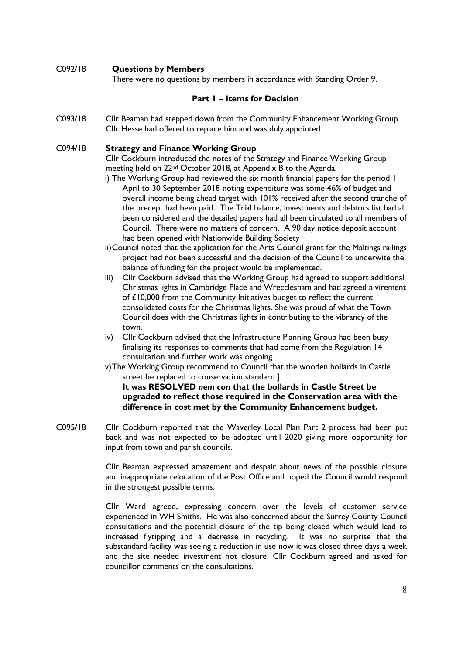#### C092/18 **Questions by Members**

There were no questions by members in accordance with Standing Order 9.

#### **Part 1 – Items for Decision**

C093/18 Cllr Beaman had stepped down from the Community Enhancement Working Group. Cllr Hesse had offered to replace him and was duly appointed.

#### C094/18 **Strategy and Finance Working Group**

Cllr Cockburn introduced the notes of the Strategy and Finance Working Group meeting held on 22nd October 2018, at Appendix B to the Agenda.

- i) The Working Group had reviewed the six month financial papers for the period 1 April to 30 September 2018 noting expenditure was some 46% of budget and overall income being ahead target with 101% received after the second tranche of the precept had been paid. The Trial balance, investments and debtors list had all been considered and the detailed papers had all been circulated to all members of Council. There were no matters of concern. A 90 day notice deposit account had been opened with Nationwide Building Society
- ii)Council noted that the application for the Arts Council grant for the Maltings railings project had not been successful and the decision of the Council to underwite the balance of funding for the project would be implemented.
- iii) Cllr Cockburn advised that the Working Group had agreed to support additional Christmas lights in Cambridge Place and Wrecclesham and had agreed a virement of £10,000 from the Community Initiatives budget to reflect the current consolidated costs for the Christmas lights. She was proud of what the Town Council does with the Christmas lights in contributing to the vibrancy of the town.
- iv) Cllr Cockburn advised that the Infrastructure Planning Group had been busy finalising its responses to comments that had come from the Regulation 14 consultation and further work was ongoing.
- v)The Working Group recommend to Council that the wooden bollards in Castle street be replaced to conservation standard.]

**It was RESOLVED** *nem con* **that the bollards in Castle Street be upgraded to reflect those required in the Conservation area with the difference in cost met by the Community Enhancement budget.**

C095/18 Cllr Cockburn reported that the Waverley Local Plan Part 2 process had been put back and was not expected to be adopted until 2020 giving more opportunity for input from town and parish councils.

> Cllr Beaman expressed amazement and despair about news of the possible closure and inappropriate relocation of the Post Office and hoped the Council would respond in the strongest possible terms.

> Cllr Ward agreed, expressing concern over the levels of customer service experienced in WH Smiths. He was also concerned about the Surrey County Council consultations and the potential closure of the tip being closed which would lead to increased flytipping and a decrease in recycling. It was no surprise that the substandard facility was seeing a reduction in use now it was closed three days a week and the site needed investment not closure. Cllr Cockburn agreed and asked for councillor comments on the consultations.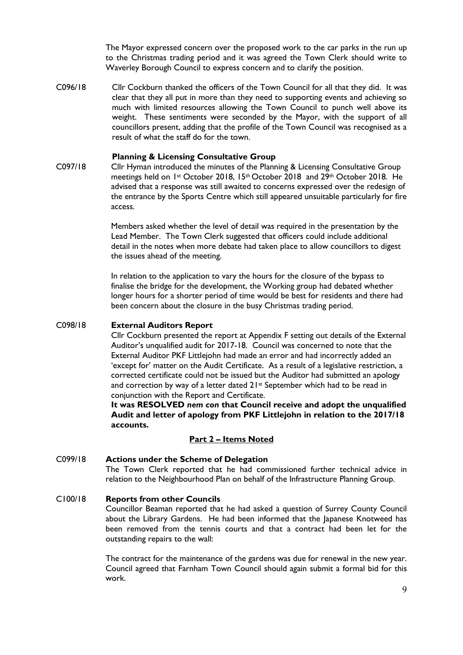The Mayor expressed concern over the proposed work to the car parks in the run up to the Christmas trading period and it was agreed the Town Clerk should write to Waverley Borough Council to express concern and to clarify the position.

C096/18 Cllr Cockburn thanked the officers of the Town Council for all that they did. It was clear that they all put in more than they need to supporting events and achieving so much with limited resources allowing the Town Council to punch well above its weight. These sentiments were seconded by the Mayor, with the support of all councillors present, adding that the profile of the Town Council was recognised as a result of what the staff do for the town.

#### **Planning & Licensing Consultative Group**

C097/18 Cllr Hyman introduced the minutes of the Planning & Licensing Consultative Group meetings held on 1st October 2018, 15th October 2018 and 29th October 2018. He advised that a response was still awaited to concerns expressed over the redesign of the entrance by the Sports Centre which still appeared unsuitable particularly for fire access.

> Members asked whether the level of detail was required in the presentation by the Lead Member. The Town Clerk suggested that officers could include additional detail in the notes when more debate had taken place to allow councillors to digest the issues ahead of the meeting.

> In relation to the application to vary the hours for the closure of the bypass to finalise the bridge for the development, the Working group had debated whether longer hours for a shorter period of time would be best for residents and there had been concern about the closure in the busy Christmas trading period.

#### C098/18 **External Auditors Report**

Cllr Cockburn presented the report at Appendix F setting out details of the External Auditor's unqualified audit for 2017-18. Council was concerned to note that the External Auditor PKF Littlejohn had made an error and had incorrectly added an 'except for' matter on the Audit Certificate. As a result of a legislative restriction, a corrected certificate could not be issued but the Auditor had submitted an apology and correction by way of a letter dated 21st September which had to be read in conjunction with the Report and Certificate.

**It was RESOLVED** *nem con* **that Council receive and adopt the unqualified Audit and letter of apology from PKF Littlejohn in relation to the 2017/18 accounts.**

#### **Part 2 – Items Noted**

#### C099/18 **Actions under the Scheme of Delegation** The Town Clerk reported that he had commissioned further technical advice in relation to the Neighbourhood Plan on behalf of the Infrastructure Planning Group.

#### C100/18 **Reports from other Councils**

Councillor Beaman reported that he had asked a question of Surrey County Council about the Library Gardens. He had been informed that the Japanese Knotweed has been removed from the tennis courts and that a contract had been let for the outstanding repairs to the wall:

The contract for the maintenance of the gardens was due for renewal in the new year. Council agreed that Farnham Town Council should again submit a formal bid for this work.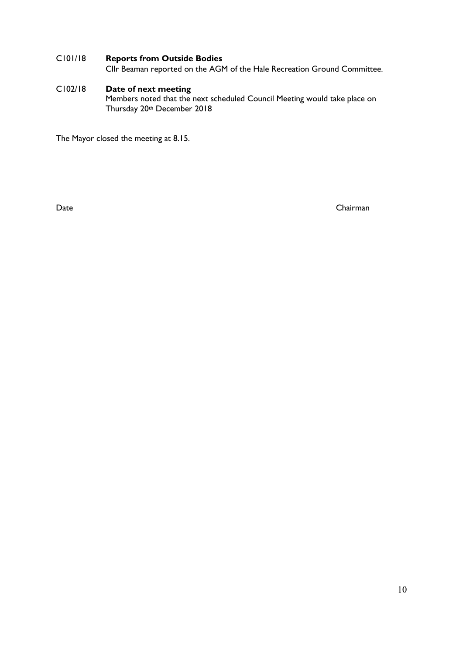#### C101/18 **Reports from Outside Bodies**

Cllr Beaman reported on the AGM of the Hale Recreation Ground Committee.

#### C102/18 **Date of next meeting** Members noted that the next scheduled Council Meeting would take place on Thursday 20th December 2018

The Mayor closed the meeting at 8.15.

Date Chairman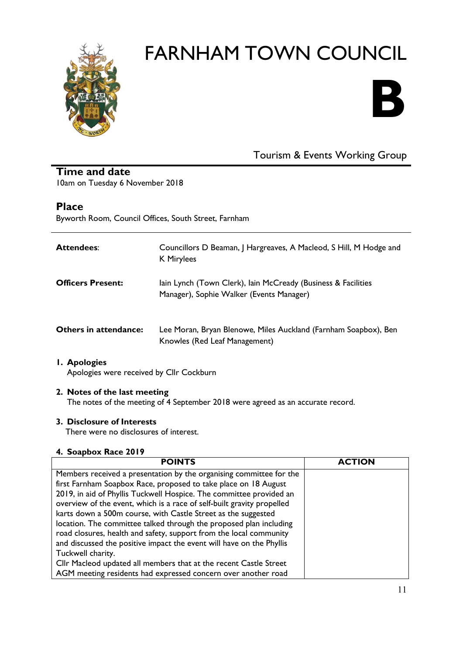



## Tourism & Events Working Group

#### **Time and date**

10am on Tuesday 6 November 2018

#### **Place**

Byworth Room, Council Offices, South Street, Farnham

| <b>Attendees:</b>        | Councillors D Beaman, J Hargreaves, A Macleod, S Hill, M Hodge and<br><b>K</b> Mirylees                   |
|--------------------------|-----------------------------------------------------------------------------------------------------------|
| <b>Officers Present:</b> | lain Lynch (Town Clerk), lain McCready (Business & Facilities<br>Manager), Sophie Walker (Events Manager) |
| Others in attendance:    | Lee Moran, Bryan Blenowe, Miles Auckland (Farnham Soapbox), Ben<br>Knowles (Red Leaf Management)          |

#### **1. Apologies**

Apologies were received by Cllr Cockburn

#### **2. Notes of the last meeting**

The notes of the meeting of 4 September 2018 were agreed as an accurate record.

#### **3. Disclosure of Interests**

There were no disclosures of interest.

#### **4. Soapbox Race 2019**

| <b>POINTS</b>                                                          | <b>ACTION</b> |
|------------------------------------------------------------------------|---------------|
| Members received a presentation by the organising committee for the    |               |
| first Farnham Soapbox Race, proposed to take place on 18 August        |               |
| 2019, in aid of Phyllis Tuckwell Hospice. The committee provided an    |               |
| overview of the event, which is a race of self-built gravity propelled |               |
| karts down a 500m course, with Castle Street as the suggested          |               |
| location. The committee talked through the proposed plan including     |               |
| road closures, health and safety, support from the local community     |               |
| and discussed the positive impact the event will have on the Phyllis   |               |
| Tuckwell charity.                                                      |               |
| Cllr Macleod updated all members that at the recent Castle Street      |               |
| AGM meeting residents had expressed concern over another road          |               |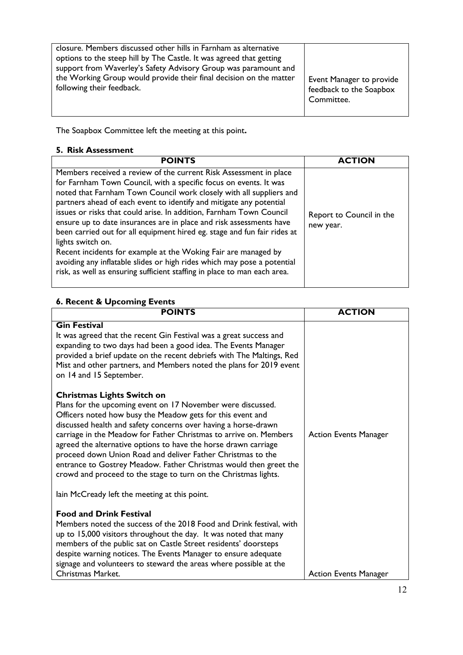| closure. Members discussed other hills in Farnham as alternative<br>options to the steep hill by The Castle. It was agreed that getting<br>support from Waverley's Safety Advisory Group was paramount and<br>the Working Group would provide their final decision on the matter<br>following their feedback. | Event Manager to provide<br>feedback to the Soapbox<br>Committee. |
|---------------------------------------------------------------------------------------------------------------------------------------------------------------------------------------------------------------------------------------------------------------------------------------------------------------|-------------------------------------------------------------------|
|---------------------------------------------------------------------------------------------------------------------------------------------------------------------------------------------------------------------------------------------------------------------------------------------------------------|-------------------------------------------------------------------|

The Soapbox Committee left the meeting at this point**.** 

#### **5. Risk Assessment**

| <b>POINTS</b>                                                                                                                                                                                                                                                                                                                                                                                                                                                                                                                                                                                                                                                                                                                                                | <b>ACTION</b>                         |
|--------------------------------------------------------------------------------------------------------------------------------------------------------------------------------------------------------------------------------------------------------------------------------------------------------------------------------------------------------------------------------------------------------------------------------------------------------------------------------------------------------------------------------------------------------------------------------------------------------------------------------------------------------------------------------------------------------------------------------------------------------------|---------------------------------------|
| Members received a review of the current Risk Assessment in place<br>for Farnham Town Council, with a specific focus on events. It was<br>noted that Farnham Town Council work closely with all suppliers and<br>partners ahead of each event to identify and mitigate any potential<br>issues or risks that could arise. In addition, Farnham Town Council<br>ensure up to date insurances are in place and risk assessments have<br>been carried out for all equipment hired eg. stage and fun fair rides at<br>lights switch on.<br>Recent incidents for example at the Woking Fair are managed by<br>avoiding any inflatable slides or high rides which may pose a potential<br>risk, as well as ensuring sufficient staffing in place to man each area. | Report to Council in the<br>new year. |

## **6. Recent & Upcoming Events**

| <b>POINTS</b>                                                                                                                                                                                                                                                                                                                                                                                                                                                                                                                                                                   | <b>ACTION</b>                |
|---------------------------------------------------------------------------------------------------------------------------------------------------------------------------------------------------------------------------------------------------------------------------------------------------------------------------------------------------------------------------------------------------------------------------------------------------------------------------------------------------------------------------------------------------------------------------------|------------------------------|
| <b>Gin Festival</b><br>It was agreed that the recent Gin Festival was a great success and<br>expanding to two days had been a good idea. The Events Manager<br>provided a brief update on the recent debriefs with The Maltings, Red<br>Mist and other partners, and Members noted the plans for 2019 event<br>on 14 and 15 September.                                                                                                                                                                                                                                          |                              |
| <b>Christmas Lights Switch on</b><br>Plans for the upcoming event on 17 November were discussed.<br>Officers noted how busy the Meadow gets for this event and<br>discussed health and safety concerns over having a horse-drawn<br>carriage in the Meadow for Father Christmas to arrive on. Members<br>agreed the alternative options to have the horse drawn carriage<br>proceed down Union Road and deliver Father Christmas to the<br>entrance to Gostrey Meadow. Father Christmas would then greet the<br>crowd and proceed to the stage to turn on the Christmas lights. | <b>Action Events Manager</b> |
| lain McCready left the meeting at this point.<br><b>Food and Drink Festival</b><br>Members noted the success of the 2018 Food and Drink festival, with<br>up to 15,000 visitors throughout the day. It was noted that many<br>members of the public sat on Castle Street residents' doorsteps<br>despite warning notices. The Events Manager to ensure adequate<br>signage and volunteers to steward the areas where possible at the<br>Christmas Market.                                                                                                                       | <b>Action Events Manager</b> |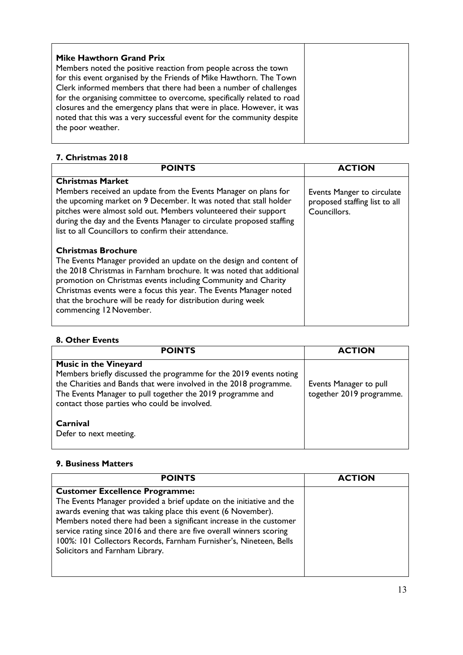| <b>Mike Hawthorn Grand Prix</b>                                                                                                                                                                                     |  |
|---------------------------------------------------------------------------------------------------------------------------------------------------------------------------------------------------------------------|--|
| Members noted the positive reaction from people across the town<br>for this event organised by the Friends of Mike Hawthorn. The Town                                                                               |  |
| Clerk informed members that there had been a number of challenges<br>for the organising committee to overcome, specifically related to road<br>closures and the emergency plans that were in place. However, it was |  |
| noted that this was a very successful event for the community despite<br>the poor weather.                                                                                                                          |  |
|                                                                                                                                                                                                                     |  |

#### **7. Christmas 2018**

| <b>POINTS</b>                                                                                                                                                                                                                                                                                                                           | <b>ACTION</b>                                                               |
|-----------------------------------------------------------------------------------------------------------------------------------------------------------------------------------------------------------------------------------------------------------------------------------------------------------------------------------------|-----------------------------------------------------------------------------|
| <b>Christmas Market</b>                                                                                                                                                                                                                                                                                                                 |                                                                             |
| Members received an update from the Events Manager on plans for<br>the upcoming market on 9 December. It was noted that stall holder<br>pitches were almost sold out. Members volunteered their support<br>during the day and the Events Manager to circulate proposed staffing<br>list to all Councillors to confirm their attendance. | Events Manger to circulate<br>proposed staffing list to all<br>Councillors. |
| <b>Christmas Brochure</b>                                                                                                                                                                                                                                                                                                               |                                                                             |
| The Events Manager provided an update on the design and content of                                                                                                                                                                                                                                                                      |                                                                             |
| the 2018 Christmas in Farnham brochure. It was noted that additional<br>promotion on Christmas events including Community and Charity                                                                                                                                                                                                   |                                                                             |
| Christmas events were a focus this year. The Events Manager noted                                                                                                                                                                                                                                                                       |                                                                             |
| that the brochure will be ready for distribution during week<br>commencing 12 November.                                                                                                                                                                                                                                                 |                                                                             |

#### **8. Other Events**

| <b>POINTS</b>                                                                                                                                                                                                                                                                         | <b>ACTION</b>                                      |
|---------------------------------------------------------------------------------------------------------------------------------------------------------------------------------------------------------------------------------------------------------------------------------------|----------------------------------------------------|
| <b>Music in the Vineyard</b><br>Members briefly discussed the programme for the 2019 events noting<br>the Charities and Bands that were involved in the 2018 programme.<br>The Events Manager to pull together the 2019 programme and<br>contact those parties who could be involved. | Events Manager to pull<br>together 2019 programme. |
| Carnival<br>Defer to next meeting.                                                                                                                                                                                                                                                    |                                                    |

#### **9. Business Matters**

| <b>POINTS</b>                                                                                                                                                                                                                                                                                                                                                                                                                          | <b>ACTION</b> |
|----------------------------------------------------------------------------------------------------------------------------------------------------------------------------------------------------------------------------------------------------------------------------------------------------------------------------------------------------------------------------------------------------------------------------------------|---------------|
| <b>Customer Excellence Programme:</b><br>The Events Manager provided a brief update on the initiative and the<br>awards evening that was taking place this event (6 November).<br>Members noted there had been a significant increase in the customer<br>service rating since 2016 and there are five overall winners scoring<br>100%: 101 Collectors Records, Farnham Furnisher's, Nineteen, Bells<br>Solicitors and Farnham Library. |               |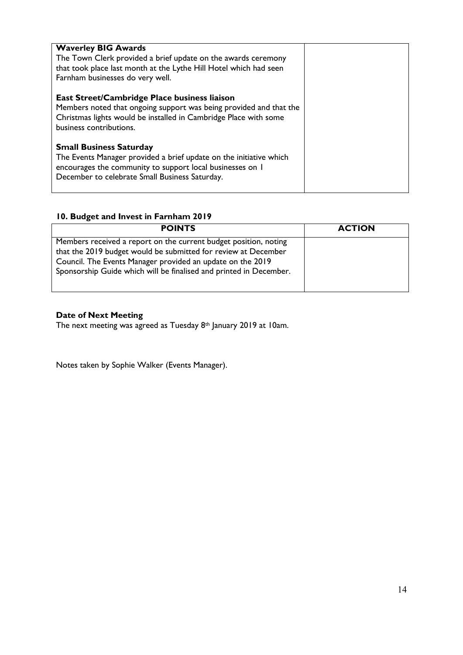| <b>Waverley BIG Awards</b><br>The Town Clerk provided a brief update on the awards ceremony<br>that took place last month at the Lythe Hill Hotel which had seen<br>Farnham businesses do very well.                |  |
|---------------------------------------------------------------------------------------------------------------------------------------------------------------------------------------------------------------------|--|
| East Street/Cambridge Place business liaison<br>Members noted that ongoing support was being provided and that the<br>Christmas lights would be installed in Cambridge Place with some<br>business contributions.   |  |
| <b>Small Business Saturday</b><br>The Events Manager provided a brief update on the initiative which<br>encourages the community to support local businesses on I<br>December to celebrate Small Business Saturday. |  |

## **10. Budget and Invest in Farnham 2019**

| <b>POINTS</b>                                                                                                                                                                                                                                                          | <b>ACTION</b> |
|------------------------------------------------------------------------------------------------------------------------------------------------------------------------------------------------------------------------------------------------------------------------|---------------|
| Members received a report on the current budget position, noting<br>that the 2019 budget would be submitted for review at December<br>Council. The Events Manager provided an update on the 2019<br>Sponsorship Guide which will be finalised and printed in December. |               |
|                                                                                                                                                                                                                                                                        |               |

#### **Date of Next Meeting**

The next meeting was agreed as Tuesday 8th January 2019 at 10am.

Notes taken by Sophie Walker (Events Manager).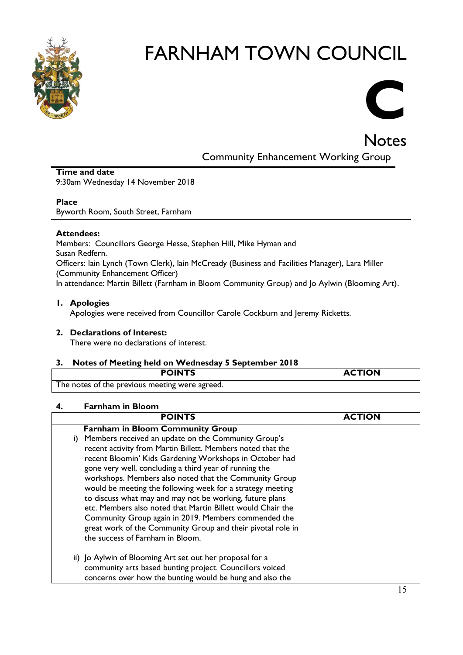

# **C**

**Notes** 

Community Enhancement Working Group

#### **Time and date** 9:30am Wednesday 14 November 2018

#### **Place**

Byworth Room, South Street, Farnham

#### **Attendees:**

Members: Councillors George Hesse, Stephen Hill, Mike Hyman and Susan Redfern. Officers: Iain Lynch (Town Clerk), Iain McCready (Business and Facilities Manager), Lara Miller (Community Enhancement Officer) In attendance: Martin Billett (Farnham in Bloom Community Group) and Jo Aylwin (Blooming Art).

#### **1. Apologies**

Apologies were received from Councillor Carole Cockburn and Jeremy Ricketts.

#### **2. Declarations of Interest:**

There were no declarations of interest.

#### **3. Notes of Meeting held on Wednesday 5 September 2018**

| <b>POINTS</b>                                  | <b>ACTION</b> |
|------------------------------------------------|---------------|
| The notes of the previous meeting were agreed. |               |

#### **4. Farnham in Bloom**

| <b>POINTS</b>                                                                                                                                                                                                                                                                                                                                                                                                                                                                                                                                                                                                                                            | <b>ACTION</b> |
|----------------------------------------------------------------------------------------------------------------------------------------------------------------------------------------------------------------------------------------------------------------------------------------------------------------------------------------------------------------------------------------------------------------------------------------------------------------------------------------------------------------------------------------------------------------------------------------------------------------------------------------------------------|---------------|
| <b>Farnham in Bloom Community Group</b>                                                                                                                                                                                                                                                                                                                                                                                                                                                                                                                                                                                                                  |               |
| i) Members received an update on the Community Group's<br>recent activity from Martin Billett. Members noted that the<br>recent Bloomin' Kids Gardening Workshops in October had<br>gone very well, concluding a third year of running the<br>workshops. Members also noted that the Community Group<br>would be meeting the following week for a strategy meeting<br>to discuss what may and may not be working, future plans<br>etc. Members also noted that Martin Billett would Chair the<br>Community Group again in 2019. Members commended the<br>great work of the Community Group and their pivotal role in<br>the success of Farnham in Bloom. |               |
| ii) Jo Aylwin of Blooming Art set out her proposal for a<br>community arts based bunting project. Councillors voiced<br>concerns over how the bunting would be hung and also the                                                                                                                                                                                                                                                                                                                                                                                                                                                                         |               |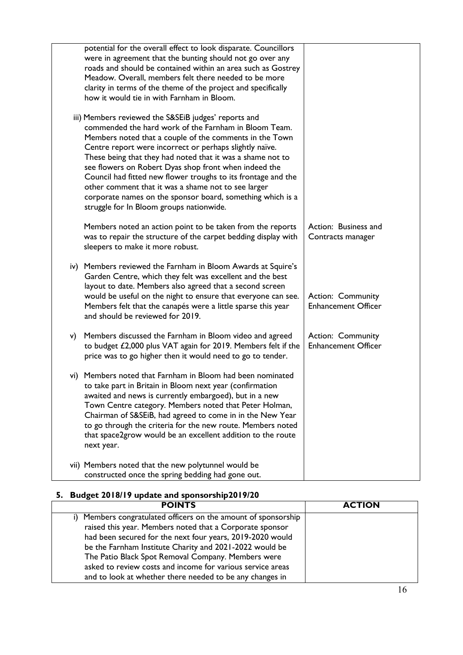|    | potential for the overall effect to look disparate. Councillors<br>were in agreement that the bunting should not go over any<br>roads and should be contained within an area such as Gostrey<br>Meadow. Overall, members felt there needed to be more<br>clarity in terms of the theme of the project and specifically<br>how it would tie in with Farnham in Bloom.                                                                                                                                                                                                                         |                                                        |
|----|----------------------------------------------------------------------------------------------------------------------------------------------------------------------------------------------------------------------------------------------------------------------------------------------------------------------------------------------------------------------------------------------------------------------------------------------------------------------------------------------------------------------------------------------------------------------------------------------|--------------------------------------------------------|
|    | iii) Members reviewed the S&SEiB judges' reports and<br>commended the hard work of the Farnham in Bloom Team.<br>Members noted that a couple of the comments in the Town<br>Centre report were incorrect or perhaps slightly naïve.<br>These being that they had noted that it was a shame not to<br>see flowers on Robert Dyas shop front when indeed the<br>Council had fitted new flower troughs to its frontage and the<br>other comment that it was a shame not to see larger<br>corporate names on the sponsor board, something which is a<br>struggle for In Bloom groups nationwide. |                                                        |
|    | Members noted an action point to be taken from the reports<br>was to repair the structure of the carpet bedding display with<br>sleepers to make it more robust.                                                                                                                                                                                                                                                                                                                                                                                                                             | Action: Business and<br>Contracts manager              |
|    | iv) Members reviewed the Farnham in Bloom Awards at Squire's<br>Garden Centre, which they felt was excellent and the best<br>layout to date. Members also agreed that a second screen<br>would be useful on the night to ensure that everyone can see.<br>Members felt that the canapés were a little sparse this year<br>and should be reviewed for 2019.                                                                                                                                                                                                                                   | <b>Action: Community</b><br><b>Enhancement Officer</b> |
| V) | Members discussed the Farnham in Bloom video and agreed<br>to budget £2,000 plus VAT again for 2019. Members felt if the<br>price was to go higher then it would need to go to tender.                                                                                                                                                                                                                                                                                                                                                                                                       | <b>Action: Community</b><br><b>Enhancement Officer</b> |
|    | vi) Members noted that Farnham in Bloom had been nominated<br>to take part in Britain in Bloom next year (confirmation<br>awaited and news is currently embargoed), but in a new<br>Town Centre category. Members noted that Peter Holman,<br>Chairman of S&SEiB, had agreed to come in in the New Year<br>to go through the criteria for the new route. Members noted<br>that space2grow would be an excellent addition to the route<br>next year.                                                                                                                                          |                                                        |
|    | vii) Members noted that the new polytunnel would be<br>constructed once the spring bedding had gone out.                                                                                                                                                                                                                                                                                                                                                                                                                                                                                     |                                                        |

## **5. Budget 2018/19 update and sponsorship2019/20**

| <b>POINTS</b>                                                  | <b>ACTION</b> |
|----------------------------------------------------------------|---------------|
| i) Members congratulated officers on the amount of sponsorship |               |
| raised this year. Members noted that a Corporate sponsor       |               |
| had been secured for the next four years, 2019-2020 would      |               |
| be the Farnham Institute Charity and 2021-2022 would be        |               |
| The Patio Black Spot Removal Company. Members were             |               |
| asked to review costs and income for various service areas     |               |
| and to look at whether there needed to be any changes in       |               |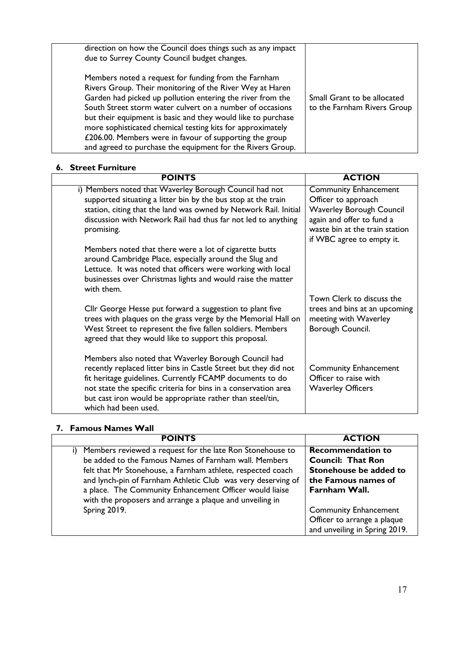| direction on how the Council does things such as any impact<br>due to Surrey County Council budget changes.                                                                                                                                                                                                                                                                                                                                                                                        |                                                            |
|----------------------------------------------------------------------------------------------------------------------------------------------------------------------------------------------------------------------------------------------------------------------------------------------------------------------------------------------------------------------------------------------------------------------------------------------------------------------------------------------------|------------------------------------------------------------|
| Members noted a request for funding from the Farnham<br>Rivers Group. Their monitoring of the River Wey at Haren<br>Garden had picked up pollution entering the river from the<br>South Street storm water culvert on a number of occasions<br>but their equipment is basic and they would like to purchase<br>more sophisticated chemical testing kits for approximately<br>£206.00. Members were in favour of supporting the group<br>and agreed to purchase the equipment for the Rivers Group. | Small Grant to be allocated<br>to the Farnham Rivers Group |

#### **6. Street Furniture**

| <b>POINTS</b>                                                                                                                                                                                                                                                                                                                               | <b>ACTION</b>                                                                                                                                         |
|---------------------------------------------------------------------------------------------------------------------------------------------------------------------------------------------------------------------------------------------------------------------------------------------------------------------------------------------|-------------------------------------------------------------------------------------------------------------------------------------------------------|
| i) Members noted that Waverley Borough Council had not<br>supported situating a litter bin by the bus stop at the train<br>station, citing that the land was owned by Network Rail. Initial<br>discussion with Network Rail had thus far not led to anything<br>promising.                                                                  | <b>Community Enhancement</b><br>Officer to approach<br><b>Waverley Borough Council</b><br>again and offer to fund a<br>waste bin at the train station |
| Members noted that there were a lot of cigarette butts<br>around Cambridge Place, especially around the Slug and<br>Lettuce. It was noted that officers were working with local<br>businesses over Christmas lights and would raise the matter<br>with them.                                                                                | if WBC agree to empty it.                                                                                                                             |
| Cllr George Hesse put forward a suggestion to plant five<br>trees with plaques on the grass verge by the Memorial Hall on<br>West Street to represent the five fallen soldiers. Members<br>agreed that they would like to support this proposal.                                                                                            | Town Clerk to discuss the<br>trees and bins at an upcoming<br>meeting with Waverley<br>Borough Council.                                               |
| Members also noted that Waverley Borough Council had<br>recently replaced litter bins in Castle Street but they did not<br>fit heritage guidelines. Currently FCAMP documents to do<br>not state the specific criteria for bins in a conservation area<br>but cast iron would be appropriate rather than steel/tin,<br>which had been used. | <b>Community Enhancement</b><br>Officer to raise with<br><b>Waverley Officers</b>                                                                     |

## **7. Famous Names Wall**

| <b>POINTS</b>                                                                                                                                                                                                                                                                                                      | <b>ACTION</b>                                                                                                          |
|--------------------------------------------------------------------------------------------------------------------------------------------------------------------------------------------------------------------------------------------------------------------------------------------------------------------|------------------------------------------------------------------------------------------------------------------------|
| Members reviewed a request for the late Ron Stonehouse to<br>i)<br>be added to the Famous Names of Farnham wall. Members<br>felt that Mr Stonehouse, a Farnham athlete, respected coach<br>and lynch-pin of Farnham Athletic Club was very deserving of<br>a place. The Community Enhancement Officer would liaise | <b>Recommendation to</b><br><b>Council: That Ron</b><br>Stonehouse be added to<br>the Famous names of<br>Farnham Wall. |
| with the proposers and arrange a plaque and unveiling in<br>Spring 2019.                                                                                                                                                                                                                                           | <b>Community Enhancement</b><br>Officer to arrange a plaque<br>and unveiling in Spring 2019.                           |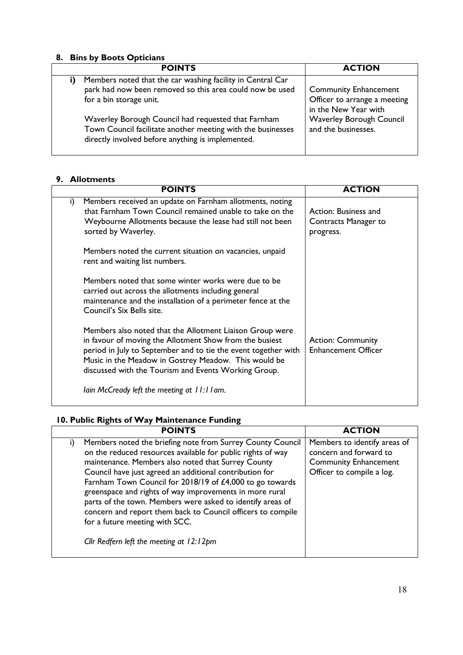#### **8. Bins by Boots Opticians**

| <b>POINTS</b>                                                                                                                                                           | <b>ACTION</b>                                                                        |
|-------------------------------------------------------------------------------------------------------------------------------------------------------------------------|--------------------------------------------------------------------------------------|
| Members noted that the car washing facility in Central Car<br>park had now been removed so this area could now be used<br>for a bin storage unit.                       | <b>Community Enhancement</b><br>Officer to arrange a meeting<br>in the New Year with |
| Waverley Borough Council had requested that Farnham<br>Town Council facilitate another meeting with the businesses<br>directly involved before anything is implemented. | Waverley Borough Council<br>and the businesses.                                      |

#### **9. Allotments**

|    | <b>POINTS</b>                                                                                                                                                                                                                                                                                         | <b>ACTION</b>                                             |
|----|-------------------------------------------------------------------------------------------------------------------------------------------------------------------------------------------------------------------------------------------------------------------------------------------------------|-----------------------------------------------------------|
| i) | Members received an update on Farnham allotments, noting<br>that Farnham Town Council remained unable to take on the<br>Weybourne Allotments because the lease had still not been<br>sorted by Waverley.                                                                                              | Action: Business and<br>Contracts Manager to<br>progress. |
|    | Members noted the current situation on vacancies, unpaid<br>rent and waiting list numbers.                                                                                                                                                                                                            |                                                           |
|    | Members noted that some winter works were due to be<br>carried out across the allotments including general<br>maintenance and the installation of a perimeter fence at the<br>Council's Six Bells site.                                                                                               |                                                           |
|    | Members also noted that the Allotment Liaison Group were<br>in favour of moving the Allotment Show from the busiest<br>period in July to September and to tie the event together with<br>Music in the Meadow in Gostrey Meadow. This would be<br>discussed with the Tourism and Events Working Group. | <b>Action: Community</b><br><b>Enhancement Officer</b>    |
|    | lain McCready left the meeting at 11:11 am.                                                                                                                                                                                                                                                           |                                                           |

### **10. Public Rights of Way Maintenance Funding**

| <b>POINTS</b>                                                                                                                                                                                                                                                                                                                                                                                                                                                                                                                                                                      | <b>ACTION</b>                                                                                                       |
|------------------------------------------------------------------------------------------------------------------------------------------------------------------------------------------------------------------------------------------------------------------------------------------------------------------------------------------------------------------------------------------------------------------------------------------------------------------------------------------------------------------------------------------------------------------------------------|---------------------------------------------------------------------------------------------------------------------|
| Members noted the briefing note from Surrey County Council<br>i)<br>on the reduced resources available for public rights of way<br>maintenance. Members also noted that Surrey County<br>Council have just agreed an additional contribution for<br>Farnham Town Council for 2018/19 of £4,000 to go towards<br>greenspace and rights of way improvements in more rural<br>parts of the town. Members were asked to identify areas of<br>concern and report them back to Council officers to compile<br>for a future meeting with SCC.<br>Cllr Redfern left the meeting at 12:12pm | Members to identify areas of<br>concern and forward to<br><b>Community Enhancement</b><br>Officer to compile a log. |
|                                                                                                                                                                                                                                                                                                                                                                                                                                                                                                                                                                                    |                                                                                                                     |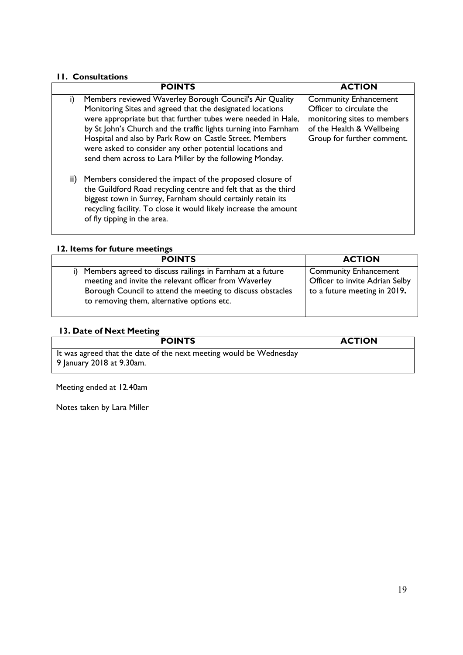#### **11. Consultations**

|    | <b>POINTS</b>                                                                                                                                                                                                                                                                                                                                                                                                                              | <b>ACTION</b>                                                                                                                                      |
|----|--------------------------------------------------------------------------------------------------------------------------------------------------------------------------------------------------------------------------------------------------------------------------------------------------------------------------------------------------------------------------------------------------------------------------------------------|----------------------------------------------------------------------------------------------------------------------------------------------------|
| i) | Members reviewed Waverley Borough Council's Air Quality<br>Monitoring Sites and agreed that the designated locations<br>were appropriate but that further tubes were needed in Hale,<br>by St John's Church and the traffic lights turning into Farnham<br>Hospital and also by Park Row on Castle Street. Members<br>were asked to consider any other potential locations and<br>send them across to Lara Miller by the following Monday. | <b>Community Enhancement</b><br>Officer to circulate the<br>monitoring sites to members<br>of the Health & Wellbeing<br>Group for further comment. |
|    | ii) Members considered the impact of the proposed closure of<br>the Guildford Road recycling centre and felt that as the third<br>biggest town in Surrey, Farnham should certainly retain its<br>recycling facility. To close it would likely increase the amount<br>of fly tipping in the area.                                                                                                                                           |                                                                                                                                                    |

## **12. Items for future meetings**

| <b>POINTS</b>                                                                                                                                                                                                                  | <b>ACTION</b>                                                                                  |
|--------------------------------------------------------------------------------------------------------------------------------------------------------------------------------------------------------------------------------|------------------------------------------------------------------------------------------------|
| Members agreed to discuss railings in Farnham at a future<br>meeting and invite the relevant officer from Waverley<br>Borough Council to attend the meeting to discuss obstacles<br>to removing them, alternative options etc. | <b>Community Enhancement</b><br>Officer to invite Adrian Selby<br>to a future meeting in 2019. |

#### **13. Date of Next Meeting**

| <b>POINTS</b>                                                                                   | <b>ACTION</b> |  |
|-------------------------------------------------------------------------------------------------|---------------|--|
| It was agreed that the date of the next meeting would be Wednesday<br>9 January 2018 at 9.30am. |               |  |

Meeting ended at 12.40am

Notes taken by Lara Miller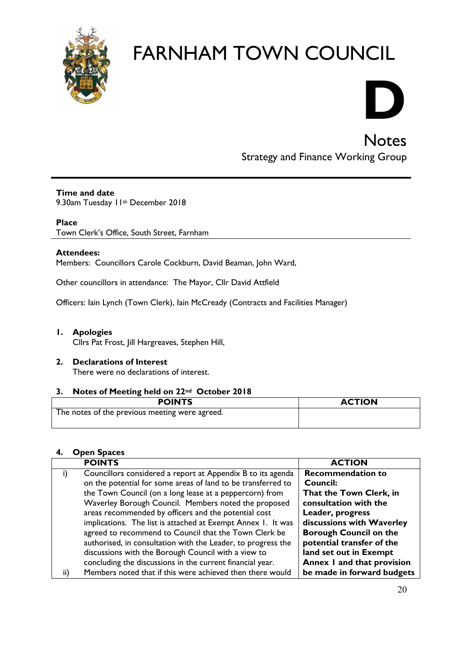

# **D**

Notes

# Strategy and Finance Working Group

#### **Time and date**

9.30am Tuesday II<sup>th</sup> December 2018

#### **Place**

Town Clerk's Office, South Street, Farnham

#### **Attendees:**

Members: Councillors Carole Cockburn, David Beaman, John Ward,

Other councillors in attendance: The Mayor, Cllr David Attfield

Officers: Iain Lynch (Town Clerk), Iain McCready (Contracts and Facilities Manager)

#### **1. Apologies**

Cllrs Pat Frost, Jill Hargreaves, Stephen Hill,

#### **2. Declarations of Interest**  There were no declarations of interest.

#### **3. Notes of Meeting held on 22nd October 2018**

| <b>POINTS</b>                                  | <b>ACTION</b> |
|------------------------------------------------|---------------|
| The notes of the previous meeting were agreed. |               |

#### **4. Open Spaces**

| <b>POINTS</b>                                                     | <b>ACTION</b>                 |
|-------------------------------------------------------------------|-------------------------------|
| Councillors considered a report at Appendix B to its agenda<br>I) | <b>Recommendation to</b>      |
| on the potential for some areas of land to be transferred to      | <b>Council:</b>               |
| the Town Council (on a long lease at a peppercorn) from           | That the Town Clerk, in       |
| Waverley Borough Council. Members noted the proposed              | consultation with the         |
| areas recommended by officers and the potential cost              | Leader, progress              |
| implications. The list is attached at Exempt Annex 1. It was      | discussions with Waverley     |
| agreed to recommend to Council that the Town Clerk be             | <b>Borough Council on the</b> |
| authorised, in consultation with the Leader, to progress the      | potential transfer of the     |
| discussions with the Borough Council with a view to               | land set out in Exempt        |
| concluding the discussions in the current financial year.         | Annex I and that provision    |
| Members noted that if this were achieved then there would<br>ii)  | be made in forward budgets    |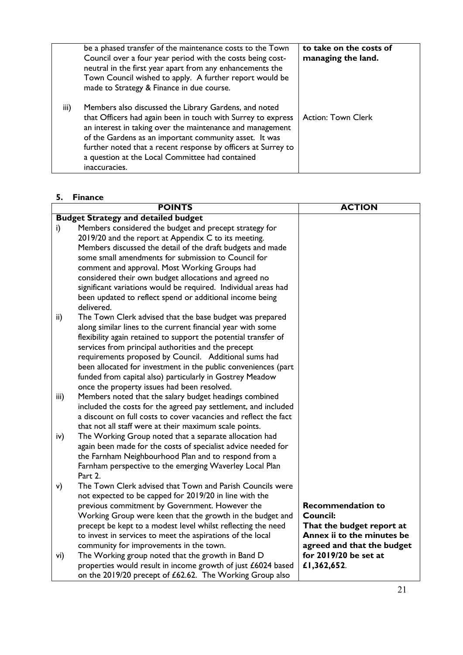|      | be a phased transfer of the maintenance costs to the Town<br>Council over a four year period with the costs being cost-<br>neutral in the first year apart from any enhancements the<br>Town Council wished to apply. A further report would be<br>made to Strategy & Finance in due course.                                                                                      | to take on the costs of<br>managing the land. |
|------|-----------------------------------------------------------------------------------------------------------------------------------------------------------------------------------------------------------------------------------------------------------------------------------------------------------------------------------------------------------------------------------|-----------------------------------------------|
| iii) | Members also discussed the Library Gardens, and noted<br>that Officers had again been in touch with Surrey to express<br>an interest in taking over the maintenance and management<br>of the Gardens as an important community asset. It was<br>further noted that a recent response by officers at Surrey to<br>a question at the Local Committee had contained<br>inaccuracies. | <b>Action: Town Clerk</b>                     |

#### **5. Finance**

|           | <b>POINTS</b>                                                                                                                                                                                                                                                                                                                                                                                                                                                                                                                                                                                | <b>ACTION</b>                                                                                                                                                         |
|-----------|----------------------------------------------------------------------------------------------------------------------------------------------------------------------------------------------------------------------------------------------------------------------------------------------------------------------------------------------------------------------------------------------------------------------------------------------------------------------------------------------------------------------------------------------------------------------------------------------|-----------------------------------------------------------------------------------------------------------------------------------------------------------------------|
|           | <b>Budget Strategy and detailed budget</b>                                                                                                                                                                                                                                                                                                                                                                                                                                                                                                                                                   |                                                                                                                                                                       |
| i)        | Members considered the budget and precept strategy for<br>2019/20 and the report at Appendix C to its meeting.<br>Members discussed the detail of the draft budgets and made<br>some small amendments for submission to Council for<br>comment and approval. Most Working Groups had<br>considered their own budget allocations and agreed no<br>significant variations would be required. Individual areas had<br>been updated to reflect spend or additional income being<br>delivered.                                                                                                    |                                                                                                                                                                       |
| ii)       | The Town Clerk advised that the base budget was prepared<br>along similar lines to the current financial year with some<br>flexibility again retained to support the potential transfer of<br>services from principal authorities and the precept<br>requirements proposed by Council. Additional sums had<br>been allocated for investment in the public conveniences (part<br>funded from capital also) particularly in Gostrey Meadow<br>once the property issues had been resolved.                                                                                                      |                                                                                                                                                                       |
| iii)      | Members noted that the salary budget headings combined<br>included the costs for the agreed pay settlement, and included<br>a discount on full costs to cover vacancies and reflect the fact<br>that not all staff were at their maximum scale points.                                                                                                                                                                                                                                                                                                                                       |                                                                                                                                                                       |
| iv)       | The Working Group noted that a separate allocation had<br>again been made for the costs of specialist advice needed for<br>the Farnham Neighbourhood Plan and to respond from a<br>Farnham perspective to the emerging Waverley Local Plan<br>Part 2.                                                                                                                                                                                                                                                                                                                                        |                                                                                                                                                                       |
| V)<br>vi) | The Town Clerk advised that Town and Parish Councils were<br>not expected to be capped for 2019/20 in line with the<br>previous commitment by Government. However the<br>Working Group were keen that the growth in the budget and<br>precept be kept to a modest level whilst reflecting the need<br>to invest in services to meet the aspirations of the local<br>community for improvements in the town.<br>The Working group noted that the growth in Band D<br>properties would result in income growth of just £6024 based<br>on the 2019/20 precept of £62.62. The Working Group also | <b>Recommendation to</b><br>Council:<br>That the budget report at<br>Annex ii to the minutes be<br>agreed and that the budget<br>for 2019/20 be set at<br>£1,362,652. |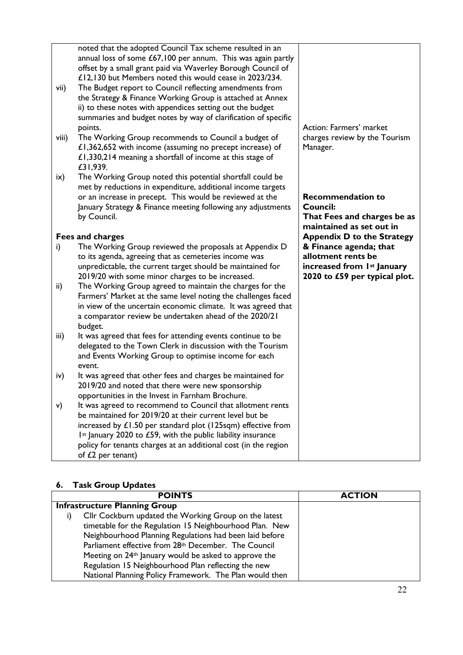| vii)<br>viii) | noted that the adopted Council Tax scheme resulted in an<br>annual loss of some $£67,100$ per annum. This was again partly<br>offset by a small grant paid via Waverley Borough Council of<br>£12,130 but Members noted this would cease in 2023/234.<br>The Budget report to Council reflecting amendments from<br>the Strategy & Finance Working Group is attached at Annex<br>ii) to these notes with appendices setting out the budget<br>summaries and budget notes by way of clarification of specific<br>points.<br>The Working Group recommends to Council a budget of<br>£1,362,652 with income (assuming no precept increase) of | Action: Farmers' market<br>charges review by the Tourism<br>Manager.                                        |
|---------------|--------------------------------------------------------------------------------------------------------------------------------------------------------------------------------------------------------------------------------------------------------------------------------------------------------------------------------------------------------------------------------------------------------------------------------------------------------------------------------------------------------------------------------------------------------------------------------------------------------------------------------------------|-------------------------------------------------------------------------------------------------------------|
|               | £1,330,214 meaning a shortfall of income at this stage of<br>£31,939.                                                                                                                                                                                                                                                                                                                                                                                                                                                                                                                                                                      |                                                                                                             |
| ix)           | The Working Group noted this potential shortfall could be<br>met by reductions in expenditure, additional income targets<br>or an increase in precept. This would be reviewed at the<br>January Strategy & Finance meeting following any adjustments<br>by Council.                                                                                                                                                                                                                                                                                                                                                                        | <b>Recommendation to</b><br><b>Council:</b><br>That Fees and charges be as<br>maintained as set out in      |
|               | Fees and charges                                                                                                                                                                                                                                                                                                                                                                                                                                                                                                                                                                                                                           | <b>Appendix D to the Strategy</b>                                                                           |
| i)            | The Working Group reviewed the proposals at Appendix D<br>to its agenda, agreeing that as cemeteries income was<br>unpredictable, the current target should be maintained for<br>2019/20 with some minor charges to be increased.                                                                                                                                                                                                                                                                                                                                                                                                          | & Finance agenda; that<br>allotment rents be<br>increased from 1st January<br>2020 to £59 per typical plot. |
| ii)           | The Working Group agreed to maintain the charges for the<br>Farmers' Market at the same level noting the challenges faced<br>in view of the uncertain economic climate. It was agreed that<br>a comparator review be undertaken ahead of the 2020/21<br>budget.                                                                                                                                                                                                                                                                                                                                                                            |                                                                                                             |
| iii)          | It was agreed that fees for attending events continue to be<br>delegated to the Town Clerk in discussion with the Tourism<br>and Events Working Group to optimise income for each<br>event.                                                                                                                                                                                                                                                                                                                                                                                                                                                |                                                                                                             |
| iv)           | It was agreed that other fees and charges be maintained for<br>2019/20 and noted that there were new sponsorship<br>opportunities in the Invest in Farnham Brochure.                                                                                                                                                                                                                                                                                                                                                                                                                                                                       |                                                                                                             |
| v)            | It was agreed to recommend to Council that allotment rents<br>be maintained for 2019/20 at their current level but be<br>increased by $£1.50$ per standard plot (125sqm) effective from<br>Ist January 2020 to £59, with the public liability insurance<br>policy for tenants charges at an additional cost (in the region<br>of $£2$ per tenant)                                                                                                                                                                                                                                                                                          |                                                                                                             |

#### **6. Task Group Updates**

| <b>POINTS</b>                                                     | <b>ACTION</b> |
|-------------------------------------------------------------------|---------------|
| <b>Infrastructure Planning Group</b>                              |               |
| Cllr Cockburn updated the Working Group on the latest<br>i)       |               |
| timetable for the Regulation 15 Neighbourhood Plan. New           |               |
| Neighbourhood Planning Regulations had been laid before           |               |
| Parliament effective from 28th December. The Council              |               |
| Meeting on 24 <sup>th</sup> January would be asked to approve the |               |
| Regulation 15 Neighbourhood Plan reflecting the new               |               |
| National Planning Policy Framework. The Plan would then           |               |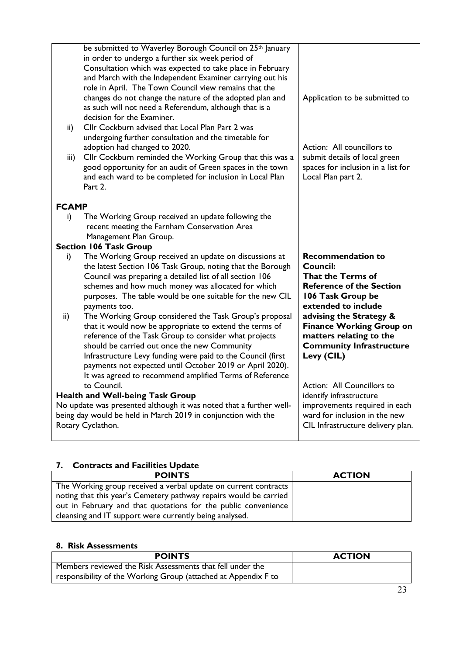|              | be submitted to Waverley Borough Council on 25 <sup>th</sup> January |                                    |
|--------------|----------------------------------------------------------------------|------------------------------------|
|              | in order to undergo a further six week period of                     |                                    |
|              | Consultation which was expected to take place in February            |                                    |
|              | and March with the Independent Examiner carrying out his             |                                    |
|              | role in April. The Town Council view remains that the                |                                    |
|              | changes do not change the nature of the adopted plan and             | Application to be submitted to     |
|              | as such will not need a Referendum, although that is a               |                                    |
|              | decision for the Examiner.                                           |                                    |
| ii)          | Cllr Cockburn advised that Local Plan Part 2 was                     |                                    |
|              | undergoing further consultation and the timetable for                |                                    |
|              | adoption had changed to 2020.                                        | Action: All councillors to         |
| iii)         | Cllr Cockburn reminded the Working Group that this was a             | submit details of local green      |
|              | good opportunity for an audit of Green spaces in the town            | spaces for inclusion in a list for |
|              | and each ward to be completed for inclusion in Local Plan            | Local Plan part 2.                 |
|              | Part 2.                                                              |                                    |
|              |                                                                      |                                    |
| <b>FCAMP</b> |                                                                      |                                    |
| i)           | The Working Group received an update following the                   |                                    |
|              | recent meeting the Farnham Conservation Area                         |                                    |
|              | Management Plan Group.                                               |                                    |
|              | <b>Section 106 Task Group</b>                                        |                                    |
|              |                                                                      |                                    |
| i)           | The Working Group received an update on discussions at               | <b>Recommendation to</b>           |
|              | the latest Section 106 Task Group, noting that the Borough           | Council:                           |
|              | Council was preparing a detailed list of all section 106             | That the Terms of                  |
|              | schemes and how much money was allocated for which                   | <b>Reference of the Section</b>    |
|              | purposes. The table would be one suitable for the new CIL            | 106 Task Group be                  |
|              | payments too.                                                        | extended to include                |
| ii)          | The Working Group considered the Task Group's proposal               | advising the Strategy &            |
|              | that it would now be appropriate to extend the terms of              | <b>Finance Working Group on</b>    |
|              | reference of the Task Group to consider what projects                | matters relating to the            |
|              | should be carried out once the new Community                         | <b>Community Infrastructure</b>    |
|              | Infrastructure Levy funding were paid to the Council (first          | Levy (CIL)                         |
|              | payments not expected until October 2019 or April 2020).             |                                    |
|              | It was agreed to recommend amplified Terms of Reference              |                                    |
|              | to Council.                                                          | Action: All Councillors to         |
|              | <b>Health and Well-being Task Group</b>                              | identify infrastructure            |
|              | No update was presented although it was noted that a further well-   | improvements required in each      |
|              | being day would be held in March 2019 in conjunction with the        | ward for inclusion in the new      |
|              | Rotary Cyclathon.                                                    | CIL Infrastructure delivery plan.  |

## **7. Contracts and Facilities Update**

| <b>POINTS</b>                                                     | <b>ACTION</b> |
|-------------------------------------------------------------------|---------------|
| The Working group received a verbal update on current contracts   |               |
| noting that this year's Cemetery pathway repairs would be carried |               |
| out in February and that quotations for the public convenience    |               |
| cleansing and IT support were currently being analysed.           |               |

## **8. Risk Assessments**

| <b>POINTS</b>                                                  | <b>ACTION</b> |
|----------------------------------------------------------------|---------------|
| Members reviewed the Risk Assessments that fell under the      |               |
| responsibility of the Working Group (attached at Appendix F to |               |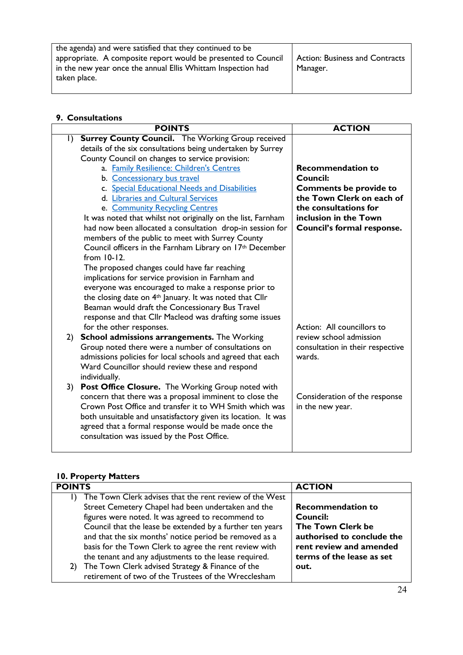| the agenda) and were satisfied that they continued to be      |                                       |
|---------------------------------------------------------------|---------------------------------------|
| appropriate. A composite report would be presented to Council | <b>Action: Business and Contracts</b> |
| in the new year once the annual Ellis Whittam Inspection had  | Manager.                              |
| taken place.                                                  |                                       |

#### **9. Consultations**

|              | <b>POINTS</b>                                                        | <b>ACTION</b>                                         |
|--------------|----------------------------------------------------------------------|-------------------------------------------------------|
| $\mathsf{I}$ | <b>Surrey County Council.</b> The Working Group received             |                                                       |
|              | details of the six consultations being undertaken by Surrey          |                                                       |
|              | County Council on changes to service provision:                      |                                                       |
|              | a. Family Resilience: Children's Centres                             | <b>Recommendation to</b>                              |
|              | b. Concessionary bus travel                                          | Council:                                              |
|              | c. Special Educational Needs and Disabilities                        | <b>Comments be provide to</b>                         |
|              | d. Libraries and Cultural Services                                   | the Town Clerk on each of                             |
|              | e. Community Recycling Centres                                       | the consultations for                                 |
|              | It was noted that whilst not originally on the list, Farnham         | inclusion in the Town                                 |
|              | had now been allocated a consultation drop-in session for            | Council's formal response.                            |
|              | members of the public to meet with Surrey County                     |                                                       |
|              | Council officers in the Farnham Library on 17 <sup>th</sup> December |                                                       |
|              | from 10-12.                                                          |                                                       |
|              | The proposed changes could have far reaching                         |                                                       |
|              | implications for service provision in Farnham and                    |                                                       |
|              | everyone was encouraged to make a response prior to                  |                                                       |
|              | the closing date on 4 <sup>th</sup> January. It was noted that Cllr  |                                                       |
|              | Beaman would draft the Concessionary Bus Travel                      |                                                       |
|              | response and that Cllr Macleod was drafting some issues              |                                                       |
|              | for the other responses.                                             | Action: All councillors to<br>review school admission |
| 2)           | <b>School admissions arrangements.</b> The Working                   |                                                       |
|              | Group noted there were a number of consultations on                  | consultation in their respective                      |
|              | admissions policies for local schools and agreed that each           | wards.                                                |
|              | Ward Councillor should review these and respond<br>individually.     |                                                       |
| 3)           | Post Office Closure. The Working Group noted with                    |                                                       |
|              | concern that there was a proposal imminent to close the              | Consideration of the response                         |
|              | Crown Post Office and transfer it to WH Smith which was              | in the new year.                                      |
|              | both unsuitable and unsatisfactory given its location. It was        |                                                       |
|              | agreed that a formal response would be made once the                 |                                                       |
|              | consultation was issued by the Post Office.                          |                                                       |
|              |                                                                      |                                                       |
|              |                                                                      |                                                       |

#### **10. Property Matters**

| <b>POINTS</b>                                                           | <b>ACTION</b>              |
|-------------------------------------------------------------------------|----------------------------|
| The Town Clerk advises that the rent review of the West<br>$\mathsf{D}$ |                            |
| Street Cemetery Chapel had been undertaken and the                      | <b>Recommendation to</b>   |
| figures were noted. It was agreed to recommend to                       | <b>Council:</b>            |
| Council that the lease be extended by a further ten years               | The Town Clerk be          |
| and that the six months' notice period be removed as a                  | authorised to conclude the |
| basis for the Town Clerk to agree the rent review with                  | rent review and amended    |
| the tenant and any adjustments to the lease required.                   | terms of the lease as set  |
| The Town Clerk advised Strategy & Finance of the<br>2)                  | out.                       |
| retirement of two of the Trustees of the Wrecclesham                    |                            |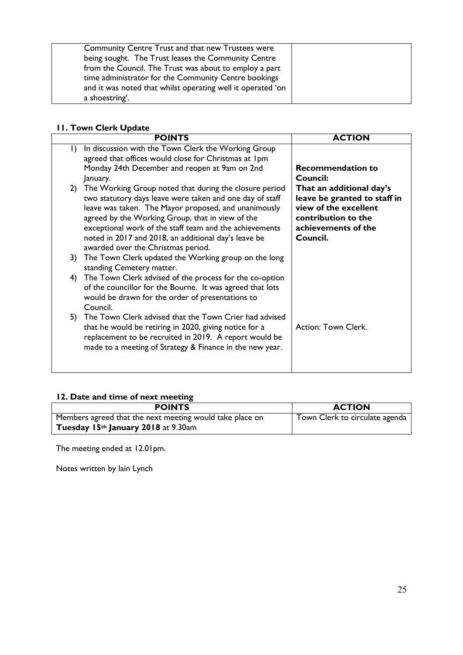| Community Centre Trust and that new Trustees were           |  |
|-------------------------------------------------------------|--|
| being sought. The Trust leases the Community Centre         |  |
| from the Council. The Trust was about to employ a part      |  |
| time administrator for the Community Centre bookings        |  |
| and it was noted that whilst operating well it operated 'on |  |
| a shoestring'.                                              |  |

## **11. Town Clerk Update**

|           | <b>POINTS</b>                                                                                                                                                                                                                                                                                                                                                                              | <b>ACTION</b>                                                                                                                               |
|-----------|--------------------------------------------------------------------------------------------------------------------------------------------------------------------------------------------------------------------------------------------------------------------------------------------------------------------------------------------------------------------------------------------|---------------------------------------------------------------------------------------------------------------------------------------------|
| $\vert$ ) | In discussion with the Town Clerk the Working Group<br>agreed that offices would close for Christmas at 1pm                                                                                                                                                                                                                                                                                |                                                                                                                                             |
|           | Monday 24th December and reopen at 9am on 2nd<br>January.                                                                                                                                                                                                                                                                                                                                  | <b>Recommendation to</b><br>Council:                                                                                                        |
|           | 2) The Working Group noted that during the closure period<br>two statutory days leave were taken and one day of staff<br>leave was taken. The Mayor proposed, and unanimously<br>agreed by the Working Group, that in view of the<br>exceptional work of the staff team and the achievements<br>noted in 2017 and 2018, an additional day's leave be<br>awarded over the Christmas period. | That an additional day's<br>leave be granted to staff in<br>view of the excellent<br>contribution to the<br>achievements of the<br>Council. |
| 3)        | The Town Clerk updated the Working group on the long<br>standing Cemetery matter.                                                                                                                                                                                                                                                                                                          |                                                                                                                                             |
| 4)        | The Town Clerk advised of the process for the co-option<br>of the councillor for the Bourne. It was agreed that lots<br>would be drawn for the order of presentations to<br>Council.                                                                                                                                                                                                       |                                                                                                                                             |
| 5)        | The Town Clerk advised that the Town Crier had advised<br>that he would be retiring in 2020, giving notice for a<br>replacement to be recruited in 2019. A report would be<br>made to a meeting of Strategy & Finance in the new year.                                                                                                                                                     | Action: Town Clerk.                                                                                                                         |

## **12. Date and time of next meeting**

| <b>POINTS</b>                                            | <b>ACTION</b>                  |
|----------------------------------------------------------|--------------------------------|
| Members agreed that the next meeting would take place on | Town Clerk to circulate agenda |
| Tuesday 15th January 2018 at 9.30am                      |                                |

The meeting ended at 12.01pm.

Notes written by Iain Lynch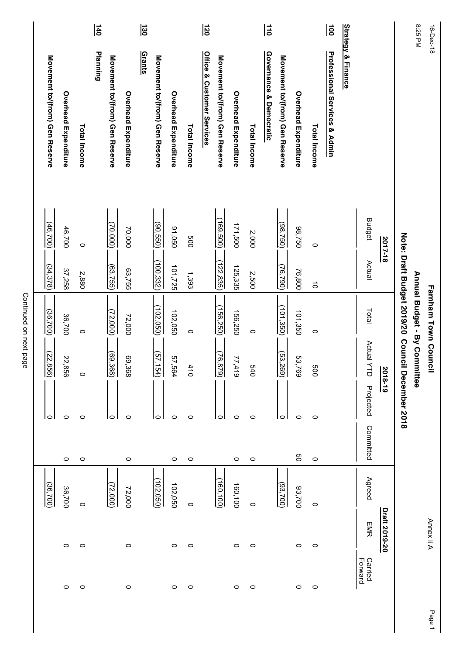|                    |               | (36, 700)  |           |               | (22, 856)                 | (36, 700)                          | (34, 378)  | (46,700)             | Movement to/(from) Gen Reserve           |                 |
|--------------------|---------------|------------|-----------|---------------|---------------------------|------------------------------------|------------|----------------------|------------------------------------------|-----------------|
| $\circ$            | $\circ$       | 36,700     | $\circ$   | O             | 22,856                    | 36,700                             | 37,258     | 46,700               | Overhead Expenditure                     |                 |
| $\circ$            | 0             | 0          | $\circ$   | 0             | $\circ$                   | $\circ$                            | 2,880      | $\circ$              | Total Income                             |                 |
|                    |               |            |           |               |                           |                                    |            |                      | <b>Planning</b>                          | $\frac{1}{6}$   |
|                    |               | (72,000)   |           | $\circ$       | $\frac{(69,368)}{69,368}$ | (72,000)                           | (63,755)   | (70,000)             | Movement to/(from) Gen Reserve           |                 |
| $\circ$            | $\circ$       | 72,000     | $\circ$   | $\circ$       | 69,368                    | 72,000                             | 63,755     | 70,000               | Overhead Expenditure                     |                 |
|                    |               |            |           |               |                           |                                    |            |                      | <b>Grants</b>                            | $\overline{30}$ |
|                    |               | (102, 050) |           | 0             | (57, 154)                 | (102, 050)                         | (100, 332) | (90, 550)            | Movement to/(from) Gen Reserve           |                 |
| $\circ$            | $\circ$       | 102,050    | $\circ$   | $\circ$       | 57,564                    | 102,050                            | 101,725    | 050'66               | Overhead Expenditure                     |                 |
| $\circ$            | $\circ$       | $\circ$    | $\circ$   | 0             | 410                       | $\circ$                            | 1,393      | 009                  | Total Income                             |                 |
|                    |               |            |           |               |                           |                                    |            |                      | Office & Customer Services               | $\overline{50}$ |
|                    |               | (160, 100) |           | 0             | (76, 879)                 | (156, 250)                         | (122, 835) | (169, 500)           | Movement to/(from) Gen Reserve           |                 |
| $\circ$            | $\circ$       | 160,100    | $\circ$   | $\circ$       | 77,419                    | 156,250                            | 125,335    | 171,500              | Overhead Expenditure                     |                 |
| $\circ$            | $\circ$       | $\circ$    | $\circ$   | $\circ$       | 0+9                       | $\circ$                            | 2,500      | 2,000                | Total Income                             |                 |
|                    |               |            |           |               |                           |                                    |            |                      | Governance & Democratic                  | $\frac{1}{10}$  |
|                    |               | (93, 700)  |           | 0             | (53, 269)                 | (101, 350)                         | (76, 790)  | $\frac{(98,750)}{2}$ | Movement to/(from) Gen Reserve           |                 |
| $\circ$            | $\circ$       | 93,700     | g         | $\circ$       | 53,769                    | 101,350                            | 76,800     | 98,750               | <b>Overhead Expenditure</b>              |                 |
| $\circ$            | O             | 0          | $\circ$   | $\circ$       | 009                       | $\circ$                            | $\vec{o}$  | $\circ$              | Total Income                             |                 |
|                    |               |            |           |               |                           |                                    |            |                      | <b>Professional Services &amp; Admin</b> | lइ              |
|                    |               |            |           |               |                           |                                    |            |                      | <b>Strategy &amp; Finance</b>            |                 |
| Carried<br>Forward | EMR           | Agreed     | Committed | Projected     | Actual Y<br>J             | Total                              | Actual     | <b>Budget</b>        |                                          |                 |
|                    | Draft 2019-20 |            |           |               | 2018-19                   |                                    |            | <u>2017-18</u>       |                                          |                 |
|                    |               |            |           | December 2018 |                           | Note: Draft Budget 2019/20 Council |            |                      |                                          |                 |
|                    |               |            |           |               |                           | Annual Budget - By Committee       |            |                      |                                          | 8:25 PM         |
|                    | Annex ii A    |            |           |               |                           | <b>Farnham Town Council</b>        |            |                      |                                          | 16-Dec-18       |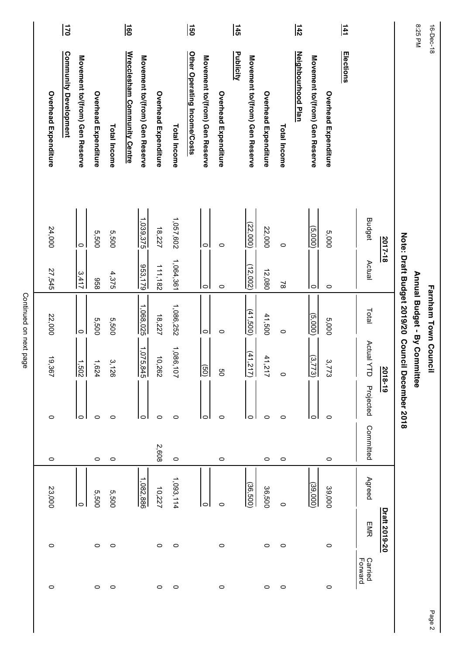| 16-Dec-18       |                                |                    |                           | <b>Farnham Town Council</b>       |                        |                 |           |           |               |                    |
|-----------------|--------------------------------|--------------------|---------------------------|-----------------------------------|------------------------|-----------------|-----------|-----------|---------------|--------------------|
| 8:25 PM         |                                |                    |                           | Annual Budget - By Committee      |                        |                 |           |           |               |                    |
|                 |                                |                    |                           | Note: Draft Budget 2019/20 Counci |                        | I December 2018 |           |           |               |                    |
|                 |                                | 2017-18            |                           |                                   | $\frac{2018 - 19}{20}$ |                 |           |           | Draft 2019-20 |                    |
|                 |                                | <b>Budget</b>      | Actual                    | Total                             | Actual Y<br>$\exists$  | Projected       | Committed | Agreed    | <b>EMR</b>    | Carried<br>Forward |
| $\frac{141}{2}$ | <u>Elections</u>               |                    |                           |                                   |                        |                 |           |           |               |                    |
|                 | Overhead Expenditure           | 5,000              | $\circ$                   | 5,000                             | مب<br>222              | $\circ$         | $\circ$   | 39,000    | $\circ$       | $\circ$            |
|                 | Movement to/(from) Gen Reserve | (5,000)            | lol                       | (5,000)                           | $\omega$ .<br>773      | 0               |           | (39,000)  |               |                    |
| $\frac{142}{1}$ | Neighbourhood Plan             |                    |                           |                                   |                        |                 |           |           |               |                    |
|                 | <b>Total Income</b>            | $\circ$            | $\approx$                 | $\circ$                           | $\circ$                | $\circ$         | $\circ$   | $\circ$   | $\circ$       | $\circ$            |
|                 | Overhead Expenditure           | 22,000             | 12,080                    | 41,500                            | 41,217                 | $\circ$         | $\circ$   | 36,500    | $\circ$       | $\circ$            |
|                 | Movement to/(from) Gen Reserve | (22,000)           | $\frac{(12,002)}{12,002}$ | (41,500)                          | $\frac{(41,217)}{4}$   | $\circ$         |           | (36,500)  |               |                    |
| $\frac{145}{2}$ | <b>Publicity</b>               |                    |                           |                                   |                        |                 |           |           |               |                    |
|                 | Overhead Expenditure           | $\circ$            | $\circ$                   | $\circ$                           | g                      | $\circ$         | $\circ$   | $\circ$   | $\circ$       | $\circ$            |
|                 | Movement to/(from) Gen Reserve | $\overline{\circ}$ | $\circ$                   | $\circ$                           | $\boxed{9}$            | 0               |           | $\circ$   |               |                    |
| ခြ              | Other Operating Income/Costs   |                    |                           |                                   |                        |                 |           |           |               |                    |
|                 | Total Income                   | 1,057,602          | 1,064,361                 | 1,086,252                         | 1,086,<br>$-101$       | $\circ$         | $\circ$   | 1,093,114 | $\circ$       | $\circ$            |
|                 | <b>Overhead Expenditure</b>    | 18,227             | 111,182                   | 18,227                            | 10,262                 | $\circ$         | 2,608     | 10,227    | $\circ$       | $\circ$            |
|                 | Movement to/(from) Gen Reserve | 1,039,375          | 953,179                   | 1,068,025                         | 1,075,<br> چٌ          | 0               |           | 1,082,886 |               |                    |
| la              | Wrecclesham Community Centre   |                    |                           |                                   |                        |                 |           |           |               |                    |
|                 | Total Income                   | 5,500              | 4,375                     | 5,500                             | 3,126                  | $\circ$         | $\circ$   | 5,500     | $\circ$       | $\circ$            |
|                 | Overhead Expenditure           | 5,500              | 856                       | 5,500                             | 1,624                  | $\circ$         | $\circ$   | 5,500     | $\circ$       | $\circ$            |
|                 | Movement to/(from) Gen Reserve | $\circ$            | 3,417                     | $\circ$                           | $\frac{1,502}{1,502}$  | 0               |           | O         |               |                    |
| $\overline{5}$  | <b>Community Development</b>   |                    |                           |                                   |                        |                 |           |           |               |                    |
|                 | Overhead Expenditure           | 24,000             | 27,545                    | 22,000                            | 19.<br>367             | $\circ$         | $\circ$   | 23,000    | $\circ$       | $\circ$            |
|                 |                                |                    |                           |                                   |                        |                 |           |           |               |                    |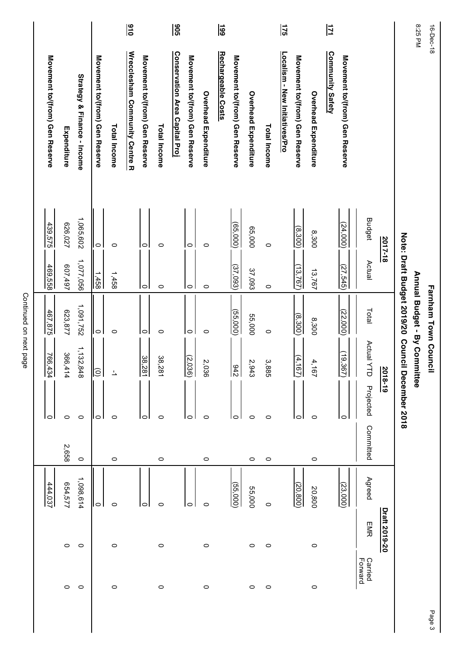|                                            |         |             |                                |                | $\frac{16}{16}$                |                                |                     | $\frac{1}{2}$                  |                                |                      | $\frac{1}{6}$<br>Rechargeable Costs |                                |                      |              | $\frac{175}{2}$                        |                                |                      | 口<br>Community Safety |                                |                    |               |                                                             | 8:25 PM                      | 16-Dec-18            |
|--------------------------------------------|---------|-------------|--------------------------------|----------------|--------------------------------|--------------------------------|---------------------|--------------------------------|--------------------------------|----------------------|-------------------------------------|--------------------------------|----------------------|--------------|----------------------------------------|--------------------------------|----------------------|-----------------------|--------------------------------|--------------------|---------------|-------------------------------------------------------------|------------------------------|----------------------|
| Strategy & Finance - Income<br>Expenditure |         |             | Movement to/(from) Gen Reserve | Total Income   | Wrecclesham Community Centre R | Movement to/(from) Gen Reserve | <b>Total Income</b> | Conservation Area Capital Proj | Movement to/(from) Gen Reserve | Overhead Expenditure |                                     | Movement to/(from) Gen Reserve | Overhead Expenditure | Total Income | <u> Localism - New Initiatives/Pro</u> | Movement to/(from) Gen Reserve | Overhead Expenditure |                       | Movement to/(from) Gen Reserve |                    |               |                                                             |                              |                      |
|                                            | 626,027 | 1,065,602   | $\circ$                        | $\circ$        |                                | $\circ$                        | $\circ$             |                                | 0                              | $\circ$              |                                     | (65,000)                       | 65,000               | $\circ$      |                                        | (8,300)                        | 8,300                |                       | (24,000)                       | <b>Budget</b>      | 2017-18       |                                                             |                              |                      |
|                                            | 607,497 | 1,077,056   | $\frac{1,458}{2}$              | 1,458          |                                | $\overline{\circ}$             | $\circ$             |                                | lo                             | $\circ$              |                                     | (37,093)                       | 37,093               | $\circ$      |                                        | (13,767)                       | 13,767               |                       | (27, 545)                      | Actual             |               |                                                             |                              |                      |
|                                            | 623,877 | 1,091,752   | lo                             | $\circ$        |                                | $\circ$                        | 0                   |                                | lo                             | $\circ$              |                                     | (55,000)                       | 55,000               | $\circ$      |                                        | (8,300)                        | 8,300                |                       | (22,000)                       | Total              |               | Note: Dratt Budget 2019/20<br>Orne: Dratt Budget<br>2019/20 | Annual Budget - By Committee | Farnham Town Council |
| $\frac{766,434}{}$                         | 366,414 | 1, 132, 848 | ∥⊚                             | $\overline{1}$ |                                | 38,281                         | 38,281              |                                | $\frac{(2.036)}{2}$            | 2,036                |                                     | $\frac{942}{3}$                | 2,943                | 3,885        |                                        | (4, 167)                       | 4,167                |                       | (19, 367)                      | <b>Actual YTD</b>  | 2018-19       |                                                             |                              |                      |
|                                            | $\circ$ | $\circ$     | 0                              | 0              |                                | 0                              | 0                   |                                | 10                             | $\circ$              |                                     | 0                              | 0                    | $\circ$      |                                        | c                              | $\circ$              |                       | 0                              | Projected          |               | December 2018                                               |                              |                      |
|                                            | 2,658   | $\circ$     |                                | $\circ$        |                                |                                | $\circ$             |                                |                                | $\circ$              |                                     |                                | $\circ$              | $\circ$      |                                        |                                | $\circ$              |                       |                                | Committed          |               |                                                             |                              |                      |
| 444,037                                    | 654,577 | 1,098,614   | $\circ$                        | $\circ$        |                                | 0                              | 0                   |                                | 10                             | 0                    |                                     | (55,000)                       | 55,000               | $\circ$      |                                        | (20, 800)                      | 20,800               |                       | (23,000)                       | Agreed             |               |                                                             |                              |                      |
|                                            | $\circ$ | $\circ$     |                                | $\circ$        |                                |                                | $\circ$             |                                |                                | $\circ$              |                                     |                                | 0                    | $\circ$      |                                        |                                | $\circ$              |                       |                                | <b>EMR</b>         | Draft 2019-20 |                                                             |                              |                      |
|                                            | $\circ$ | $\circ$     |                                | $\circ$        |                                |                                | $\circ$             |                                |                                | $\circ$              |                                     |                                | $\circ$              | $\circ$      |                                        |                                | $\circ$              |                       |                                | Forward<br>Carried |               |                                                             |                              |                      |
|                                            |         |             |                                |                |                                |                                |                     |                                |                                |                      |                                     |                                |                      |              |                                        |                                |                      |                       |                                |                    |               |                                                             |                              | Page 3               |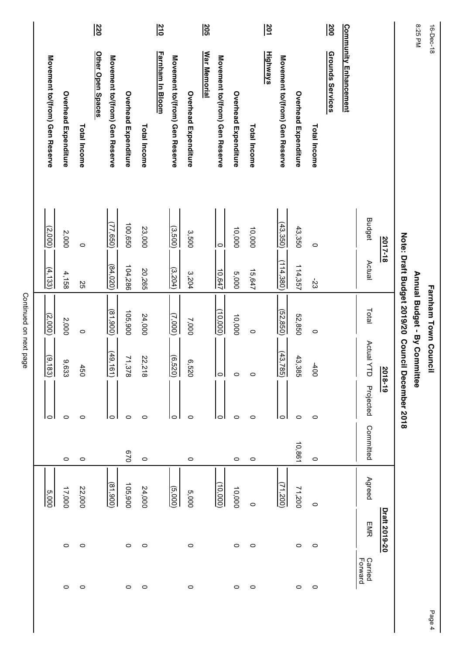|                                |                      |              | $rac{220}{\sqrt{2}}$ |                                |                      |              | $rac{210}{10}$   |                                |                      | <u>205</u>          |                                |                      |              | $rac{201}{2}$   |                                |                      |              | $\frac{20}{5}$          |                              |                            |               |                                    | 8:25 PM                      | 16-Dec-18            |
|--------------------------------|----------------------|--------------|----------------------|--------------------------------|----------------------|--------------|------------------|--------------------------------|----------------------|---------------------|--------------------------------|----------------------|--------------|-----------------|--------------------------------|----------------------|--------------|-------------------------|------------------------------|----------------------------|---------------|------------------------------------|------------------------------|----------------------|
| Movement to/(from) Gen Reserve | Overhead Expenditure | Total Income | Other Open Spaces    | Movement to/(from) Gen Reserve | Overhead Expenditure | Total Income | Farnham In Bloom | Movement to/(from) Gen Reserve | Overhead Expenditure | <u>War Memorial</u> | Movement to/(from) Gen Reserve | Overhead Expenditure | Total Income | <b>Highways</b> | Movement to/(from) Gen Reserve | Overhead Expenditure | Total Income | <b>Grounds Services</b> | <u>Community Enhancement</u> |                            |               |                                    |                              |                      |
| $\sqrt{2,000}$                 | 2,000                | $\circ$      |                      | (77, 650)                      | 100,650              | 23,000       |                  | (3,500)                        | 3,500                |                     | lo                             | 10,000               | 10,000       |                 | $\frac{(43,350)}{250}$         | 43,350               | $\circ$      |                         |                              | <b>Budget</b>              | 2017-18       |                                    |                              |                      |
| (4, 133)                       | 4,158                | 2S           |                      | (84,020)                       | 104,286              | 20,265       |                  | (3,204)                        | 3,204                |                     | $\frac{10.647}{1}$             | 5,000                | 15,647       |                 | (114, 380)                     | 114,357              | 53           |                         |                              | Actual                     |               |                                    |                              |                      |
| (2,000)                        | 2,000                | $\circ$      |                      | (81,900)                       | 105,900              | 24,000       |                  | $\overline{(000'2)}$           | 7,000                |                     | (10,000)                       | 10,000               | $\circ$      |                 | (52, 850)                      | 52,850               | $\circ$      |                         |                              | Total                      |               | Note: Draft Budget 2019/20 Council | Annual Budget - By Committee | Farnham Town Council |
| $\frac{(9.183)}{2}$            | 9,633                | 450          |                      | (49, 1)<br>$\overline{61}$     | 71,378               | 22,218       |                  | (6.520)                        | 6,520                |                     | lol                            | $\circ$              | $\circ$      |                 | (43, 7)<br>85)                 | 43,385               | $rac{40}{3}$ |                         |                              | Actual Y<br>$\overline{d}$ | 2018-19       |                                    |                              |                      |
| $\circ$                        | 0                    | 0            |                      | lo                             | $\circ$              | $\circ$      |                  | lo                             | $\circ$              |                     | lo                             | $\circ$              | $\circ$      |                 | lo                             | $\circ$              | $\circ$      |                         |                              | Projected                  |               | December 2018                      |                              |                      |
|                                | $\circ$              | $\circ$      |                      |                                | 029                  | $\circ$      |                  |                                | $\circ$              |                     |                                | 0                    | $\circ$      |                 |                                | 10,861               | $\circ$      |                         |                              | Committed                  |               |                                    |                              |                      |
| 5,000                          | 17,000               | 22,000       |                      | (81,900)                       | 105,900              | 24,000       |                  | (5,000)                        | 5,000                |                     | (10,000)                       | 10,000               | $\circ$      |                 | (71,200)                       | 71,200               | $\circ$      |                         |                              | Agreed                     |               |                                    |                              |                      |
|                                | $\circ$              | 0            |                      |                                | $\circ$              | $\circ$      |                  |                                | $\circ$              |                     |                                | $\circ$              | $\circ$      |                 |                                | $\circ$              | $\circ$      |                         |                              | EMR                        | Draft 2019-20 |                                    |                              |                      |
|                                | 0                    | 0            |                      |                                | $\circ$              | $\circ$      |                  |                                | $\circ$              |                     |                                | $\circ$              | $\circ$      |                 |                                | $\circ$              | $\circ$      |                         |                              | Carried<br>Forward         |               |                                    |                              |                      |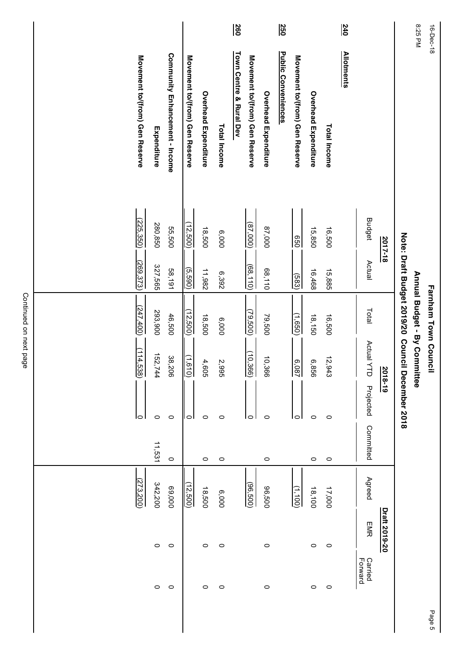| $rac{260}{1}$<br>$\frac{240}{5}$<br><u>250</u><br><b>Public Conveniences</b><br><b>Allotments</b><br>Town Centre & Rural Dev<br><b>Community Enhancement - Income</b><br>Movement to/(from) Gen Reserve<br>Movement to/(from) Gen Reserve<br>Movement to/(from) Gen Reserve<br>Movement to/(from) Gen Reserve<br><b>Overhead Expenditure</b><br>Overhead Expenditure<br>Overhead Expenditure<br>Total Income<br><b>Total Income</b><br>Expenditure<br><b>Budget</b><br>(225, 350)<br>280,850<br>(12,500)<br>(87,000)<br>55,500<br>000'28<br>18,500<br>16,500<br>15,850<br>6,000<br>Note: Draft Budget 2019/20 Council<br>850<br>2017-18<br>Actual<br>(269, 373)<br>327,565<br>(68, 110)<br>(5,590)<br>58,191<br>11,982<br>68,110<br>16,468<br>15,885<br>6,392<br>(583)<br>(247, 400)<br>Total<br>293,900<br>(12,500)<br>(79, 500)<br>46,500<br>18,500<br>(1,650)<br>18,150<br>16,500<br>79,500<br>6,000<br><b>Actual YTD</b><br>$\frac{(114,538)}{114,538}$<br>(10, 366)<br>152,744<br>38,206<br>$\frac{1}{\sqrt{1.610}}$<br>10,366<br>12,943<br>4,605<br>2,995<br>6.087<br>6,856<br>IN<br>$\frac{2018-19}{ }$<br>December 2018<br>Projected<br>$\circ$<br>0<br>$\circ$<br>$\circ$<br>$\circ$<br>$\circ$<br>ΙO<br>0<br>0<br>0<br>0<br>Committed<br>11,531<br>$\circ$<br>$\circ$<br>$\circ$<br>$\circ$<br>$\circ$<br>$\circ$<br>Agreed<br>(273, 200)<br>342,200<br>(12,500)<br>(96, 500)<br>69,000<br>18,500<br>00'296<br>17,000<br>$\frac{(1,100)}{1}$<br>18,100<br>6,000<br>Draft 2019-20<br>EMR | 8:25 PM<br>16-Dec-18 |  | Annual Budget - By Committee<br>Farnham Town Counci |  |  |         |                    |
|---------------------------------------------------------------------------------------------------------------------------------------------------------------------------------------------------------------------------------------------------------------------------------------------------------------------------------------------------------------------------------------------------------------------------------------------------------------------------------------------------------------------------------------------------------------------------------------------------------------------------------------------------------------------------------------------------------------------------------------------------------------------------------------------------------------------------------------------------------------------------------------------------------------------------------------------------------------------------------------------------------------------------------------------------------------------------------------------------------------------------------------------------------------------------------------------------------------------------------------------------------------------------------------------------------------------------------------------------------------------------------------------------------------------------------------------------------------------------------------------------|----------------------|--|-----------------------------------------------------|--|--|---------|--------------------|
|                                                                                                                                                                                                                                                                                                                                                                                                                                                                                                                                                                                                                                                                                                                                                                                                                                                                                                                                                                                                                                                                                                                                                                                                                                                                                                                                                                                                                                                                                                   |                      |  |                                                     |  |  |         |                    |
|                                                                                                                                                                                                                                                                                                                                                                                                                                                                                                                                                                                                                                                                                                                                                                                                                                                                                                                                                                                                                                                                                                                                                                                                                                                                                                                                                                                                                                                                                                   |                      |  |                                                     |  |  |         | Carried<br>Forward |
|                                                                                                                                                                                                                                                                                                                                                                                                                                                                                                                                                                                                                                                                                                                                                                                                                                                                                                                                                                                                                                                                                                                                                                                                                                                                                                                                                                                                                                                                                                   |                      |  |                                                     |  |  |         |                    |
|                                                                                                                                                                                                                                                                                                                                                                                                                                                                                                                                                                                                                                                                                                                                                                                                                                                                                                                                                                                                                                                                                                                                                                                                                                                                                                                                                                                                                                                                                                   |                      |  |                                                     |  |  | $\circ$ | $\circ$            |
|                                                                                                                                                                                                                                                                                                                                                                                                                                                                                                                                                                                                                                                                                                                                                                                                                                                                                                                                                                                                                                                                                                                                                                                                                                                                                                                                                                                                                                                                                                   |                      |  |                                                     |  |  | 0       | $\circ$            |
|                                                                                                                                                                                                                                                                                                                                                                                                                                                                                                                                                                                                                                                                                                                                                                                                                                                                                                                                                                                                                                                                                                                                                                                                                                                                                                                                                                                                                                                                                                   |                      |  |                                                     |  |  |         |                    |
|                                                                                                                                                                                                                                                                                                                                                                                                                                                                                                                                                                                                                                                                                                                                                                                                                                                                                                                                                                                                                                                                                                                                                                                                                                                                                                                                                                                                                                                                                                   |                      |  |                                                     |  |  |         |                    |
|                                                                                                                                                                                                                                                                                                                                                                                                                                                                                                                                                                                                                                                                                                                                                                                                                                                                                                                                                                                                                                                                                                                                                                                                                                                                                                                                                                                                                                                                                                   |                      |  |                                                     |  |  | $\circ$ | $\circ$            |
|                                                                                                                                                                                                                                                                                                                                                                                                                                                                                                                                                                                                                                                                                                                                                                                                                                                                                                                                                                                                                                                                                                                                                                                                                                                                                                                                                                                                                                                                                                   |                      |  |                                                     |  |  |         |                    |
|                                                                                                                                                                                                                                                                                                                                                                                                                                                                                                                                                                                                                                                                                                                                                                                                                                                                                                                                                                                                                                                                                                                                                                                                                                                                                                                                                                                                                                                                                                   |                      |  |                                                     |  |  |         |                    |
|                                                                                                                                                                                                                                                                                                                                                                                                                                                                                                                                                                                                                                                                                                                                                                                                                                                                                                                                                                                                                                                                                                                                                                                                                                                                                                                                                                                                                                                                                                   |                      |  |                                                     |  |  | $\circ$ | $\circ$            |
|                                                                                                                                                                                                                                                                                                                                                                                                                                                                                                                                                                                                                                                                                                                                                                                                                                                                                                                                                                                                                                                                                                                                                                                                                                                                                                                                                                                                                                                                                                   |                      |  |                                                     |  |  | 0       | 0                  |
|                                                                                                                                                                                                                                                                                                                                                                                                                                                                                                                                                                                                                                                                                                                                                                                                                                                                                                                                                                                                                                                                                                                                                                                                                                                                                                                                                                                                                                                                                                   |                      |  |                                                     |  |  |         |                    |
|                                                                                                                                                                                                                                                                                                                                                                                                                                                                                                                                                                                                                                                                                                                                                                                                                                                                                                                                                                                                                                                                                                                                                                                                                                                                                                                                                                                                                                                                                                   |                      |  |                                                     |  |  | $\circ$ | $\circ$            |
|                                                                                                                                                                                                                                                                                                                                                                                                                                                                                                                                                                                                                                                                                                                                                                                                                                                                                                                                                                                                                                                                                                                                                                                                                                                                                                                                                                                                                                                                                                   |                      |  |                                                     |  |  | $\circ$ | $\circ$            |
|                                                                                                                                                                                                                                                                                                                                                                                                                                                                                                                                                                                                                                                                                                                                                                                                                                                                                                                                                                                                                                                                                                                                                                                                                                                                                                                                                                                                                                                                                                   |                      |  |                                                     |  |  |         |                    |
|                                                                                                                                                                                                                                                                                                                                                                                                                                                                                                                                                                                                                                                                                                                                                                                                                                                                                                                                                                                                                                                                                                                                                                                                                                                                                                                                                                                                                                                                                                   |                      |  |                                                     |  |  |         |                    |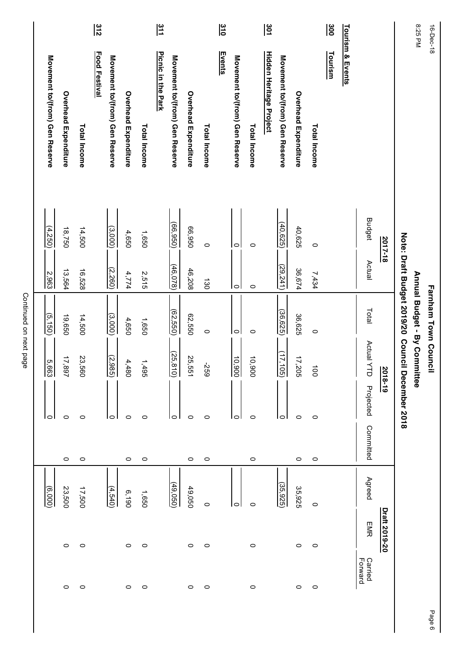|                                |                      |              | $rac{312}{2}$        |                                |                      |              | $\frac{31}{1}$     |                                |                      |                 | $rac{310}{2}$ |                                |              | $\frac{301}{2}$                |                                |                      |                | ခြိ            |                  |                           |               |                                    | 8:25 PM                      | 16-Dec-18            |
|--------------------------------|----------------------|--------------|----------------------|--------------------------------|----------------------|--------------|--------------------|--------------------------------|----------------------|-----------------|---------------|--------------------------------|--------------|--------------------------------|--------------------------------|----------------------|----------------|----------------|------------------|---------------------------|---------------|------------------------------------|------------------------------|----------------------|
| Movement to/(from) Gen Reserve | Overhead Expenditure | Total Income | <b>Food Festival</b> | Movement to/(from) Gen Reserve | Overhead Expenditure | Total Income | Picnic in the Park | Movement to/(from) Gen Reserve | Overhead Expenditure | Total Income    | <b>Events</b> | Movement to/(from) Gen Reserve | Total Income | <b>Hidden Heritage Project</b> | Movement to/(from) Gen Reserve | Overhead Expenditure | Total Income   | <b>Tourism</b> | Tourism & Events |                           |               |                                    |                              |                      |
| $\frac{(4.250)}{2}$            | 18,750               | 14,500       |                      | (3,000)                        | 4,650                | 1,650        |                    | (66, 950)                      | 026,99               | $\circ$         |               | $\circ$                        | $\circ$      |                                | (40,625)                       | 40,625               | $\circ$        |                |                  | <b>Budget</b>             | 2017-18       |                                    |                              |                      |
| $rac{2,963}{2}$                | 13,564               | 16,528       |                      | (2,260)                        | 4,774                | 2,515        |                    | (46,078)                       | 46,208               | $\frac{130}{2}$ |               | $\circ$                        | $\circ$      |                                | (29, 241)                      | 36,674               | 7,434          |                |                  | Actual                    |               |                                    |                              |                      |
| (5,150)                        | 19,650               | 14,500       |                      | (3,000)                        | 4,650                | 1,650        |                    | (62, 550)                      | 62,550               | $\circ$         |               | $\circ$                        | $\circ$      |                                | (36, 625)                      | 36,625               | $\circ$        |                |                  | Total                     |               | Note: Draft Budget 2019/20 Council | Annual Budget - By Committee | Farnham Town Council |
| $\frac{5.663}{5}$              | 17,897               | 23,560       |                      | (2,985)                        | 4,480                | 1,495        |                    | (25, 810)                      | 25,551               | 692-            |               | $\frac{10,900}{2}$             | 10,900       |                                | (17, 105)                      | 17,205               | $\overline{5}$ |                |                  | Actual Y<br>$\exists$     | 2018-19       |                                    |                              |                      |
| lo                             | 0                    | $\circ$      |                      | 0                              | $\circ$              | $\circ$      |                    | $\circ$                        | $\circ$              | 0               |               | 0                              | $\circ$      |                                | 0                              | $\circ$              | $\circ$        |                |                  | Projected                 |               | December 2018                      |                              |                      |
|                                | $\circ$              | $\circ$      |                      |                                | $\circ$              | $\circ$      |                    |                                | $\circ$              | 0               |               |                                | $\circ$      |                                |                                | $\circ$              | $\circ$        |                |                  | Committed                 |               |                                    |                              |                      |
| $\frac{(6.000)}{2}$            | 23,500               | 17,500       |                      | (4,540)                        | 6,190                | 1,650        |                    | (49,050)                       | 49,050               | $\circ$         |               | $\circ$                        | $\circ$      |                                | (35, 925)                      | 35,925               | $\circ$        |                |                  | Agreed                    |               |                                    |                              |                      |
|                                | $\circ$              | $\circ$      |                      |                                | $\circ$              | $\circ$      |                    |                                | $\circ$              | $\circ$         |               |                                | $\circ$      |                                |                                | $\circ$              | $\circ$        |                |                  | <b>EMR</b>                | Draft 2019-20 |                                    |                              |                      |
|                                | $\circ$              | $\circ$      |                      |                                | $\circ$              | $\circ$      |                    |                                | $\circ$              | $\circ$         |               |                                | $\circ$      |                                |                                | $\circ$              | $\circ$        |                |                  | <b>Carried</b><br>Forward |               |                                    |                              |                      |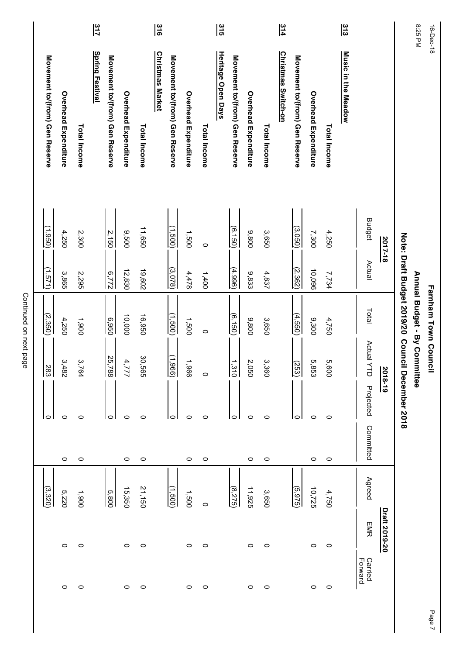|                                |                             |                             | 317                    |                                |                      |              | $\frac{3}{16}$          |                                |                      |              | $rac{3}{2}$        |                                |                      |              | $rac{314}{1}$              |                                |                      |                     | $rac{313}{2}$       |                    |               |                                   | 8:25 PM                      | 16-Dec-18            |
|--------------------------------|-----------------------------|-----------------------------|------------------------|--------------------------------|----------------------|--------------|-------------------------|--------------------------------|----------------------|--------------|--------------------|--------------------------------|----------------------|--------------|----------------------------|--------------------------------|----------------------|---------------------|---------------------|--------------------|---------------|-----------------------------------|------------------------------|----------------------|
| Movement to/(from) Gen Reserve | Overhead Expenditure        | <b>Total Income</b>         | <b>Spring Festival</b> | Movement to/(from) Gen Reserve | Overhead Expenditure | Total Income | <b>Christmas Market</b> | Movement to/(from) Gen Reserve | Overhead Expenditure | Total Income | Heritage Open Days | Movement to/(from) Gen Reserve | Overhead Expenditure | Total Income | <u>Christmas Switch-on</u> | Movement to/(from) Gen Reserve | Overhead Expenditure | <b>Total Income</b> | Music in the Meadow |                    |               |                                   |                              |                      |
| (1,950)                        | 4,250                       | 2,300                       |                        | $\frac{2,150}{ }$              | 9,500                | 11,650       |                         | (1,500)                        | 1,500                | $\circ$      |                    | (6, 150)                       | 9,800                | 3,650        |                            | (3,050)                        | 7,300                | 4,250               |                     | <b>Budget</b>      | 2017-18       |                                   |                              |                      |
| (1.571)                        | 3,865                       | 2,295                       |                        | $rac{6.772}{5}$                | 12,830               | 19,602       |                         | (3.078)                        | 4,478                | 1,400        |                    | (4,996)                        | 9,833                | 4,837        |                            | (2, 362)                       | 10,096               | 7,734               |                     | Actual             |               |                                   |                              |                      |
| (2,350)                        | 4,250                       | 1,900                       |                        | 6,950                          | 10,000               | 16,950       |                         | (1,500)                        | 1,500                | $\circ$      |                    | (6,150)                        | 9,800                | 3,650        |                            | (4,550)                        | 9,300                | 4,750               |                     | Total              |               | Note: Draft Budget 2019/20 Counci | Annual Budget - By Committee | Farnham Town Council |
| $\frac{28}{8}$                 | $\tilde{\mathbf{c}}$<br>482 | $\tilde{\mathbf{c}}$<br>764 |                        | 25,7<br>18                     | 4,777                | 30,565       |                         | (1,966)                        | 1,966                | $\circ$      |                    | $\frac{1,310}{1,310}$          | Ñ,<br>090            | 3,360        |                            | (253)                          | ιő,<br>853           | ō,<br>009           |                     | Actual Y<br>금      | 2018-19       |                                   |                              |                      |
|                                | $\circ$                     | $\circ$                     |                        | $\circ$                        | $\circ$              | $\circ$      |                         | $\circ$                        | $\circ$              | $\circ$      |                    | $\circ$                        | $\circ$              | $\circ$      |                            | 0                              | $\circ$              | $\circ$             |                     | Projected          |               | December 2018                     |                              |                      |
|                                | $\circ$                     | $\circ$                     |                        |                                | $\circ$              | 0            |                         |                                | $\circ$              | $\circ$      |                    |                                | $\circ$              | 0            |                            |                                | $\circ$              | $\circ$             |                     | Committed          |               |                                   |                              |                      |
| (3,320)                        | 5,220                       | 0061                        |                        | 5,800                          | 15,350               | 21,150       |                         | (005')                         | 1,500                | $\circ$      |                    | (8.275)                        | 11,925               | 3,650        |                            | (5, 975)                       | 10,725               | 4,750               |                     | Agreed             |               |                                   |                              |                      |
|                                | $\circ$                     | $\circ$                     |                        |                                | $\circ$              | $\circ$      |                         |                                | $\circ$              | $\circ$      |                    |                                | $\circ$              | $\circ$      |                            |                                | $\circ$              | $\circ$             |                     | <b>EMR</b>         | Draft 2019-20 |                                   |                              |                      |
|                                | $\circ$                     | $\circ$                     |                        |                                | $\circ$              | $\circ$      |                         |                                | 0                    | $\circ$      |                    |                                | $\circ$              | $\circ$      |                            |                                | $\circ$              | $\circ$             |                     | Carried<br>Forward |               |                                   |                              |                      |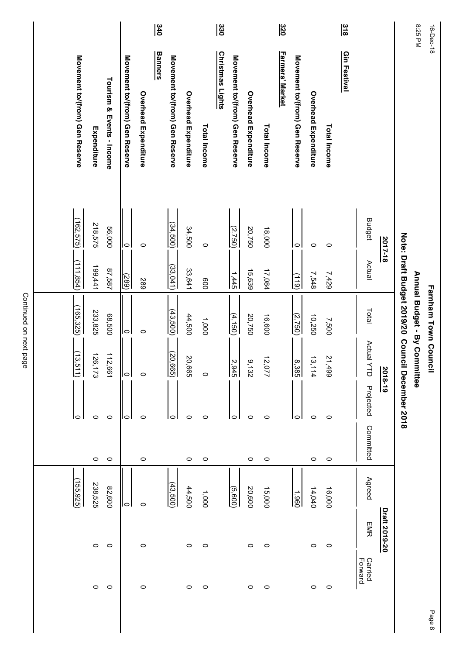| <u>2017-18</u> |                       | Note: Draft Budget 2019/20 Council |                       | December 2018                     |           |            |               |                           |
|----------------|-----------------------|------------------------------------|-----------------------|-----------------------------------|-----------|------------|---------------|---------------------------|
|                |                       |                                    | 2018-19               |                                   |           |            | Draft 2019-20 |                           |
| <b>Budget</b>  | Actual                | Total                              | Actual Y<br>$\exists$ | Projected                         | Committed | Agreed     | <b>EMR</b>    | <b>Carried</b><br>Forward |
|                |                       |                                    |                       |                                   |           |            |               |                           |
| $\circ$        | 7,429                 | 7,500                              | 21,499                | $\circ$                           | $\circ$   | 16,000     | $\circ$       |                           |
| $\circ$        | 7,548                 | 10,250                             | 13.<br>114            | $\circ$                           | $\circ$   | 14,040     | $\circ$       |                           |
| lo I           | (119)                 | (2,750)                            |                       | lo                                |           | 1,960      |               |                           |
|                |                       |                                    |                       |                                   |           |            |               |                           |
| 18,000         | 17,084                | 16,600                             | 12,1<br><b>777</b>    | $\circ$                           | $\circ$   | 15,000     | $\circ$       |                           |
| 20,750         | 15,639                | 20,750                             | ٥.<br>$\frac{32}{2}$  | 0                                 | $\circ$   | 20,600     | $\circ$       |                           |
| (2,750)        | $\frac{1,445}{1,445}$ | (4,150)                            |                       | $\circ$                           |           | (5,600)    |               |                           |
|                |                       |                                    |                       |                                   |           |            |               |                           |
| $\circ$        | 009                   | 1,000                              | $\circ$               | $\circ$                           | $\circ$   | 1,000      | $\circ$       |                           |
| 34,500         | 33,641                | 44,500                             | 20,665                | $\circ$                           | $\circ$   | 44,500     | $\circ$       |                           |
| (34,500)       | (33,041)              | (43,500)                           | (20, 665)             | lo                                |           | (43,500)   |               |                           |
|                |                       |                                    |                       |                                   |           |            |               |                           |
| $\circ$        | 589                   | $\circ$                            | $\circ$               | $\circ$                           | $\circ$   | 0          | 0             |                           |
|                |                       |                                    |                       | $\circ$                           |           | ol         |               |                           |
| 56,000         | 87,587                | 68,500                             | 112,<br>$-199'$       | 0                                 | $\circ$   | 82,600     | $\circ$       |                           |
| 218,575        | 199,441               | 233,825                            | 126,173               | 0                                 | $\circ$   | 238,525    | $\circ$       |                           |
| (162, 575)     | (111, 854)            | (165, 325)                         | (13.5)<br>Ë           | lo                                |           | (155, 925) |               |                           |
|                | llol                  | $\sqrt{\frac{289}{2}}$             | llol                  | $\frac{2,945}{ }$<br>8,385<br>ا⊲ا |           |            |               |                           |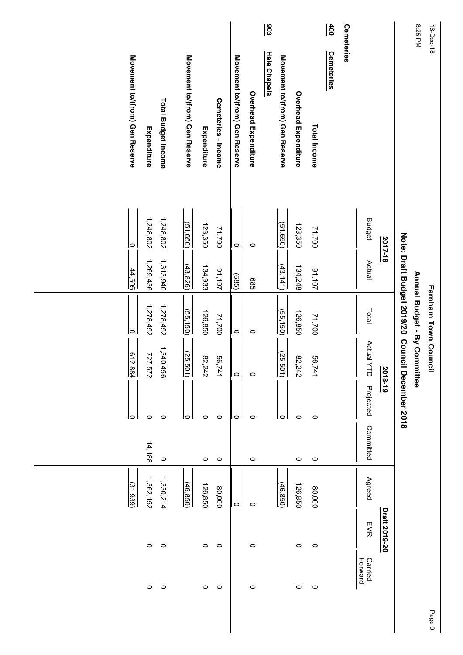| 16-Dec-18         |                                |               |                   | Farnham Town Council                                               |            |               |           |           |               |                    | Pai |
|-------------------|--------------------------------|---------------|-------------------|--------------------------------------------------------------------|------------|---------------|-----------|-----------|---------------|--------------------|-----|
| 8:25 PM           |                                |               |                   | Note: Draft Budget 2019/20 Council<br>Annual Budget - By Committee |            | December 2018 |           |           |               |                    |     |
|                   |                                | 2017-18       |                   |                                                                    | 2018-19    |               |           |           | Draft 2019-20 |                    |     |
|                   |                                | <b>Budget</b> | Actual            | Total                                                              | Actual YTD | Projected     | Committed | Agreed    | EMR           | Carried<br>Forward |     |
| <u>Cemeteries</u> |                                |               |                   |                                                                    |            |               |           |           |               |                    |     |
| $\frac{4}{100}$   | <b>Cemeteries</b>              |               |                   |                                                                    |            |               |           |           |               |                    |     |
|                   | Total Income                   | 71,700        | 91,107            | 71,700                                                             | 56,741     | $\circ$       | $\circ$   | 80,000    | $\circ$       | $\circ$            |     |
|                   | Overhead Expenditure           | 123,350       | 134,248           | 126,850                                                            | 82,242     | $\circ$       | $\circ$   | 126,850   | $\circ$       | $\circ$            |     |
|                   | Movement to/(from) Gen Reserve | (51, 650)     | (43, 141)         | (55, 150)                                                          | (25, 501)  | 0             |           | (46, 850) |               |                    |     |
| $\frac{903}{2}$   | <b>Hale Chapels</b>            |               |                   |                                                                    |            |               |           |           |               |                    |     |
|                   | Overhead Expenditure           | $\circ$       | 989               | $\circ$                                                            | $\circ$    | $\circ$       | $\circ$   | $\circ$   | $\circ$       | $\circ$            |     |
|                   | Movement to/(from) Gen Reserve | $\circ$       | $\frac{1}{(685)}$ | $\circ$                                                            | $\circ$    | $\circ$       |           | $\circ$   |               |                    |     |
|                   | Cemeteries - Income            | 71,700        | 91,107            | 71,700                                                             | 56,741     | $\circ$       | $\circ$   | 80,000    | $\circ$       | $\circ$            |     |
|                   | Expenditure                    | 123,350       | 134,933           | 126,850                                                            | 82,242     | $\circ$       | $\circ$   | 126,850   | $\circ$       | $\circ$            |     |
|                   | Movement to/(from) Gen Reserve | (51, 650)     | (43,826)          | (55, 150)                                                          | (25, 501)  | 10            |           | (46, 850) |               |                    |     |
|                   | Total Budget Income            | 1,248,802     | 1,313,940         | 1,278,452                                                          | 1,340,456  | $\circ$       | $\circ$   | 1,330,214 | $\circ$       | $\circ$            |     |
|                   | Expenditure                    | 1,248,802     | 1,269,436         | 1,278,452                                                          | 727,572    | $\circ$       | 14,188    | 1,362,152 | $\circ$       | $\circ$            |     |
|                   | Movement to/(from) Gen Reserve | $\circ$       | 44,505            | $\circ$                                                            | 612,884    | lo            |           | (31,939)  |               |                    |     |
|                   |                                |               |                   |                                                                    |            |               |           |           |               |                    |     |
|                   |                                |               |                   |                                                                    |            |               |           |           |               |                    |     |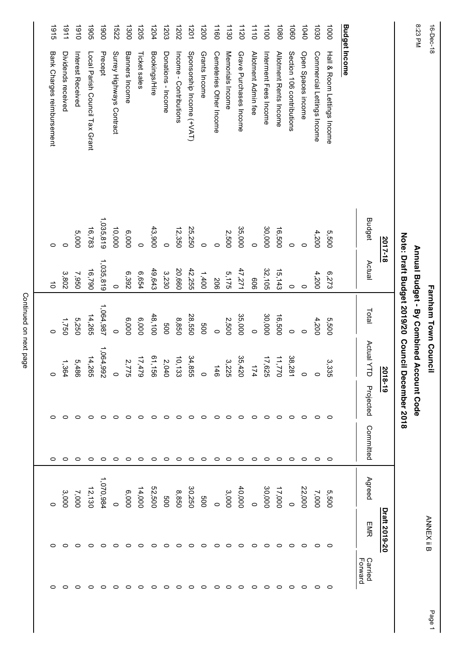| 8:23 PM<br>16-Dec-18 |                                |               |           | Annual Budget - By Combined Account Code<br>Farnham Town Council |                                 |               |           |           | <b>ANNEX ii B</b> |                    |
|----------------------|--------------------------------|---------------|-----------|------------------------------------------------------------------|---------------------------------|---------------|-----------|-----------|-------------------|--------------------|
|                      |                                | 2017-18       |           | Note: Draft Budget 2019/20 Council                               | 2018-19                         | December 2018 |           |           | Draft 2019-20     |                    |
|                      |                                | <b>Budget</b> | Actual    | Total                                                            | Actual Y<br>J                   | Projected     | Committed | Agreed    | <b>EMR</b>        | Carried<br>Forward |
|                      |                                |               |           |                                                                  |                                 |               |           |           |                   |                    |
|                      | Budget Income                  |               |           |                                                                  |                                 |               |           |           |                   |                    |
| 1000                 | Hall & Room Lettings Income    | 5,500         | 6,273     | 5,500                                                            | 3,335                           | $\circ$       | $\circ$   | 5,500     | 0                 | $\circ$            |
| 1030                 | Commercial Lettings Income     | 4,200         | 4,200     | 4,200                                                            |                                 | 0             | $\circ$   | 7,000     | 0                 | $\circ$            |
| 1040                 | Open Spaces income             | $\circ$       | $\circ$   | $\circ$                                                          | $\circ$                         | $\circ$       | $\circ$   | 22,000    | っ                 | 0                  |
| 1060                 | Section 106 contributions      | $\circ$       | $\circ$   | $\circ$                                                          | 38,281                          | 0             | $\circ$   |           | 0                 | 0                  |
| 1080                 | Allotment Rents Income         | 16,500        | 15,143    | 16,500                                                           | 11,770                          | っ             | $\circ$   | 17,000    | $\circ$           | $\circ$            |
| 1100                 | Interment Fees Income          | 30,000        | 32,105    | 30,000                                                           | 17,625                          | 0             | $\circ$   | 30,000    | 0                 | 0                  |
| 111                  | Allotment Admin fee            | $\circ$       | 909       | $\circ$                                                          | 174                             | 0             | $\circ$   |           | 0                 | 0                  |
| 1120                 | Grave Purchases Income         | 35,000        | 47,271    | 35,000                                                           | 35,420                          | $\circ$       | $\circ$   | 40,000    | $\circ$           | $\circ$            |
| 1130                 | Memorials Income               | 2,500         | 5,175     | 2,500                                                            | 3,225                           | $\circ$       | $\circ$   | 3,000     | $\circ$           | $\circ$            |
| 1160                 | Cemeteries Other Income        | $\circ$       | 506       | $\circ$                                                          | $\frac{146}{1}$                 | 0             | 0         |           | 0                 | 0                  |
| 1200                 | Grants Income                  | $\circ$       | 1,400     | 009                                                              | $\circ$                         | 0             | $\circ$   | 009       | 0                 | 0                  |
| 1201                 | Sponsorship Income (+VAT)      | 25,250        | 42,255    | 28,550                                                           | 34,855                          | 0             | $\circ$   | 30,250    | 0                 | $\circ$            |
| 1202                 | Income - Contributions         | 12,350        | 20,660    | 8,850                                                            | 10,133                          | 0             | $\circ$   | 8,850     | 0                 | $\circ$            |
| 1203                 | Donations - Income             | $\circ$       | 3,230     | 009                                                              |                                 | 0             | $\circ$   | 800       | 0                 | 0                  |
| 1204                 | Bookings/Hire                  | 43,900        | 49,643    | 48,100                                                           | $2,040$<br>$61,156$<br>$17,479$ | 0             | $\circ$   | 52,500    | 0                 | 0                  |
| 1205                 | Ticket sales                   | $\circ$       | 6,654     | 6,000                                                            |                                 | o             | $\circ$   | 14,000    | o                 | 0                  |
| 1300                 | Banners Income                 | 6,000         | 6,392     | 6,000                                                            | 2,7<br>S,                       | 0             | $\circ$   | 000'9     | 0                 | 0                  |
| 1522                 | Surrey Highways Contract       | 10,000        | $\circ$   | $\circ$                                                          | 0                               | っ             | 0         | $\circ$   | 0                 | ○                  |
| 0061                 | Precept                        | 1,035,819     | 1,035,819 | 1,064,987                                                        | 1,064,992                       | o             | $\circ$   | 1,070,984 | o                 |                    |
| <b>1905</b>          | Local Parish Council Tax Grant | 16,783        | 16,790    | 14,265                                                           | 14,265                          | 0             | 0         | 12,130    | 0                 |                    |
| 0161                 | Interest Received              | 5,000         | 7,950     | 5,250                                                            |                                 |               | ○         | 7,000     |                   |                    |
| 1161                 | Dividends received             | $\circ$       | 3,802     | 1,750                                                            | 5,486<br>1,364                  | c             | ○         | 3,000     |                   |                    |
| 1915                 | Bank Charges reimbursement     | $\circ$       | $\vec{o}$ | $\circ$                                                          |                                 |               | 0         |           |                   |                    |
|                      |                                |               |           |                                                                  |                                 |               |           |           |                   |                    |

Page 1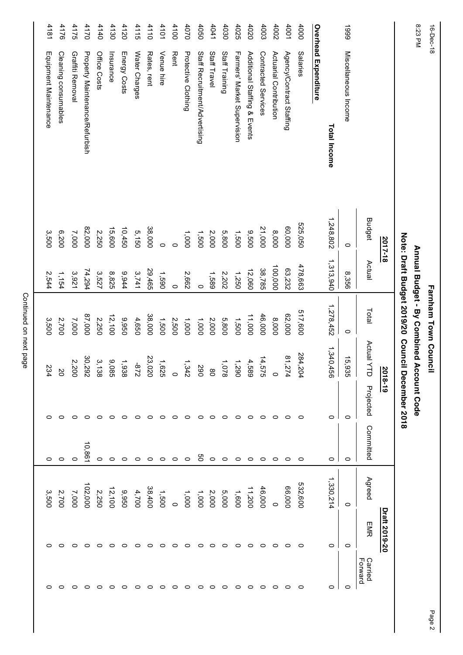| 8:23 PM<br>16-Dec-18 |                                       |               |           | Annual Budget - By Combined Account Code<br>Farnham Town Council |                               |               |           |           |               |                    |
|----------------------|---------------------------------------|---------------|-----------|------------------------------------------------------------------|-------------------------------|---------------|-----------|-----------|---------------|--------------------|
|                      |                                       |               |           | Note: Draft Budget 2019/20 Council                               |                               | December 2018 |           |           |               |                    |
|                      |                                       | 2017-18       |           |                                                                  | $\frac{2018-19}{20}$          |               |           |           | Draft 2019-20 |                    |
|                      |                                       | <b>Budget</b> | Actual    | Total                                                            | Actual Y<br>급                 | Projected     | Committed | Agreed    | EMR           | Carried<br>Forward |
| 6661                 | Miscellaneous Income                  | $\circ$       | 8,356     | $\circ$                                                          | 15,935                        | $\circ$       | $\circ$   | $\circ$   | $\circ$       | $\circ$            |
|                      | Total Income                          | 1,248,802     | 1,313,940 | 1,278,452                                                        | 1,340,456                     | $\circ$       | $\circ$ 1 | 1,330,214 | $\circ$       | 0                  |
|                      | <b>Overhead Expenditure</b>           |               |           |                                                                  |                               |               |           |           |               |                    |
| 4000                 | <b>Salaries</b>                       | 525,050       | 478,663   | 517,600                                                          | 284,204                       | $\circ$       | $\circ$   | 532,600   | $\circ$       | 0                  |
| 4001                 | Agency/Contract Staffing              | 60,000        | 63,232    | 62,000                                                           | 81,274                        | $\circ$       | $\circ$   | 66,000    | $\circ$       | $\circ$            |
| 4002                 | Actuarial Contribution                | 8,000         | 100,000   | 8,000                                                            | $\circ$                       | 0             | $\circ$   | $\circ$   | 0             | 0                  |
| 4003                 | Contracted Services                   | 21,000        | 38,785    | 46,000                                                           | 14,575                        | 0             | $\circ$   | 46,000    | 0             | 0                  |
| 4020                 | Additional Staffing & Events          | 9,500         | 12,060    | 11,000                                                           |                               | っ             | $\circ$   | 11,200    | $\circ$       | 0                  |
| 4025                 | Farmers' Market Supervision           | 1,500         | 1,250     | 1,500                                                            | $4,588$<br>$1,290$<br>$1,290$ | 0             | $\circ$   | 1,600     | $\circ$       | 0                  |
| 4030                 | Staff Training                        | 5,800         | 2,202     | 5,800                                                            |                               | っ             | $\circ$   | 000'S     | $\circ$       | $\circ$            |
| 4041                 | Staff Travel                          | 2,000         | 1,589     | 2,000                                                            | $\infty$                      | $\circ$       | $\circ$   | 2,000     | $\circ$       | $\circ$            |
| 4050                 | Staff Recruitment/Advertising         | 1,500         | $\circ$   | 1,000                                                            | 590                           | 0             | පි        | 1,000     | 0             | $\circ$            |
| 4070                 | Protective Clothing                   | 1,000         | 2,662     | 1,000                                                            | 1,342                         | $\circ$       | $\circ$   | 1,000     | $\circ$       | $\circ$            |
| 4100                 | <b>Rent</b>                           | $\circ$       | $\circ$   | 2,500                                                            | $\circ$                       | 0             | $\circ$   | $\circ$   | $\circ$       | $\circ$            |
| 4101                 | Venue hire                            | $\circ$       | 1,590     | 1,500                                                            |                               | っ             | $\circ$   | 1,500     | 0             | $\circ$            |
| 4110                 | Rates, rent                           | 38,000        | 29,465    | 38,000                                                           | $1,625$<br>23,020             | 0             | $\circ$   | 38,400    | $\circ$       | $\circ$            |
| 4115                 | Water Charges                         | 5,150         | 3,741     | 4,650                                                            | $228 -$                       | ○             | $\circ$   | 4,700     | 0             | 0                  |
| 4120                 | Energy Costs                          | 10,450        | 9,944     | 9,950                                                            | 1,938                         | ○             | ◠         | 9,950     | $\circ$       | $\circ$            |
| 4130                 | Insurance                             | 15,600        | 8,825     | 12,100                                                           | Ο,<br>9S                      | ⊂             | $\circ$   | 12,100    | 0             | 0                  |
| 4140                 | Office Costs                          | 2,250         | 3,527     | 2,250                                                            | 3,138                         |               | 0         | 2,250     | 0             | 0                  |
| 4170                 | <b>Property Maintenance/Refurbish</b> | 82,000        | 74,294    | 000'28                                                           | 30,292                        |               | 10,861    | 102,000   | ◠             |                    |
| 4175                 | Graffiti Removal                      | 7,000         | 3,921     | 7,000                                                            | 2,200                         |               | 0         | 7,000     |               |                    |
| 4176                 | Cleaning consumables                  | 6,200         | 1,154     | 2,700                                                            | <b>SO</b>                     |               |           | 2,700     |               |                    |
| 4181                 | Equipment Maintenance                 | 3,500         | 2,544     | 3,500                                                            | 234                           |               |           | 3,500     |               |                    |
|                      |                                       |               |           |                                                                  |                               |               |           |           |               |                    |

Page 2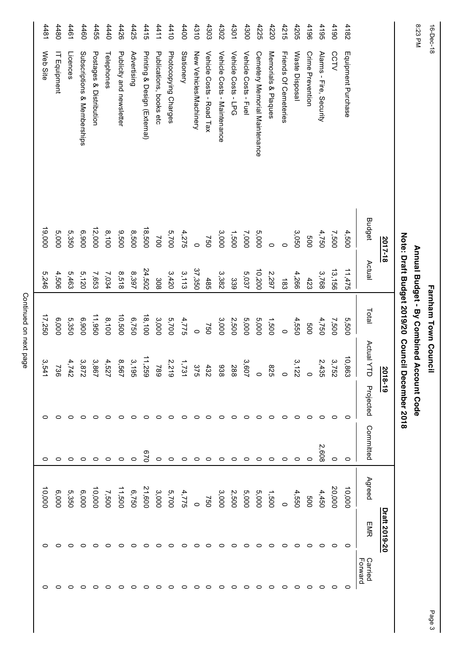| 4182<br>4481<br>4480<br>4461<br>4460<br>4455<br>4411<br>4400<br>4310<br>4303<br>4302<br>4301<br>4300<br>4225<br>4220<br>4215<br>4205<br>4196<br>4195<br>4190<br>4440<br>4426<br>4425<br>4415<br>4410<br>Web Site<br>Licences<br>Postages & Distribution<br>Publicity and newsletter<br>Printing & Design (External)<br>Photocopying Charges<br><b>Stationery</b><br>New Vehicles/Machinery<br>Vehicle Costs - Road Tax<br>Vehicle Costs - Maintenance<br>Vehicle Costs - Fuel<br>Memorials & Plaques<br>Friends Of Cemeteries<br>Equipment Purchase<br>Subscriptions & Memberships<br>Advertising<br>Publications, books etc<br>Vehicle Costs - LPG<br>Cemetery Memorial Maintenance<br>Waste Disposal<br>Alarms - Fire, Security<br><b>CCTV</b><br>IT Equipment<br>Telephones<br>Crime Prevention<br><b>Budget</b><br>19,000<br>12,000<br>18,500<br>8,100<br>5,000<br>5,350<br>006'9<br>9,500<br>8,500<br>5,700<br>5,000<br>3,050<br>4,750<br>4,500<br>4,275<br>3,000<br>1,500<br>7,000<br>7,500<br>Note: Draft Budget 2019/20 Council<br>009<br>750<br>700<br>2017-18<br>$\circ$<br>$\circ$<br>$\circ$<br>Actual<br>37,350<br>13,156<br>11,475<br>24,502<br>10,200<br>8,397<br>3,113<br>3,768<br>4,506<br>5,463<br>8,518<br>3,420<br>3,382<br>5,037<br>2,297<br>4,266<br>5,246<br>5,120<br>7,653<br>7,034<br>485<br>339<br>423<br>308<br>$\frac{183}{2}$<br>Total<br>10,500<br>17,250<br>11,950<br>18,100<br>6,000<br>5,350<br>6,900<br>8,100<br>6,750<br>3,000<br>5,700<br>5,000<br>5,000<br>4,775<br>3,000<br>1,500<br>5,500<br>2,500<br>4,550<br>4,750<br>7,500<br>009<br>097<br>$\circ$<br>$\circ$<br>Actual Y<br>10,863<br>11,259<br>ی<br>د<br>3,752<br>3,867<br>8,567<br>3,872<br>4,5<br>2,435<br>3,607<br>ىي<br>3,541<br>4,7<br>736<br>288<br>938<br><b>825</b><br>2018-19<br>G6I<br>22<br>급<br>$\tilde{z}$<br>$\ddot{4}$<br>$\circ$<br>December 2018<br>$\circ$<br>$\circ$<br>Projected<br>O<br>o<br>o<br>0<br>o<br>0<br>0<br>0<br>0<br>$\circ$<br>0<br>0<br>c<br>Committed<br>2,608<br>029<br>0<br>$\circ$<br>0<br>$\circ$<br>0<br>$\circ$<br>$\circ$<br>$\circ$<br>0<br>0<br>0<br>0<br>$\circ$<br>$\circ$<br>Agreed<br>20,000<br>10,000<br>21,600<br>10,000<br>11,500<br>10,000<br>5,350<br>6,750<br>5,700<br>5,000<br>5,000<br>6,000<br>6,000<br>3,000<br>4,775<br>3,000<br>4,450<br>2,500<br>1,500<br>4,550<br>7,500<br>009<br>750<br>$\circ$<br>O<br><b>EMR</b> | 16-Dec-18<br>8:23 PM |  | Farnham Town Council | Annual Budget - By Combined Account Code |  |               |                    |
|--------------------------------------------------------------------------------------------------------------------------------------------------------------------------------------------------------------------------------------------------------------------------------------------------------------------------------------------------------------------------------------------------------------------------------------------------------------------------------------------------------------------------------------------------------------------------------------------------------------------------------------------------------------------------------------------------------------------------------------------------------------------------------------------------------------------------------------------------------------------------------------------------------------------------------------------------------------------------------------------------------------------------------------------------------------------------------------------------------------------------------------------------------------------------------------------------------------------------------------------------------------------------------------------------------------------------------------------------------------------------------------------------------------------------------------------------------------------------------------------------------------------------------------------------------------------------------------------------------------------------------------------------------------------------------------------------------------------------------------------------------------------------------------------------------------------------------------------------------------------------------------------------------------------------------------------------------------------------------------------------------------------------------------------------------------------------------------------------------------------------------------------------------------------------------------------------------------------------------------------------------------------------------------------------------------------------------------------------------------------------------|----------------------|--|----------------------|------------------------------------------|--|---------------|--------------------|
|                                                                                                                                                                                                                                                                                                                                                                                                                                                                                                                                                                                                                                                                                                                                                                                                                                                                                                                                                                                                                                                                                                                                                                                                                                                                                                                                                                                                                                                                                                                                                                                                                                                                                                                                                                                                                                                                                                                                                                                                                                                                                                                                                                                                                                                                                                                                                                                |                      |  |                      |                                          |  | Draft 2019-20 |                    |
|                                                                                                                                                                                                                                                                                                                                                                                                                                                                                                                                                                                                                                                                                                                                                                                                                                                                                                                                                                                                                                                                                                                                                                                                                                                                                                                                                                                                                                                                                                                                                                                                                                                                                                                                                                                                                                                                                                                                                                                                                                                                                                                                                                                                                                                                                                                                                                                |                      |  |                      |                                          |  |               | Carried<br>Forward |
|                                                                                                                                                                                                                                                                                                                                                                                                                                                                                                                                                                                                                                                                                                                                                                                                                                                                                                                                                                                                                                                                                                                                                                                                                                                                                                                                                                                                                                                                                                                                                                                                                                                                                                                                                                                                                                                                                                                                                                                                                                                                                                                                                                                                                                                                                                                                                                                |                      |  |                      |                                          |  | $\circ$       | $\circ$            |
|                                                                                                                                                                                                                                                                                                                                                                                                                                                                                                                                                                                                                                                                                                                                                                                                                                                                                                                                                                                                                                                                                                                                                                                                                                                                                                                                                                                                                                                                                                                                                                                                                                                                                                                                                                                                                                                                                                                                                                                                                                                                                                                                                                                                                                                                                                                                                                                |                      |  |                      |                                          |  | 0             | 0                  |
|                                                                                                                                                                                                                                                                                                                                                                                                                                                                                                                                                                                                                                                                                                                                                                                                                                                                                                                                                                                                                                                                                                                                                                                                                                                                                                                                                                                                                                                                                                                                                                                                                                                                                                                                                                                                                                                                                                                                                                                                                                                                                                                                                                                                                                                                                                                                                                                |                      |  |                      |                                          |  | 0             | $\circ$            |
|                                                                                                                                                                                                                                                                                                                                                                                                                                                                                                                                                                                                                                                                                                                                                                                                                                                                                                                                                                                                                                                                                                                                                                                                                                                                                                                                                                                                                                                                                                                                                                                                                                                                                                                                                                                                                                                                                                                                                                                                                                                                                                                                                                                                                                                                                                                                                                                |                      |  |                      |                                          |  | $\circ$       | $\circ$            |
|                                                                                                                                                                                                                                                                                                                                                                                                                                                                                                                                                                                                                                                                                                                                                                                                                                                                                                                                                                                                                                                                                                                                                                                                                                                                                                                                                                                                                                                                                                                                                                                                                                                                                                                                                                                                                                                                                                                                                                                                                                                                                                                                                                                                                                                                                                                                                                                |                      |  |                      |                                          |  | 0             | 0                  |
|                                                                                                                                                                                                                                                                                                                                                                                                                                                                                                                                                                                                                                                                                                                                                                                                                                                                                                                                                                                                                                                                                                                                                                                                                                                                                                                                                                                                                                                                                                                                                                                                                                                                                                                                                                                                                                                                                                                                                                                                                                                                                                                                                                                                                                                                                                                                                                                |                      |  |                      |                                          |  |               | 0                  |
|                                                                                                                                                                                                                                                                                                                                                                                                                                                                                                                                                                                                                                                                                                                                                                                                                                                                                                                                                                                                                                                                                                                                                                                                                                                                                                                                                                                                                                                                                                                                                                                                                                                                                                                                                                                                                                                                                                                                                                                                                                                                                                                                                                                                                                                                                                                                                                                |                      |  |                      |                                          |  | $\circ$       | $\circ$            |
|                                                                                                                                                                                                                                                                                                                                                                                                                                                                                                                                                                                                                                                                                                                                                                                                                                                                                                                                                                                                                                                                                                                                                                                                                                                                                                                                                                                                                                                                                                                                                                                                                                                                                                                                                                                                                                                                                                                                                                                                                                                                                                                                                                                                                                                                                                                                                                                |                      |  |                      |                                          |  | 0             | 0                  |
|                                                                                                                                                                                                                                                                                                                                                                                                                                                                                                                                                                                                                                                                                                                                                                                                                                                                                                                                                                                                                                                                                                                                                                                                                                                                                                                                                                                                                                                                                                                                                                                                                                                                                                                                                                                                                                                                                                                                                                                                                                                                                                                                                                                                                                                                                                                                                                                |                      |  |                      |                                          |  |               | $\circ$            |
|                                                                                                                                                                                                                                                                                                                                                                                                                                                                                                                                                                                                                                                                                                                                                                                                                                                                                                                                                                                                                                                                                                                                                                                                                                                                                                                                                                                                                                                                                                                                                                                                                                                                                                                                                                                                                                                                                                                                                                                                                                                                                                                                                                                                                                                                                                                                                                                |                      |  |                      |                                          |  | o             | $\circ$            |
|                                                                                                                                                                                                                                                                                                                                                                                                                                                                                                                                                                                                                                                                                                                                                                                                                                                                                                                                                                                                                                                                                                                                                                                                                                                                                                                                                                                                                                                                                                                                                                                                                                                                                                                                                                                                                                                                                                                                                                                                                                                                                                                                                                                                                                                                                                                                                                                |                      |  |                      |                                          |  | 0             | 0                  |
|                                                                                                                                                                                                                                                                                                                                                                                                                                                                                                                                                                                                                                                                                                                                                                                                                                                                                                                                                                                                                                                                                                                                                                                                                                                                                                                                                                                                                                                                                                                                                                                                                                                                                                                                                                                                                                                                                                                                                                                                                                                                                                                                                                                                                                                                                                                                                                                |                      |  |                      |                                          |  | $\circ$       | $\circ$            |
|                                                                                                                                                                                                                                                                                                                                                                                                                                                                                                                                                                                                                                                                                                                                                                                                                                                                                                                                                                                                                                                                                                                                                                                                                                                                                                                                                                                                                                                                                                                                                                                                                                                                                                                                                                                                                                                                                                                                                                                                                                                                                                                                                                                                                                                                                                                                                                                |                      |  |                      |                                          |  | 0             | 0                  |
|                                                                                                                                                                                                                                                                                                                                                                                                                                                                                                                                                                                                                                                                                                                                                                                                                                                                                                                                                                                                                                                                                                                                                                                                                                                                                                                                                                                                                                                                                                                                                                                                                                                                                                                                                                                                                                                                                                                                                                                                                                                                                                                                                                                                                                                                                                                                                                                |                      |  |                      |                                          |  | 0             | 0                  |
|                                                                                                                                                                                                                                                                                                                                                                                                                                                                                                                                                                                                                                                                                                                                                                                                                                                                                                                                                                                                                                                                                                                                                                                                                                                                                                                                                                                                                                                                                                                                                                                                                                                                                                                                                                                                                                                                                                                                                                                                                                                                                                                                                                                                                                                                                                                                                                                |                      |  |                      |                                          |  | o             | っ                  |
|                                                                                                                                                                                                                                                                                                                                                                                                                                                                                                                                                                                                                                                                                                                                                                                                                                                                                                                                                                                                                                                                                                                                                                                                                                                                                                                                                                                                                                                                                                                                                                                                                                                                                                                                                                                                                                                                                                                                                                                                                                                                                                                                                                                                                                                                                                                                                                                |                      |  |                      |                                          |  |               | っ                  |
|                                                                                                                                                                                                                                                                                                                                                                                                                                                                                                                                                                                                                                                                                                                                                                                                                                                                                                                                                                                                                                                                                                                                                                                                                                                                                                                                                                                                                                                                                                                                                                                                                                                                                                                                                                                                                                                                                                                                                                                                                                                                                                                                                                                                                                                                                                                                                                                |                      |  |                      |                                          |  | o             | 0                  |
|                                                                                                                                                                                                                                                                                                                                                                                                                                                                                                                                                                                                                                                                                                                                                                                                                                                                                                                                                                                                                                                                                                                                                                                                                                                                                                                                                                                                                                                                                                                                                                                                                                                                                                                                                                                                                                                                                                                                                                                                                                                                                                                                                                                                                                                                                                                                                                                |                      |  |                      |                                          |  |               | ○                  |
|                                                                                                                                                                                                                                                                                                                                                                                                                                                                                                                                                                                                                                                                                                                                                                                                                                                                                                                                                                                                                                                                                                                                                                                                                                                                                                                                                                                                                                                                                                                                                                                                                                                                                                                                                                                                                                                                                                                                                                                                                                                                                                                                                                                                                                                                                                                                                                                |                      |  |                      |                                          |  |               | 0                  |
|                                                                                                                                                                                                                                                                                                                                                                                                                                                                                                                                                                                                                                                                                                                                                                                                                                                                                                                                                                                                                                                                                                                                                                                                                                                                                                                                                                                                                                                                                                                                                                                                                                                                                                                                                                                                                                                                                                                                                                                                                                                                                                                                                                                                                                                                                                                                                                                |                      |  |                      |                                          |  |               | ○                  |
|                                                                                                                                                                                                                                                                                                                                                                                                                                                                                                                                                                                                                                                                                                                                                                                                                                                                                                                                                                                                                                                                                                                                                                                                                                                                                                                                                                                                                                                                                                                                                                                                                                                                                                                                                                                                                                                                                                                                                                                                                                                                                                                                                                                                                                                                                                                                                                                |                      |  |                      |                                          |  |               |                    |
|                                                                                                                                                                                                                                                                                                                                                                                                                                                                                                                                                                                                                                                                                                                                                                                                                                                                                                                                                                                                                                                                                                                                                                                                                                                                                                                                                                                                                                                                                                                                                                                                                                                                                                                                                                                                                                                                                                                                                                                                                                                                                                                                                                                                                                                                                                                                                                                |                      |  |                      |                                          |  |               |                    |
|                                                                                                                                                                                                                                                                                                                                                                                                                                                                                                                                                                                                                                                                                                                                                                                                                                                                                                                                                                                                                                                                                                                                                                                                                                                                                                                                                                                                                                                                                                                                                                                                                                                                                                                                                                                                                                                                                                                                                                                                                                                                                                                                                                                                                                                                                                                                                                                |                      |  |                      |                                          |  |               |                    |
|                                                                                                                                                                                                                                                                                                                                                                                                                                                                                                                                                                                                                                                                                                                                                                                                                                                                                                                                                                                                                                                                                                                                                                                                                                                                                                                                                                                                                                                                                                                                                                                                                                                                                                                                                                                                                                                                                                                                                                                                                                                                                                                                                                                                                                                                                                                                                                                |                      |  |                      |                                          |  |               |                    |
|                                                                                                                                                                                                                                                                                                                                                                                                                                                                                                                                                                                                                                                                                                                                                                                                                                                                                                                                                                                                                                                                                                                                                                                                                                                                                                                                                                                                                                                                                                                                                                                                                                                                                                                                                                                                                                                                                                                                                                                                                                                                                                                                                                                                                                                                                                                                                                                |                      |  |                      |                                          |  |               |                    |

Page 3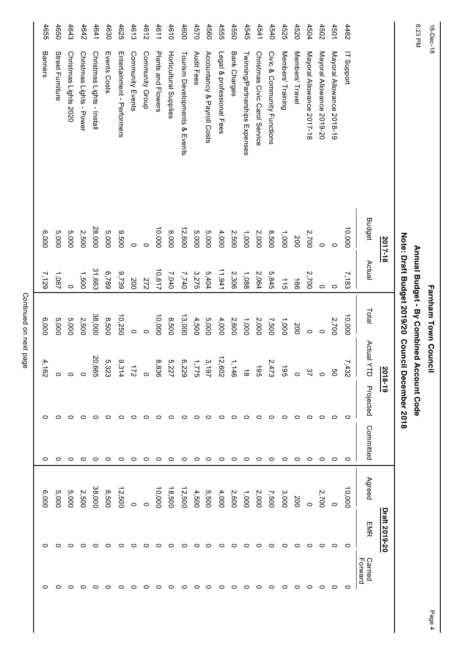|                               |               |                       |         | Farnham Town Council  |                                                                                     |                        |               |         |                    |
|-------------------------------|---------------|-----------------------|---------|-----------------------|-------------------------------------------------------------------------------------|------------------------|---------------|---------|--------------------|
| 8:23 PM                       |               |                       |         |                       |                                                                                     |                        |               |         |                    |
|                               |               |                       |         |                       |                                                                                     |                        |               |         |                    |
|                               | <b>Budget</b> | Actual                | Total   | Actual Y<br>$\vec{a}$ | Projected                                                                           | Committed              | Agreed        | EMR     | Carried<br>Forward |
| IT Support                    | 10,000        | 7,183                 | 10,000  | 7,432                 | $\circ$                                                                             | $\circ$                | 10,000        | $\circ$ | 0                  |
| Mayoral Allowance 2018-19     | $\circ$       | $\circ$               | 2,700   | g                     | $\circ$                                                                             | $\circ$                | 0             | $\circ$ | 0                  |
| Mayoral Allowance 2019-20     | $\circ$       | $\circ$               | $\circ$ | $\circ$               | $\circ$                                                                             | $\circ$                | 2,700         | $\circ$ | 0                  |
| Mayoral Allowance 2017-18     | 2,700         | 2,700                 | $\circ$ | 37                    | 0                                                                                   | っ                      | $\circ$       | 0       | 0                  |
| Members' Travel               | 200           | $\overrightarrow{99}$ | 200     | $\circ$               | 0                                                                                   | $\circ$                | 200           | 0       | 0                  |
| Members' Training             | 1,000         | 115                   | 1,000   | $\overline{5}$        | 0                                                                                   | $\circ$                | 3,000         | 0       | o                  |
| Civic & Community Functions   | 8,500         | 5,845                 | 7,500   | 2,473                 | 0                                                                                   | $\circ$                | 7,500         | 0       | ⊂                  |
| Christmas Civic Carol Service | 2,000         | 2,064                 | 2,000   | $\overline{5}$        | 0                                                                                   | $\circ$                | 2,000         | $\circ$ | 0                  |
| Twining/Partnerships Expenses | 1,000         | 1,088                 | 1,000   | $\vec{\infty}$        | 0                                                                                   | っ                      | 1,000         | $\circ$ | 0                  |
| Bank Charges                  | 2,500         | 2,306                 | 2,600   | 1,146                 | ⊂                                                                                   | っ                      | 2,600         | 0       | 0                  |
| Legal & professional Fees     | 4,000         | 11,941                | 4,000   | 12,602                | 0                                                                                   | $\circ$                | 4,000         | 0       | o                  |
| Accountancy & Payroll Costs   | 5,000         | 5,404                 | 5,000   | 3,197                 | 0                                                                                   | $\circ$                | 5,500         | 0       | 0                  |
| Audit Fees                    | 5,000         | 3,275                 | 4,500   | S,                    | ⊂                                                                                   | $\circ$                | 4,500         | 0       | ○                  |
| Tourism Developments & Events | 12,600        | 7,740                 | 13,000  | °,<br>229             | 0                                                                                   | $\circ$                | 12,500        | 0       | 0                  |
| Horticultural Supplies        | 8,000         | 7,040                 | 8,500   | 5,227                 | ○                                                                                   | $\circ$                | 18,500        | 0       | 0                  |
| Plants and Flowers            | 10,000        | 10,617                | 10,000  | 8,836                 | ⊂                                                                                   | $\circ$                | 10,000        | ◠       | ⊂                  |
| Community Group               | $\circ$       | 272                   | $\circ$ | $\circ$               | o                                                                                   | $\circ$                | $\circ$       | o       | 0                  |
| Community Events              | $\circ$       | 200                   | $\circ$ | $\overline{c}$        | 0                                                                                   | $\circ$                | $\circ$       | 0       | 0                  |
| Entertainment - Performers    | 9,500         | 9,739                 | 10,250  | 9,314                 | c                                                                                   | 0                      | 12,500        | ⊂       |                    |
| Events Costs                  | 5,000         | 6,789                 | 8,500   | 5,323                 | c                                                                                   | $\circ$                | 8,500         | ⊂       |                    |
| Christmas Lights - Install    | 28,000        | 31,663                | 38,000  | 20,665                | c                                                                                   | っ                      | 38,000        | 0       | 0                  |
| Christmas Lights - Power      | 2,500         | 1,500                 | 2,500   |                       | c                                                                                   | ○                      | 2,500         | ⊂       |                    |
| Christmas Lights 2020         | 5,000         | $\circ$               | 5,000   | o                     | c                                                                                   | ○                      | 000'S         | ⊂       |                    |
| Street Furniture              | 5,000         | 1,087                 | 5,000   | 0                     | c                                                                                   | 0                      | 5,000         | ⊂       |                    |
| Banners                       | 6,000         | 7,129                 | 6,000   | 4,<br>82              | ⊂                                                                                   | 0                      | 000'9         |         |                    |
|                               |               |                       | 2017-18 |                       | Note: Draft Budget 2019/20 Council<br>Annual Budget - By Combined A<br>$\mathbf{L}$ | 2018-19<br>ccount Code | December 2018 |         | Draft 2019-20      |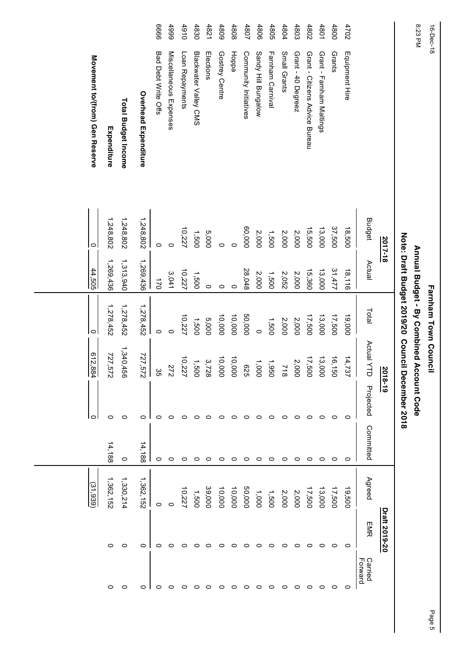| 16-Dec-18 |                                |               |           | Farnham Town Council                                                           |                                |               |           |           |               |                    |
|-----------|--------------------------------|---------------|-----------|--------------------------------------------------------------------------------|--------------------------------|---------------|-----------|-----------|---------------|--------------------|
| 8:23 PM   |                                |               |           | Note: Draft Budget 2019/20 Council<br>Annual Budget - By Combined Account Code |                                | December 2018 |           |           |               |                    |
|           |                                | 2017-18       |           |                                                                                | $\frac{2018-19}{20}$           |               |           |           | Draft 2019-20 |                    |
|           |                                | <b>Budget</b> | Actual    | Total                                                                          | Actual Y<br>J                  | Projected     | Committed | Agreed    | EMR           | Carried<br>Forward |
| 4702      | Equipment Hire                 | 18,500        | 18,116    | 19,000                                                                         | 14,737                         | $\circ$       | $\circ$   | 19,500    | $\circ$       | $\circ$            |
| 4800      | Grants                         | 37,500        | 31,477    | 17,500                                                                         | 16,150                         | 0             | $\circ$   | 17,500    | $\circ$       | 0                  |
| 4801      | Grant - Farnham Maltings       | 13,000        | 13,000    | 13,000                                                                         | 13,000                         | 0             | $\circ$   | 13,000    | 0             | $\circ$            |
| 4802      | Grant - Citizens Advice Bureau | 15,500        | 15,360    | 17,500                                                                         | 17,500                         | 0             | $\circ$   | 17,500    | 0             | $\circ$            |
| 4803      | Grant - 40 Degreez             | 2,000         | 2,000     | 2,000                                                                          | 2,000                          | 0             | 0         | 2,000     | 0             | 0                  |
| 4804      | Small Grants                   | 2,000         | 2,052     | 2,000                                                                          | <b>718</b>                     | 0             | $\circ$   | 2,000     | 0             | 0                  |
| 4805      | Farnham Carnival               | 1,500         | 1,500     | 1,500                                                                          |                                | 0             | $\circ$   | 1,500     | 0             | 0                  |
| 4806      | Sandy Hill Bungalow            | 2,000         | 2,000     | $\circ$                                                                        | 1,950<br>1,000<br>625          | 0             | 0         | 1,000     | 0             | 0                  |
| 4807      | Community Initiatives          | 60,000        | 28,048    | 50,000                                                                         |                                | 0             | $\circ$   | 50,000    | O             | 0                  |
| 4808      | Hoppa                          | $\circ$       | $\circ$   | 10,000                                                                         | 10,000                         | 0             | $\circ$   | 10,000    | 0             | ○                  |
| 4809      | Gostrey Centre                 | $\circ$       | $\circ$   | 10,000                                                                         | 10,000                         | 0             | $\circ$   | 10,000    | 0             | 0                  |
| 4821      | Elections                      | 5,000         | $\circ$   | 5,000                                                                          |                                | 0             | $\circ$   | 39,000    | $\circ$       | $\circ$            |
| 4830      | Blackwater Valley CMS          | 1,500         | 1,500     | 1,500                                                                          | $3,728$<br>$1,500$<br>$10,227$ | 0             | $\circ$   | 1,500     | 0             | 0                  |
| 4910      | Loan Repayments                | 10,227        | 10,227    | 10,227                                                                         |                                | 0             | $\circ$   | 10,227    | 0             | っ                  |
| 4999      | Miscellaneous Expenses         | $\circ$       | 3,041     | $\circ$                                                                        | 272                            | o             | $\circ$   | $\circ$   | o             | o                  |
| 9999      | Bad Debt Write Offs            | $\circ$       | 170       | $\circ$                                                                        | 35                             | 0             | $\circ$   | $\circ$   | 0             | 0                  |
|           | Overhead Expenditure           | 1,248,802     | 1,269,436 | 1,278,452                                                                      | 727,572                        | 0             | 14,188    | 1,362,152 | o             | 0                  |
|           | <b>Total Budget Income</b>     | 1,248,802     | 1,313,940 | 1,278,452                                                                      | 1,340,456                      | O             | $\circ$   | 1,330,214 | O             | 0                  |
|           | Expenditure                    | 1,248,802     | 1,269,436 | 1,278,452                                                                      | 727,572                        | 0             | 14,188    | 1,362,152 | $\circ$       | 0                  |
|           | Movement to/(from) Gen Reserve | ∣⇔            | 44,505    | $\circ$                                                                        | 612,884                        | ∣⇔            |           | (31,939)  |               |                    |
|           |                                |               |           |                                                                                |                                |               |           |           |               |                    |
|           |                                |               |           |                                                                                |                                |               |           |           |               |                    |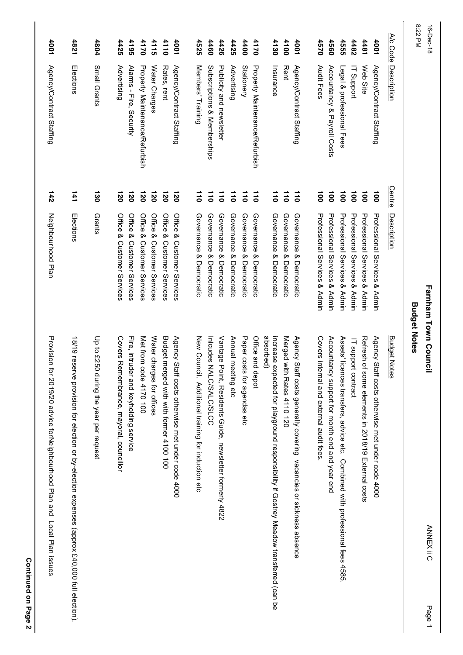|           | 1821<br>Elections                                                                                | 4804                                   | 4425                                    | 4195<br>4170                                                       | 4115                       | 4110                                    | 1001                                             | 4525                                               | 4460                        | 4426                                                     | 4425                    | 00tt                        | 4170                           | 4130                                                                                               | 4100<br><b>Rent</b>        | 1001                                                                | <b>4570</b>                             | 4560                                           | 4555                                                                          | 4482                          | 14481                                              | 1001                                             | A/c Code           | 8:22 PM             | 16-Dec-18                   |
|-----------|--------------------------------------------------------------------------------------------------|----------------------------------------|-----------------------------------------|--------------------------------------------------------------------|----------------------------|-----------------------------------------|--------------------------------------------------|----------------------------------------------------|-----------------------------|----------------------------------------------------------|-------------------------|-----------------------------|--------------------------------|----------------------------------------------------------------------------------------------------|----------------------------|---------------------------------------------------------------------|-----------------------------------------|------------------------------------------------|-------------------------------------------------------------------------------|-------------------------------|----------------------------------------------------|--------------------------------------------------|--------------------|---------------------|-----------------------------|
|           |                                                                                                  | Small Grants                           | Advertising                             | Alarms - Fire, Security<br><b>Property Maintenance/Refurbish</b>   | Water Charges              | Rates, rent                             | Agency/Contract Staffing                         | Members' Training                                  | Subscriptions & Memberships | Publicity and newsletter                                 | Advertising             | <b>Stationery</b>           | Property Maintenance/Refurbish | Insurance                                                                                          |                            | Agency/Contract Staffing                                            | Audit Fees                              | Accountancy & Payroll Costs                    | Legal & professional Fees                                                     | <b>IT Support</b>             | Web Site                                           | Agency/Contract Staffing                         | <b>Description</b> |                     |                             |
|           | 141                                                                                              | $\frac{130}{1}$                        | $\overline{120}$                        | 120<br>120                                                         | 120                        | 120                                     | 120                                              | $\frac{1}{10}$                                     | $\overline{110}$            | 110                                                      | 110                     | $\overline{110}$            | $\overline{11}$                | $\overline{11}$                                                                                    | $\overline{11}$            | $\overline{11}$                                                     | $\overline{5}$                          | $\overline{5}$                                 | $\overline{5}$                                                                | $\overline{5}$                | $\overline{5}$                                     | $\frac{1}{2}$                                    | <b>Centre</b>      |                     |                             |
| Elections |                                                                                                  | Grants                                 | Office & Customer Services              | Office & Customer Services<br>Office & Customer Services           | Office & Customer Services | Office & Customer Services              | Office & Customer Services                       | Governance & Democratic                            | Governance & Democratic     | Governance & Democratic                                  | Governance & Democratic | Governance &<br>Democratic  | Governance & Democratic        | Governance & Democratic                                                                            | Governance & Democratic    | Governance & Democratic                                             | Professional Services & Admin           | <b>Professional Services &amp; Admin</b>       | <b>Professional Services &amp; Admin</b>                                      | Professional Services & Admin | Professional Services & Admin                      | <b>Professional Services &amp; Admin</b>         | <u>Description</u> |                     |                             |
|           | 18/19 res<br>erve provision for election or by-election expenses (approx £40,000 full election). | Up to £250 during the year per request | Covers Remembrance, mayoral, councillor | Fire, intruder and keyholding service<br>Met from<br>code 4170 100 | Water charges for offices  | Budget merged with with former 4100 100 | Agency Staff costs otherwise met under code 4000 | New Council. Additional training for induction etc | Inlandes NALC/SALC/SLCC     | Vantage Point, Residents Guide, newsletter formerly 4822 | Annual meeting etc      | Paper costs for agendas etc | Office and depot               | absorbed)<br>increase expected for playground responsibility if Gostrey Meadow transferred (can be | Merged with Rates 4110 120 | Agency Staff costs generally covering vacancies or sickness absence | Covers internal and external audit fees | Accountancy support for month end and year end | Assets' licences transfers, advice etc. Combined with professional fees 4585. | IT support contract           | Refresh of some elements in 2018/19 External costs | Agency Staff costs otherwise met under code 4000 | Budget Notes       | <b>Budget Notes</b> | <b>Farnham Town Council</b> |
|           |                                                                                                  |                                        |                                         |                                                                    |                            |                                         |                                                  |                                                    |                             |                                                          |                         |                             |                                |                                                                                                    |                            |                                                                     |                                         |                                                |                                                                               |                               |                                                    |                                                  |                    |                     | <b>ANNEX ii C</b><br>Page 1 |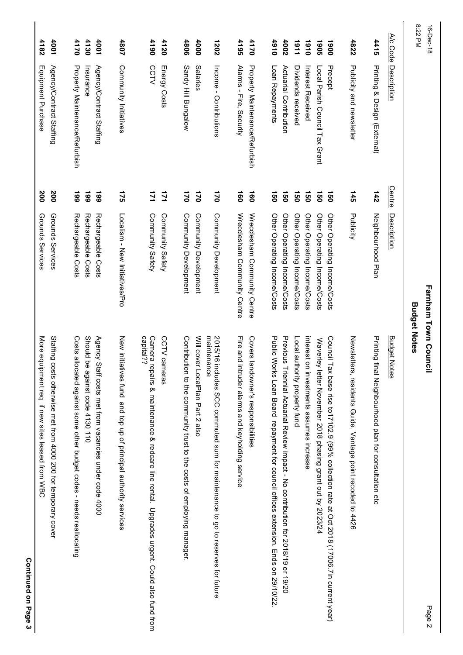| 16-Dec-18    |                                       |                  |                                          | <b>Farnham Town Council</b><br>Page 2                                                                  |  |
|--------------|---------------------------------------|------------------|------------------------------------------|--------------------------------------------------------------------------------------------------------|--|
| 8:22 PM      |                                       |                  | <b>Budget Notes</b>                      |                                                                                                        |  |
| A/c Code     | Description                           | <b>Centre</b>    | Description                              | <b>Budget Notes</b>                                                                                    |  |
| 4415         | Prining & Design (External)           | 142              | Neighbourhood Plan                       | Printing final Neighbourhood plan for consultation etc                                                 |  |
| 4822         | Publicity and newsletter              | <b>145</b>       | Publicity                                | Newslette<br>rs, residents Guide, Vantage point recoded to 4426                                        |  |
| 1900         | Precept                               | <b>150</b>       | Other Operating Income/Costs             | Council Tax base rise to 17102.9 (99% collection rate at Oct 2018 (17006.7in current year)             |  |
| <b>1905</b>  | Local Parish Council Tax Grant        | <b>150</b>       | Other Operating Income/Costs             | Waverley<br>letter November 2018 phasing grant out by 2023/24                                          |  |
| 1910         | Interest Received                     | 150              | Other Operating Income/Costs             | interest on investments assumes increase                                                               |  |
| 1161         | Dividends received                    | <b>OSL</b>       | Other Operating Income/Costs             | Local authority property fund                                                                          |  |
| 4002         | Actrarial Contribution                | <b>150</b>       | Other Operating Income/Costs             | Previous Hriennial Actuarial Review impact - No contripution for 2018/19 or 19/20                      |  |
| 0161         | Loan Repayments                       | <b>J50</b>       | Other Operating Income/Costs             | Public Works Loan Board repayment for council offices extension. Ends on 29/10/22                      |  |
| 4170         | <b>Property Maintenance/Refurbish</b> | $\overline{0}$   | Wrecclesham Community Centre             | Covers la<br>ndowner's responsibilities                                                                |  |
| 4195         | Alarms - Fire, Security               | $\overline{160}$ | Wrecclesham Community Centre             | Fire and intruder alarms and keyholding service                                                        |  |
| 1202         | Income - Contributions                | 170              | Community Development                    | maintenance<br>2015/16 includes SCC commuted sum for maintenance to go to reserves for future          |  |
| 4000         | Salaries                              | $\overline{2}$   | Community Development                    | Will cover<br>LocalPlan Part 2 also                                                                    |  |
| 4806         | Sandy Hill Bungalow                   | $\overline{21}$  | Community Development                    | Contribution to the community trust to the costs of employing manager.                                 |  |
| 4120         | Energy Costs                          | 121              | Community Safety                         | CCTV cameras                                                                                           |  |
| 0614         | <b>CCTV</b>                           | 171              | Community Safety                         | capital??<br>Camera repairs & maintenance & redcare line rental. Upgrades urgent. Could also fund from |  |
| 1807         | Community Initiatives                 | 175              | Localism - New Initiatives/Pro           | New initiatives fund and top up of principal authority services                                        |  |
| 4130<br>1001 | Agency/Contract Staffing<br>Insurance | 661<br>661       | Rechargeable Costs<br>Rechargeable Costs | Should be<br>Agency S<br>taff costs met from vacancies under code 4000<br>against code 4130 110        |  |
| 4170         | Property Maintenance/Refurbish        | 661              | Rechargeable Costs                       | Costs allo<br>cated against some other budget codes - needs reallocating                               |  |
| 4001         | Agency/Contract Staffing              | 200              | Grounds Services                         | Staffing costs otherwise met from 4000 200 for temporary cover                                         |  |
| 4182         | Equipment Purchase                    | 200              | Grounds Services                         | More equi<br>ipment req if new sites leased from WBC                                                   |  |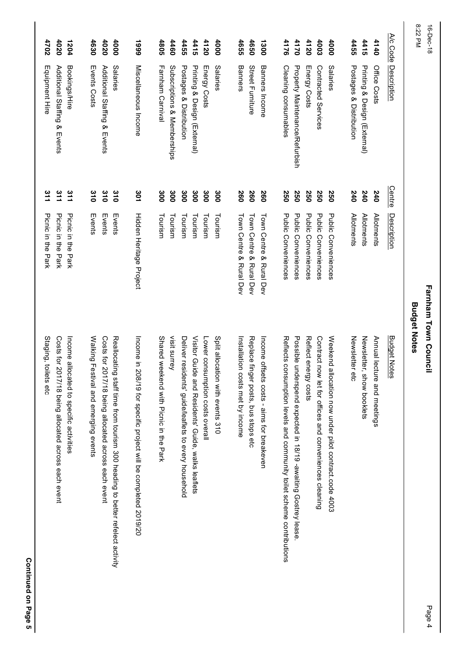| 8:22 PM<br>A/c Code<br>4460<br>4120<br>4655<br>4650<br>4176<br>4170<br>4120<br>4003<br>4455<br>4415<br>4140<br>4455<br>4415<br>4000<br>1300<br>4000 | Banners<br>Street Furniture<br>Banners Income<br>Cleaning consumables<br>Property Maintenance/Refurbish<br>Postages & Distribution<br><b>Description</b><br>Subscriptions & Memberships<br>Postages & Distribution<br>Printing & Design (External)<br>Salaries<br>Contracted Services<br>Salaries<br>Printing & Design (External)<br>Office Costs<br>Energy Costs<br>Energy Costs | <b>Centre</b><br>240<br>300<br>300<br>300<br>250<br>240<br>240<br>300<br>300<br>260<br>260<br>260<br>250<br>250<br>250<br>250 | <b>Allotments</b><br><b>Allotments</b><br><b>Allotments</b><br><b>Description</b><br>Tourism<br>Tourism<br>Tourism<br>Tourism<br>Tourism                                     | <b>Budget Notes</b>                                                                                                                                                                                                                                                                                                                                                                                                                                                    |
|-----------------------------------------------------------------------------------------------------------------------------------------------------|-----------------------------------------------------------------------------------------------------------------------------------------------------------------------------------------------------------------------------------------------------------------------------------------------------------------------------------------------------------------------------------|-------------------------------------------------------------------------------------------------------------------------------|------------------------------------------------------------------------------------------------------------------------------------------------------------------------------|------------------------------------------------------------------------------------------------------------------------------------------------------------------------------------------------------------------------------------------------------------------------------------------------------------------------------------------------------------------------------------------------------------------------------------------------------------------------|
|                                                                                                                                                     |                                                                                                                                                                                                                                                                                                                                                                                   |                                                                                                                               | Town Centre & Rural Dev<br><b>Public Conveniences</b><br>Public Conveniences<br>Public Conveniences<br>Public Conveniences<br>Public Conveniences<br>Town Centre & Rural Dev | Reflects<br>Possible<br>Reflect e<br>Contract<br>Weekend<br>Newsletter etc<br>Annual lecture and meetings<br>Replace<br>Income offsets costs - aims for breakeven<br>Newsletter, show booklets<br>consumption levels and community toilet scheme contributions<br>finger posts, bus stops etc<br>underspend expected in 18/19 -awaiting Gostrey lease<br>nergy costs<br>now let for offices and conveniences cleaning<br>allocation now under pilot contract.code 4003 |
|                                                                                                                                                     |                                                                                                                                                                                                                                                                                                                                                                                   |                                                                                                                               | Town Centre & Rural Dev                                                                                                                                                      | Installation costs met by income                                                                                                                                                                                                                                                                                                                                                                                                                                       |
|                                                                                                                                                     |                                                                                                                                                                                                                                                                                                                                                                                   |                                                                                                                               |                                                                                                                                                                              | Split allocation with events 310<br>Lower consumption costs overall                                                                                                                                                                                                                                                                                                                                                                                                    |
|                                                                                                                                                     |                                                                                                                                                                                                                                                                                                                                                                                   |                                                                                                                               |                                                                                                                                                                              | Deliver residents' guide/leaflets to every household<br>Visitor Guide and Residents' Guide, walks leaflets                                                                                                                                                                                                                                                                                                                                                             |
| 4805                                                                                                                                                | Farnham Carnival                                                                                                                                                                                                                                                                                                                                                                  | 300                                                                                                                           | Tourism                                                                                                                                                                      | visit surrey<br>Shared weekend wift picnic in the park                                                                                                                                                                                                                                                                                                                                                                                                                 |
| 6661                                                                                                                                                | Miscellaneous Income                                                                                                                                                                                                                                                                                                                                                              | 301                                                                                                                           | Hidden Heritage Project                                                                                                                                                      | Income in 208/19 for specific project will be completed 2019/20                                                                                                                                                                                                                                                                                                                                                                                                        |
| 4630<br>4020<br>4000                                                                                                                                | Events Costs<br>Additional Staffing & Events<br>Salaries                                                                                                                                                                                                                                                                                                                          | 310<br>310<br>$\frac{310}{2}$                                                                                                 | Events<br>Events<br>Events                                                                                                                                                   | Walking Festival and emerging events<br>Costs for 2017/18 being allocated across each event<br>Reallocat<br>ling staff time from tourism 300 heading to better refelect activity                                                                                                                                                                                                                                                                                       |
| 4020<br>1204                                                                                                                                        | Bookings/Hire<br>Additional Staffing & Events                                                                                                                                                                                                                                                                                                                                     | $\frac{311}{2}$<br>511                                                                                                        | Picnic in the Park<br>Picnic in the Park                                                                                                                                     | Costs for<br>Income allocated to specific activities<br>2017/18 being allocated across each event                                                                                                                                                                                                                                                                                                                                                                      |
| 4702                                                                                                                                                |                                                                                                                                                                                                                                                                                                                                                                                   | $\frac{311}{1}$                                                                                                               | Picnic in the Park                                                                                                                                                           |                                                                                                                                                                                                                                                                                                                                                                                                                                                                        |

Page 4

**Farnham Town Council**

Farnham Town Council

16-Dec-18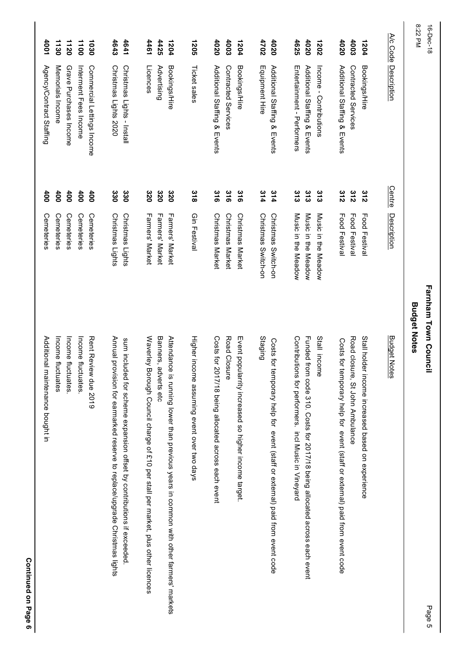| Continued on Page 6                                                                   |                         |               |                              |                      |  |
|---------------------------------------------------------------------------------------|-------------------------|---------------|------------------------------|----------------------|--|
| Additional<br>maintenance bought in                                                   | Cemeteries              | 400           | Agency/Contract Staffing     | 1001                 |  |
| Income fluctuates                                                                     | Cemeteries              | 400           | Memorials Income             | 1130                 |  |
| Income fluctuates                                                                     | Cemeteries              | 60t           | Grave Purchases Income       | 1120                 |  |
| Income fluctuates                                                                     | Cemeteries              | 60t           | Interment Fees Income        | 1100                 |  |
| Rent Review due 2019                                                                  | Cemeteries              | 60t           | Commercial Lettings Income   | 1030                 |  |
| Annual provision for earmarked reserve to replace/upgrade Christmas lights            | Christmas Lights        | 330           | Christmas Lights 2020        | 4643                 |  |
| sum included for scheme expansion offset by contributions if exceeded                 | Christmas Lights        | 330           | Christmas Lights - Install   | 4641                 |  |
| Waverley<br>Borough Council charge of £10 per stall per market, plus other licences   | Farmers' Market         | 320           | Licences                     | 1461                 |  |
| Banners,<br>adverts etc                                                               | Farmers' Market         | 320           | Advertising                  | 4425                 |  |
| Attendance is running lower than brevious years in common with offer tarmers' markets | Farmers' Market         | 320           | Bookings/Hire                | 1204                 |  |
| Higher income assuming event over two days                                            | Gin Festival            | 318           | Ticket sales                 | 1205                 |  |
| Costs for 2017/18 being allocated across each event                                   | <b>Christmas Market</b> | 316           | Additional Staffing & Events | 4020                 |  |
| Road Closure                                                                          | <b>Christmas Market</b> | 316           | Contracted Services          | 4003                 |  |
| Event popularrity increased so higher income target.                                  | <b>Christmas Market</b> | 316           | Bookings/Hire                | 1204                 |  |
| Staging                                                                               | Christmas Switch-on     | 314           | Equipment Hire               | 4702                 |  |
| Costs for<br>temporary help for event (staff or external) paid from event code        | Christmas Switch-on     | 314           | Additional Staffing & Events | 4020                 |  |
| Contributions for performers. incl Music in Vineyard                                  | Music in the Meadow     | $rac{3}{3}$   | Entertainnent - Performers   | 4625                 |  |
| Funded from code 310. Costs for 2017/18 being allocated across each event             | Music in the Meadow     | 313           | Additional Staffing & Events | 4020                 |  |
| Stall income                                                                          | Music in the Meadow     | 313           | Income - Contributions       | 1202                 |  |
| Costs for<br>temporary help for event (staff or external) paid from event code        | Food Festival           | 312           | Additional Staffing & Events | 4020                 |  |
| Road closure, St John Ambulance                                                       | Food Festival           | 312           | Contracted Services          | 4003                 |  |
| Stall holder income increased based on experience                                     | Food Festival           | 312           | Bookings/Hire                | 1204                 |  |
| <b>Budget Notes</b>                                                                   | Description             | <b>Centre</b> | <b>Description</b>           | A/c Code             |  |
| Farnham Town Council<br><b>Budget Notes</b><br>Page 5                                 |                         |               |                              | 8:22 PM<br>16-Dec-18 |  |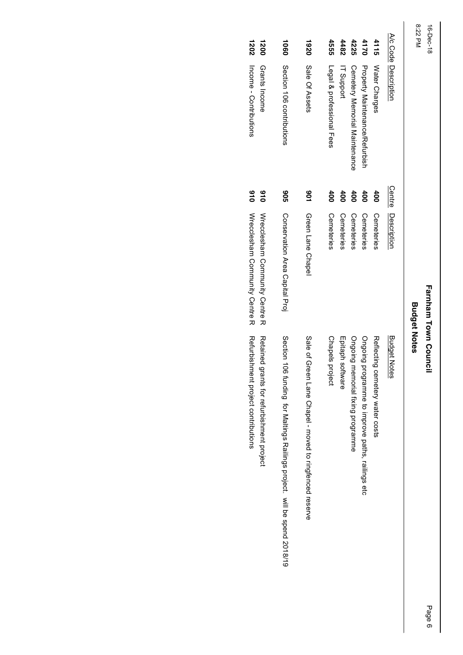#### 8:22 PM 16-Dec-18 8:22 PM 16-Dec-18

# Farnham Town Council **Farnham Town Council**

# **Budget Notes Budget Notes**

| 1202<br>1200                                                                     | 1060                                                                     | 1920                                                       | <b>4555</b>               | 4482              | 4225                                 | 4170                                             | 4115                            |                      |
|----------------------------------------------------------------------------------|--------------------------------------------------------------------------|------------------------------------------------------------|---------------------------|-------------------|--------------------------------------|--------------------------------------------------|---------------------------------|----------------------|
| Income - Contributions<br>Grants Income                                          | Section 106 contributions                                                | Sale Of Assets                                             | Legal & professional Fees | <b>IT Support</b> | <b>Cemetery Memorial Maintenance</b> | Property Maintenance/Refurbish                   | <b>Water Charges</b>            | A/c Code Description |
| 016<br>016                                                                       | <b>90S</b>                                                               | <b>901</b>                                                 | 400                       | <b>400</b>        | 600                                  | 400                                              | <b>400</b>                      | Centre               |
| Wreclesham Community Centre R<br>Wrecclesham Community Centre R                  | Conservation Area Capital Proj                                           | Green Lane Chapel                                          | Cemeteries                | Cemeteries        | Cemeteries                           | Cemeteries                                       | Cemeteries                      | Description          |
| Refurbishment project contributions<br>Retained grants for refurbishment project | Section 106 funding for Maltings Railings project. will be spend 2018/19 | Sale of Green<br>Lane Chaped - Hoved to ringtenced reserve | Chapels project           | Epitaph software  | Ongoing memorial fixing programme    | Ongoing programme to improve paths, railings etc | Reflecting cemetery water costs | <b>Budget Notes</b>  |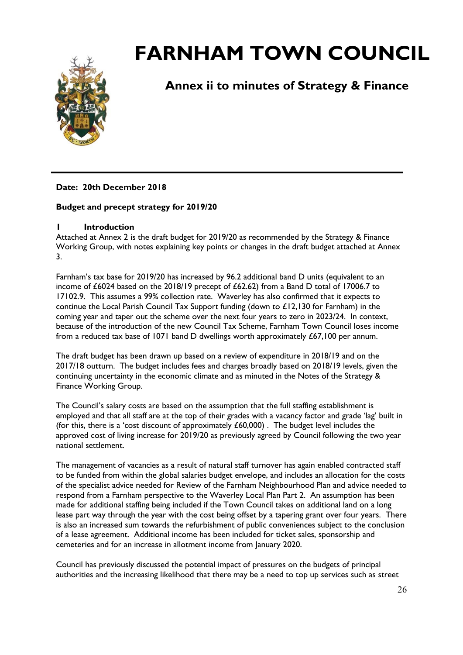

## **Annex ii to minutes of Strategy & Finance**

#### **Date: 20th December 2018**

#### **Budget and precept strategy for 2019/20**

#### **1 Introduction**

Attached at Annex 2 is the draft budget for 2019/20 as recommended by the Strategy & Finance Working Group, with notes explaining key points or changes in the draft budget attached at Annex 3.

Farnham's tax base for 2019/20 has increased by 96.2 additional band D units (equivalent to an income of £6024 based on the 2018/19 precept of £62.62) from a Band D total of 17006.7 to 17102.9. This assumes a 99% collection rate. Waverley has also confirmed that it expects to continue the Local Parish Council Tax Support funding (down to £12,130 for Farnham) in the coming year and taper out the scheme over the next four years to zero in 2023/24. In context, because of the introduction of the new Council Tax Scheme, Farnham Town Council loses income from a reduced tax base of 1071 band D dwellings worth approximately  $£67,100$  per annum.

The draft budget has been drawn up based on a review of expenditure in 2018/19 and on the 2017/18 outturn. The budget includes fees and charges broadly based on 2018/19 levels, given the continuing uncertainty in the economic climate and as minuted in the Notes of the Strategy & Finance Working Group.

The Council's salary costs are based on the assumption that the full staffing establishment is employed and that all staff are at the top of their grades with a vacancy factor and grade 'lag' built in (for this, there is a 'cost discount of approximately  $£60,000$ ). The budget level includes the approved cost of living increase for 2019/20 as previously agreed by Council following the two year national settlement.

The management of vacancies as a result of natural staff turnover has again enabled contracted staff to be funded from within the global salaries budget envelope, and includes an allocation for the costs of the specialist advice needed for Review of the Farnham Neighbourhood Plan and advice needed to respond from a Farnham perspective to the Waverley Local Plan Part 2. An assumption has been made for additional staffing being included if the Town Council takes on additional land on a long lease part way through the year with the cost being offset by a tapering grant over four years. There is also an increased sum towards the refurbishment of public conveniences subject to the conclusion of a lease agreement. Additional income has been included for ticket sales, sponsorship and cemeteries and for an increase in allotment income from January 2020.

Council has previously discussed the potential impact of pressures on the budgets of principal authorities and the increasing likelihood that there may be a need to top up services such as street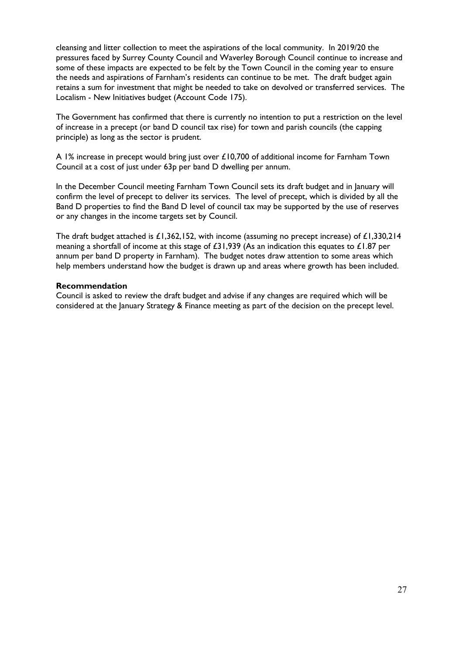cleansing and litter collection to meet the aspirations of the local community. In 2019/20 the pressures faced by Surrey County Council and Waverley Borough Council continue to increase and some of these impacts are expected to be felt by the Town Council in the coming year to ensure the needs and aspirations of Farnham's residents can continue to be met. The draft budget again retains a sum for investment that might be needed to take on devolved or transferred services. The Localism - New Initiatives budget (Account Code 175).

The Government has confirmed that there is currently no intention to put a restriction on the level of increase in a precept (or band D council tax rise) for town and parish councils (the capping principle) as long as the sector is prudent.

A 1% increase in precept would bring just over £10,700 of additional income for Farnham Town Council at a cost of just under 63p per band D dwelling per annum.

In the December Council meeting Farnham Town Council sets its draft budget and in January will confirm the level of precept to deliver its services. The level of precept, which is divided by all the Band D properties to find the Band D level of council tax may be supported by the use of reserves or any changes in the income targets set by Council.

The draft budget attached is £1,362,152, with income (assuming no precept increase) of £1,330,214 meaning a shortfall of income at this stage of £31,939 (As an indication this equates to £1.87 per annum per band D property in Farnham). The budget notes draw attention to some areas which help members understand how the budget is drawn up and areas where growth has been included.

#### **Recommendation**

Council is asked to review the draft budget and advise if any changes are required which will be considered at the January Strategy & Finance meeting as part of the decision on the precept level.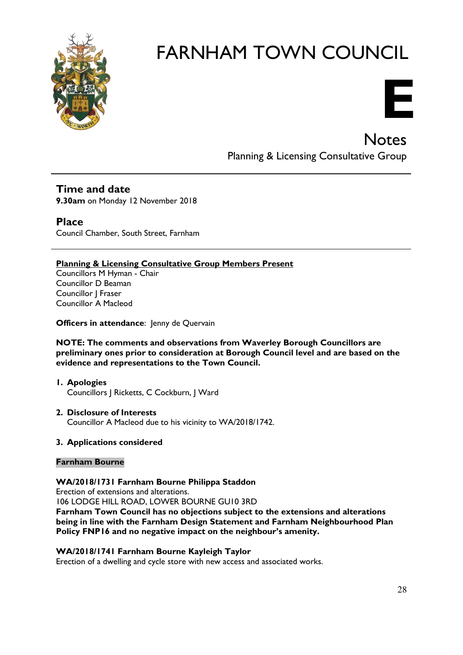



**Notes** 

Planning & Licensing Consultative Group

#### **Time and date**

**9.30am** on Monday 12 November 2018

#### **Place**

Council Chamber, South Street, Farnham

#### **Planning & Licensing Consultative Group Members Present**

Councillors M Hyman - Chair Councillor D Beaman Councillor J Fraser Councillor A Macleod

**Officers in attendance:** Jenny de Quervain

**NOTE: The comments and observations from Waverley Borough Councillors are preliminary ones prior to consideration at Borough Council level and are based on the evidence and representations to the Town Council.**

#### **1. Apologies** Councillors | Ricketts, C Cockburn, J Ward

#### **2. Disclosure of Interests**

Councillor A Macleod due to his vicinity to WA/2018/1742.

#### **3. Applications considered**

#### **Farnham Bourne**

#### **WA/2018/1731 Farnham Bourne Philippa Staddon**

Erection of extensions and alterations.

106 LODGE HILL ROAD, LOWER BOURNE GU10 3RD

**Farnham Town Council has no objections subject to the extensions and alterations being in line with the Farnham Design Statement and Farnham Neighbourhood Plan Policy FNP16 and no negative impact on the neighbour's amenity.**

#### **WA/2018/1741 Farnham Bourne Kayleigh Taylor**

Erection of a dwelling and cycle store with new access and associated works.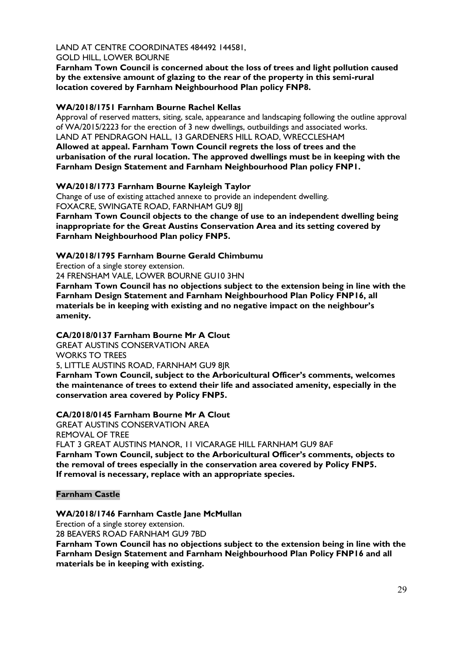# LAND AT CENTRE COORDINATES 484492 144581,

#### GOLD HILL, LOWER BOURNE

**Farnham Town Council is concerned about the loss of trees and light pollution caused by the extensive amount of glazing to the rear of the property in this semi-rural location covered by Farnham Neighbourhood Plan policy FNP8.**

#### **WA/2018/1751 Farnham Bourne Rachel Kellas**

Approval of reserved matters, siting, scale, appearance and landscaping following the outline approval of WA/2015/2223 for the erection of 3 new dwellings, outbuildings and associated works. LAND AT PENDRAGON HALL, 13 GARDENERS HILL ROAD, WRECCLESHAM

**Allowed at appeal. Farnham Town Council regrets the loss of trees and the urbanisation of the rural location. The approved dwellings must be in keeping with the Farnham Design Statement and Farnham Neighbourhood Plan policy FNP1.**

#### **WA/2018/1773 Farnham Bourne Kayleigh Taylor**

Change of use of existing attached annexe to provide an independent dwelling. FOXACRE, SWINGATE ROAD, FARNHAM GU9 8JJ

**Farnham Town Council objects to the change of use to an independent dwelling being inappropriate for the Great Austins Conservation Area and its setting covered by Farnham Neighbourhood Plan policy FNP5.**

#### **WA/2018/1795 Farnham Bourne Gerald Chimbumu**

Erection of a single storey extension.

24 FRENSHAM VALE, LOWER BOURNE GU10 3HN

**Farnham Town Council has no objections subject to the extension being in line with the Farnham Design Statement and Farnham Neighbourhood Plan Policy FNP16, all materials be in keeping with existing and no negative impact on the neighbour's amenity.**

#### **CA/2018/0137 Farnham Bourne Mr A Clout**

GREAT AUSTINS CONSERVATION AREA WORKS TO TREES

5, LITTLE AUSTINS ROAD, FARNHAM GU9 8JR

**Farnham Town Council, subject to the Arboricultural Officer's comments, welcomes the maintenance of trees to extend their life and associated amenity, especially in the conservation area covered by Policy FNP5.**

#### **CA/2018/0145 Farnham Bourne Mr A Clout**

GREAT AUSTINS CONSERVATION AREA REMOVAL OF TREE FLAT 3 GREAT AUSTINS MANOR, 11 VICARAGE HILL FARNHAM GU9 8AF **Farnham Town Council, subject to the Arboricultural Officer's comments, objects to the removal of trees especially in the conservation area covered by Policy FNP5. If removal is necessary, replace with an appropriate species.**

#### **Farnham Castle**

#### **WA/2018/1746 Farnham Castle Jane McMullan**

Erection of a single storey extension. 28 BEAVERS ROAD FARNHAM GU9 7BD

**Farnham Town Council has no objections subject to the extension being in line with the Farnham Design Statement and Farnham Neighbourhood Plan Policy FNP16 and all materials be in keeping with existing.**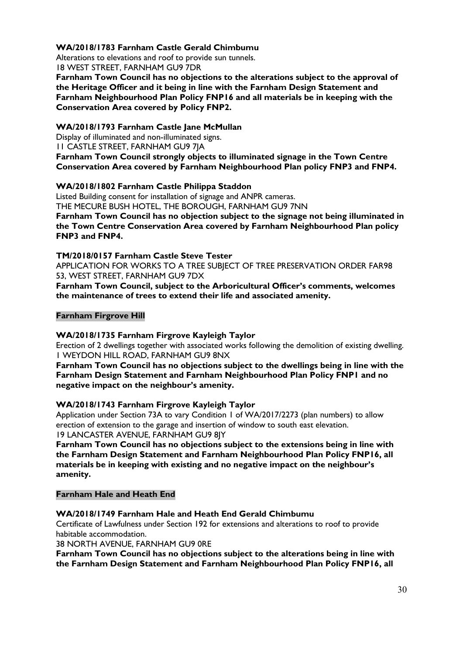#### **WA/2018/1783 Farnham Castle Gerald Chimbumu**

Alterations to elevations and roof to provide sun tunnels.

18 WEST STREET, FARNHAM GU9 7DR

**Farnham Town Council has no objections to the alterations subject to the approval of the Heritage Officer and it being in line with the Farnham Design Statement and Farnham Neighbourhood Plan Policy FNP16 and all materials be in keeping with the Conservation Area covered by Policy FNP2.** 

#### **WA/2018/1793 Farnham Castle Jane McMullan**

Display of illuminated and non-illuminated signs.

11 CASTLE STREET, FARNHAM GU9 7JA

**Farnham Town Council strongly objects to illuminated signage in the Town Centre Conservation Area covered by Farnham Neighbourhood Plan policy FNP3 and FNP4.**

#### **WA/2018/1802 Farnham Castle Philippa Staddon**

Listed Building consent for installation of signage and ANPR cameras. THE MECURE BUSH HOTEL, THE BOROUGH, FARNHAM GU9 7NN **Farnham Town Council has no objection subject to the signage not being illuminated in the Town Centre Conservation Area covered by Farnham Neighbourhood Plan policy FNP3 and FNP4.**

#### **TM/2018/0157 Farnham Castle Steve Tester**

APPLICATION FOR WORKS TO A TREE SUBJECT OF TREE PRESERVATION ORDER FAR98 53, WEST STREET, FARNHAM GU9 7DX

**Farnham Town Council, subject to the Arboricultural Officer's comments, welcomes the maintenance of trees to extend their life and associated amenity.**

#### **Farnham Firgrove Hill**

#### **WA/2018/1735 Farnham Firgrove Kayleigh Taylor**

Erection of 2 dwellings together with associated works following the demolition of existing dwelling. 1 WEYDON HILL ROAD, FARNHAM GU9 8NX

**Farnham Town Council has no objections subject to the dwellings being in line with the Farnham Design Statement and Farnham Neighbourhood Plan Policy FNP1 and no negative impact on the neighbour's amenity.**

#### **WA/2018/1743 Farnham Firgrove Kayleigh Taylor**

Application under Section 73A to vary Condition 1 of WA/2017/2273 (plan numbers) to allow erection of extension to the garage and insertion of window to south east elevation. 19 LANCASTER AVENUE, FARNHAM GU9 8JY

**Farnham Town Council has no objections subject to the extensions being in line with the Farnham Design Statement and Farnham Neighbourhood Plan Policy FNP16, all materials be in keeping with existing and no negative impact on the neighbour's amenity.**

#### **Farnham Hale and Heath End**

#### **WA/2018/1749 Farnham Hale and Heath End Gerald Chimbumu**

Certificate of Lawfulness under Section 192 for extensions and alterations to roof to provide habitable accommodation.

38 NORTH AVENUE, FARNHAM GU9 0RE

**Farnham Town Council has no objections subject to the alterations being in line with the Farnham Design Statement and Farnham Neighbourhood Plan Policy FNP16, all**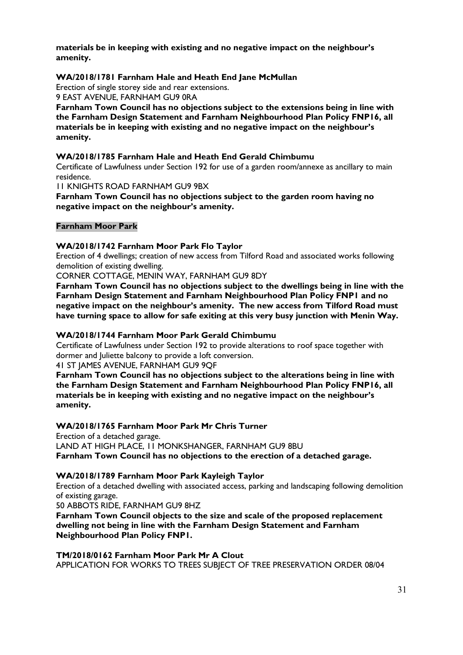**materials be in keeping with existing and no negative impact on the neighbour's amenity.**

#### **WA/2018/1781 Farnham Hale and Heath End Jane McMullan**

Erection of single storey side and rear extensions. 9 EAST AVENUE, FARNHAM GU9 0RA

**Farnham Town Council has no objections subject to the extensions being in line with the Farnham Design Statement and Farnham Neighbourhood Plan Policy FNP16, all materials be in keeping with existing and no negative impact on the neighbour's amenity.**

#### **WA/2018/1785 Farnham Hale and Heath End Gerald Chimbumu**

Certificate of Lawfulness under Section 192 for use of a garden room/annexe as ancillary to main residence.

11 KNIGHTS ROAD FARNHAM GU9 9BX

**Farnham Town Council has no objections subject to the garden room having no negative impact on the neighbour's amenity.**

#### **Farnham Moor Park**

#### **WA/2018/1742 Farnham Moor Park Flo Taylor**

Erection of 4 dwellings; creation of new access from Tilford Road and associated works following demolition of existing dwelling.

CORNER COTTAGE, MENIN WAY, FARNHAM GU9 8DY

**Farnham Town Council has no objections subject to the dwellings being in line with the Farnham Design Statement and Farnham Neighbourhood Plan Policy FNP1 and no negative impact on the neighbour's amenity. The new access from Tilford Road must have turning space to allow for safe exiting at this very busy junction with Menin Way.**

#### **WA/2018/1744 Farnham Moor Park Gerald Chimbumu**

Certificate of Lawfulness under Section 192 to provide alterations to roof space together with dormer and Juliette balcony to provide a loft conversion.

41 ST JAMES AVENUE, FARNHAM GU9 9QF

**Farnham Town Council has no objections subject to the alterations being in line with the Farnham Design Statement and Farnham Neighbourhood Plan Policy FNP16, all materials be in keeping with existing and no negative impact on the neighbour's amenity.**

#### **WA/2018/1765 Farnham Moor Park Mr Chris Turner**

Erection of a detached garage. LAND AT HIGH PLACE, 11 MONKSHANGER, FARNHAM GU9 8BU **Farnham Town Council has no objections to the erection of a detached garage.**

#### **WA/2018/1789 Farnham Moor Park Kayleigh Taylor**

Erection of a detached dwelling with associated access, parking and landscaping following demolition of existing garage.

50 ABBOTS RIDE, FARNHAM GU9 8HZ

**Farnham Town Council objects to the size and scale of the proposed replacement dwelling not being in line with the Farnham Design Statement and Farnham Neighbourhood Plan Policy FNP1.** 

**TM/2018/0162 Farnham Moor Park Mr A Clout** APPLICATION FOR WORKS TO TREES SUBJECT OF TREE PRESERVATION ORDER 08/04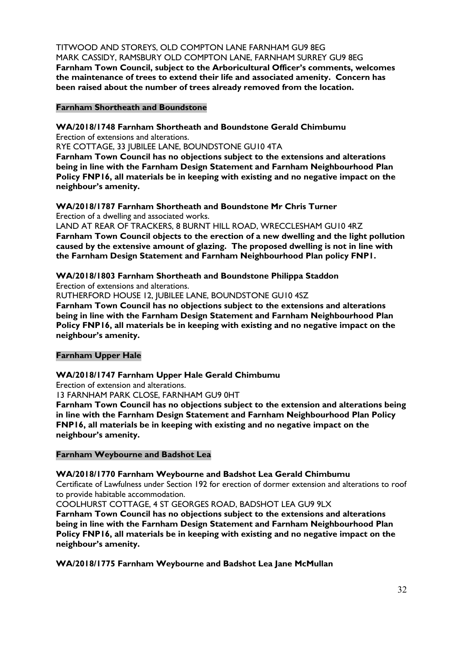TITWOOD AND STOREYS, OLD COMPTON LANE FARNHAM GU9 8EG MARK CASSIDY, RAMSBURY OLD COMPTON LANE, FARNHAM SURREY GU9 8EG **Farnham Town Council, subject to the Arboricultural Officer's comments, welcomes the maintenance of trees to extend their life and associated amenity. Concern has been raised about the number of trees already removed from the location.**

#### **Farnham Shortheath and Boundstone**

**WA/2018/1748 Farnham Shortheath and Boundstone Gerald Chimbumu** Erection of extensions and alterations.

RYE COTTAGE, 33 JUBILEE LANE, BOUNDSTONE GU10 4TA

**Farnham Town Council has no objections subject to the extensions and alterations being in line with the Farnham Design Statement and Farnham Neighbourhood Plan Policy FNP16, all materials be in keeping with existing and no negative impact on the neighbour's amenity.**

#### **WA/2018/1787 Farnham Shortheath and Boundstone Mr Chris Turner** Erection of a dwelling and associated works.

LAND AT REAR OF TRACKERS, 8 BURNT HILL ROAD, WRECCLESHAM GU10 4RZ **Farnham Town Council objects to the erection of a new dwelling and the light pollution caused by the extensive amount of glazing. The proposed dwelling is not in line with the Farnham Design Statement and Farnham Neighbourhood Plan policy FNP1.**

#### **WA/2018/1803 Farnham Shortheath and Boundstone Philippa Staddon**

Erection of extensions and alterations.

RUTHERFORD HOUSE 12, JUBILEE LANE, BOUNDSTONE GU10 4SZ

**Farnham Town Council has no objections subject to the extensions and alterations being in line with the Farnham Design Statement and Farnham Neighbourhood Plan Policy FNP16, all materials be in keeping with existing and no negative impact on the neighbour's amenity.**

#### **Farnham Upper Hale**

#### **WA/2018/1747 Farnham Upper Hale Gerald Chimbumu**

Erection of extension and alterations.

13 FARNHAM PARK CLOSE, FARNHAM GU9 0HT

**Farnham Town Council has no objections subject to the extension and alterations being in line with the Farnham Design Statement and Farnham Neighbourhood Plan Policy FNP16, all materials be in keeping with existing and no negative impact on the neighbour's amenity.**

#### **Farnham Weybourne and Badshot Lea**

#### **WA/2018/1770 Farnham Weybourne and Badshot Lea Gerald Chimbumu**

Certificate of Lawfulness under Section 192 for erection of dormer extension and alterations to roof to provide habitable accommodation.

COOLHURST COTTAGE, 4 ST GEORGES ROAD, BADSHOT LEA GU9 9LX

**Farnham Town Council has no objections subject to the extensions and alterations being in line with the Farnham Design Statement and Farnham Neighbourhood Plan Policy FNP16, all materials be in keeping with existing and no negative impact on the neighbour's amenity.**

**WA/2018/1775 Farnham Weybourne and Badshot Lea Jane McMullan**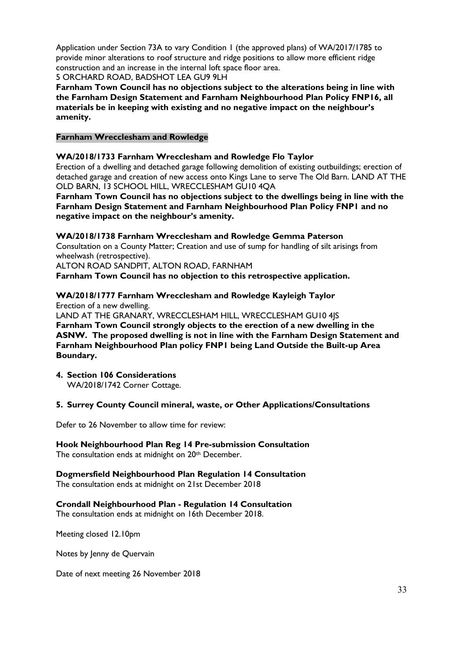Application under Section 73A to vary Condition 1 (the approved plans) of WA/2017/1785 to provide minor alterations to roof structure and ridge positions to allow more efficient ridge construction and an increase in the internal loft space floor area.

5 ORCHARD ROAD, BADSHOT LEA GU9 9LH

**Farnham Town Council has no objections subject to the alterations being in line with the Farnham Design Statement and Farnham Neighbourhood Plan Policy FNP16, all materials be in keeping with existing and no negative impact on the neighbour's amenity.**

#### **Farnham Wrecclesham and Rowledge**

#### **WA/2018/1733 Farnham Wrecclesham and Rowledge Flo Taylor**

Erection of a dwelling and detached garage following demolition of existing outbuildings; erection of detached garage and creation of new access onto Kings Lane to serve The Old Barn. LAND AT THE OLD BARN, 13 SCHOOL HILL, WRECCLESHAM GU10 4QA

**Farnham Town Council has no objections subject to the dwellings being in line with the Farnham Design Statement and Farnham Neighbourhood Plan Policy FNP1 and no negative impact on the neighbour's amenity.** 

**WA/2018/1738 Farnham Wrecclesham and Rowledge Gemma Paterson** Consultation on a County Matter; Creation and use of sump for handling of silt arisings from wheelwash (retrospective). ALTON ROAD SANDPIT, ALTON ROAD, FARNHAM **Farnham Town Council has no objection to this retrospective application.**

#### **WA/2018/1777 Farnham Wrecclesham and Rowledge Kayleigh Taylor**

Erection of a new dwelling. LAND AT THE GRANARY, WRECCLESHAM HILL, WRECCLESHAM GU10 4JS **Farnham Town Council strongly objects to the erection of a new dwelling in the ASNW. The proposed dwelling is not in line with the Farnham Design Statement and Farnham Neighbourhood Plan policy FNP1 being Land Outside the Built-up Area Boundary.**

**4. Section 106 Considerations**  WA/2018/1742 Corner Cottage.

#### **5. Surrey County Council mineral, waste, or Other Applications/Consultations**

Defer to 26 November to allow time for review:

**Hook Neighbourhood Plan Reg 14 Pre-submission Consultation** The consultation ends at midnight on 20th December.

**Dogmersfield Neighbourhood Plan Regulation 14 Consultation** The consultation ends at midnight on 21st December 2018

#### **Crondall Neighbourhood Plan - Regulation 14 Consultation** The consultation ends at midnight on 16th December 2018.

Meeting closed 12.10pm

Notes by Jenny de Quervain

Date of next meeting 26 November 2018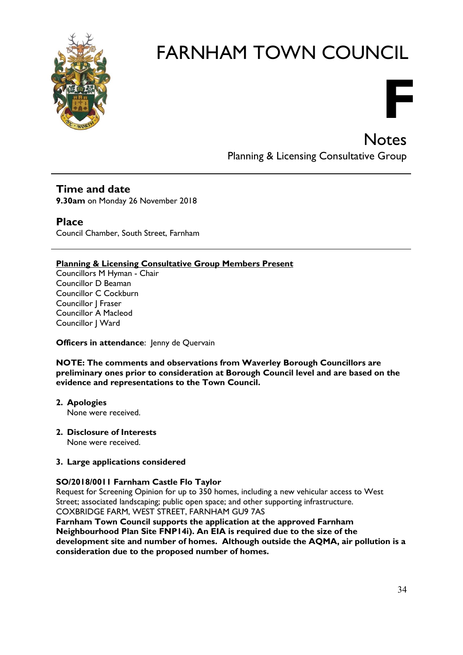

Planning & Licensing Consultative Group

**F**

**Notes** 

#### **Time and date**

**9.30am** on Monday 26 November 2018

#### **Place**

Council Chamber, South Street, Farnham

#### **Planning & Licensing Consultative Group Members Present**

Councillors M Hyman - Chair Councillor D Beaman Councillor C Cockburn Councillor J Fraser Councillor A Macleod Councillor J Ward

#### **Officers in attendance:** Jenny de Quervain

#### **NOTE: The comments and observations from Waverley Borough Councillors are preliminary ones prior to consideration at Borough Council level and are based on the evidence and representations to the Town Council.**

**2. Apologies**

None were received.

**2. Disclosure of Interests** None were received.

#### **3. Large applications considered**

#### **SO/2018/0011 Farnham Castle Flo Taylor**

Request for Screening Opinion for up to 350 homes, including a new vehicular access to West Street; associated landscaping; public open space; and other supporting infrastructure. COXBRIDGE FARM, WEST STREET, FARNHAM GU9 7AS

**Farnham Town Council supports the application at the approved Farnham Neighbourhood Plan Site FNP14i). An EIA is required due to the size of the development site and number of homes. Although outside the AQMA, air pollution is a consideration due to the proposed number of homes.**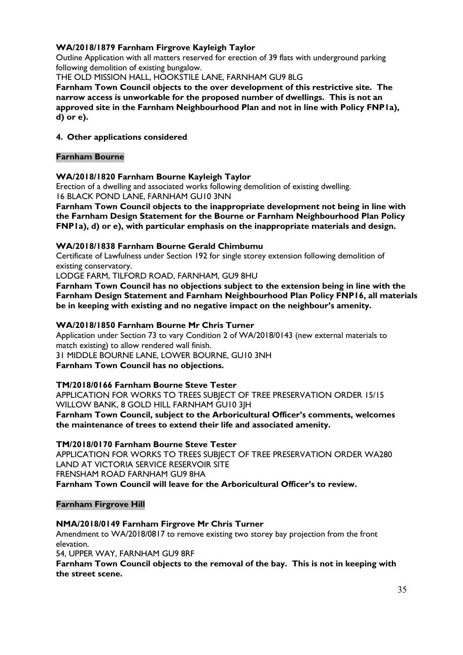#### **WA/2018/1879 Farnham Firgrove Kayleigh Taylor**

Outline Application with all matters reserved for erection of 39 flats with underground parking following demolition of existing bungalow.

THE OLD MISSION HALL, HOOKSTILE LANE, FARNHAM GU9 8LG

**Farnham Town Council objects to the over development of this restrictive site. The narrow access is unworkable for the proposed number of dwellings. This is not an approved site in the Farnham Neighbourhood Plan and not in line with Policy FNP1a), d) or e).**

#### **4. Other applications considered**

#### **Farnham Bourne**

#### **WA/2018/1820 Farnham Bourne Kayleigh Taylor**

Erection of a dwelling and associated works following demolition of existing dwelling. 16 BLACK POND LANE, FARNHAM GU10 3NN

**Farnham Town Council objects to the inappropriate development not being in line with the Farnham Design Statement for the Bourne or Farnham Neighbourhood Plan Policy FNP1a), d) or e), with particular emphasis on the inappropriate materials and design.**

#### **WA/2018/1838 Farnham Bourne Gerald Chimbumu**

Certificate of Lawfulness under Section 192 for single storey extension following demolition of existing conservatory.

LODGE FARM, TILFORD ROAD, FARNHAM, GU9 8HU

**Farnham Town Council has no objections subject to the extension being in line with the Farnham Design Statement and Farnham Neighbourhood Plan Policy FNP16, all materials be in keeping with existing and no negative impact on the neighbour's amenity.**

#### **WA/2018/1850 Farnham Bourne Mr Chris Turner**

Application under Section 73 to vary Condition 2 of WA/2018/0143 (new external materials to match existing) to allow rendered wall finish.

31 MIDDLE BOURNE LANE, LOWER BOURNE, GU10 3NH

**Farnham Town Council has no objections.**

#### **TM/2018/0166 Farnham Bourne Steve Tester**

APPLICATION FOR WORKS TO TREES SUBJECT OF TREE PRESERVATION ORDER 15/15 WILLOW BANK, 8 GOLD HILL FARNHAM GU10 3JH **Farnham Town Council, subject to the Arboricultural Officer's comments, welcomes the maintenance of trees to extend their life and associated amenity.**

#### **TM/2018/0170 Farnham Bourne Steve Tester**

APPLICATION FOR WORKS TO TREES SUBJECT OF TREE PRESERVATION ORDER WA280 LAND AT VICTORIA SERVICE RESERVOIR SITE FRENSHAM ROAD FARNHAM GU9 8HA **Farnham Town Council will leave for the Arboricultural Officer's to review.**

**Farnham Firgrove Hill**

#### **NMA/2018/0149 Farnham Firgrove Mr Chris Turner**

Amendment to WA/2018/0817 to remove existing two storey bay projection from the front elevation.

54, UPPER WAY, FARNHAM GU9 8RF

**Farnham Town Council objects to the removal of the bay. This is not in keeping with the street scene.**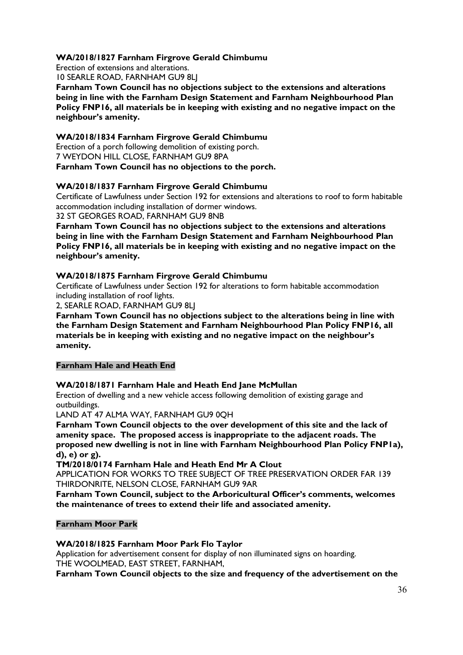#### **WA/2018/1827 Farnham Firgrove Gerald Chimbumu**

Erection of extensions and alterations.

10 SEARLE ROAD, FARNHAM GU9 8LJ

**Farnham Town Council has no objections subject to the extensions and alterations being in line with the Farnham Design Statement and Farnham Neighbourhood Plan Policy FNP16, all materials be in keeping with existing and no negative impact on the neighbour's amenity.**

#### **WA/2018/1834 Farnham Firgrove Gerald Chimbumu**

Erection of a porch following demolition of existing porch. 7 WEYDON HILL CLOSE, FARNHAM GU9 8PA **Farnham Town Council has no objections to the porch.**

#### **WA/2018/1837 Farnham Firgrove Gerald Chimbumu**

Certificate of Lawfulness under Section 192 for extensions and alterations to roof to form habitable accommodation including installation of dormer windows.

32 ST GEORGES ROAD, FARNHAM GU9 8NB

**Farnham Town Council has no objections subject to the extensions and alterations being in line with the Farnham Design Statement and Farnham Neighbourhood Plan Policy FNP16, all materials be in keeping with existing and no negative impact on the neighbour's amenity.**

#### **WA/2018/1875 Farnham Firgrove Gerald Chimbumu**

Certificate of Lawfulness under Section 192 for alterations to form habitable accommodation including installation of roof lights.

2, SEARLE ROAD, FARNHAM GU9 8LJ

**Farnham Town Council has no objections subject to the alterations being in line with the Farnham Design Statement and Farnham Neighbourhood Plan Policy FNP16, all materials be in keeping with existing and no negative impact on the neighbour's amenity.**

#### **Farnham Hale and Heath End**

#### **WA/2018/1871 Farnham Hale and Heath End Jane McMullan**

Erection of dwelling and a new vehicle access following demolition of existing garage and outbuildings.

LAND AT 47 ALMA WAY, FARNHAM GU9 0QH

**Farnham Town Council objects to the over development of this site and the lack of amenity space. The proposed access is inappropriate to the adjacent roads. The proposed new dwelling is not in line with Farnham Neighbourhood Plan Policy FNP1a), d), e) or g).**

#### **TM/2018/0174 Farnham Hale and Heath End Mr A Clout**

APPLICATION FOR WORKS TO TREE SUBIECT OF TREE PRESERVATION ORDER FAR 139 THIRDONRITE, NELSON CLOSE, FARNHAM GU9 9AR

**Farnham Town Council, subject to the Arboricultural Officer's comments, welcomes the maintenance of trees to extend their life and associated amenity.**

#### **Farnham Moor Park**

#### **WA/2018/1825 Farnham Moor Park Flo Taylor**

Application for advertisement consent for display of non illuminated signs on hoarding. THE WOOLMEAD, EAST STREET, FARNHAM,

**Farnham Town Council objects to the size and frequency of the advertisement on the**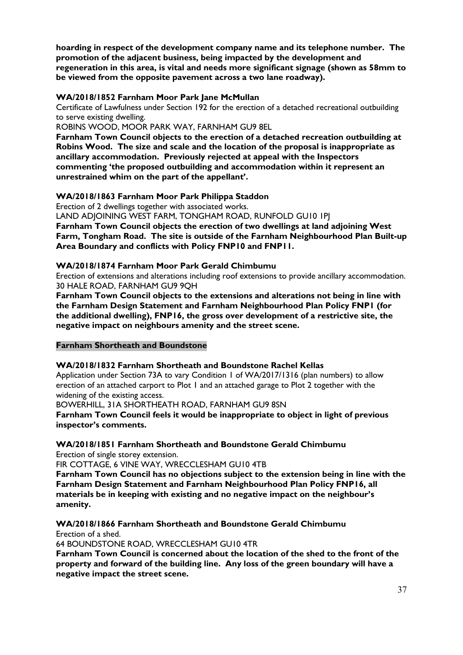**hoarding in respect of the development company name and its telephone number. The promotion of the adjacent business, being impacted by the development and regeneration in this area, is vital and needs more significant signage (shown as 58mm to be viewed from the opposite pavement across a two lane roadway).**

#### **WA/2018/1852 Farnham Moor Park Jane McMullan**

Certificate of Lawfulness under Section 192 for the erection of a detached recreational outbuilding to serve existing dwelling.

ROBINS WOOD, MOOR PARK WAY, FARNHAM GU9 8EL

**Farnham Town Council objects to the erection of a detached recreation outbuilding at Robins Wood. The size and scale and the location of the proposal is inappropriate as ancillary accommodation. Previously rejected at appeal with the Inspectors commenting 'the proposed outbuilding and accommodation within it represent an unrestrained whim on the part of the appellant'.**

#### **WA/2018/1863 Farnham Moor Park Philippa Staddon**

Erection of 2 dwellings together with associated works.

LAND ADJOINING WEST FARM, TONGHAM ROAD, RUNFOLD GU10 1PJ

**Farnham Town Council objects the erection of two dwellings at land adjoining West Farm, Tongham Road. The site is outside of the Farnham Neighbourhood Plan Built-up Area Boundary and conflicts with Policy FNP10 and FNP11.**

#### **WA/2018/1874 Farnham Moor Park Gerald Chimbumu**

Erection of extensions and alterations including roof extensions to provide ancillary accommodation. 30 HALE ROAD, FARNHAM GU9 9QH

**Farnham Town Council objects to the extensions and alterations not being in line with the Farnham Design Statement and Farnham Neighbourhood Plan Policy FNP1 (for the additional dwelling), FNP16, the gross over development of a restrictive site, the negative impact on neighbours amenity and the street scene.**

#### **Farnham Shortheath and Boundstone**

#### **WA/2018/1832 Farnham Shortheath and Boundstone Rachel Kellas**

Application under Section 73A to vary Condition 1 of WA/2017/1316 (plan numbers) to allow erection of an attached carport to Plot 1 and an attached garage to Plot 2 together with the widening of the existing access.

BOWERHILL, 31A SHORTHEATH ROAD, FARNHAM GU9 8SN

**Farnham Town Council feels it would be inappropriate to object in light of previous inspector's comments.**

**WA/2018/1851 Farnham Shortheath and Boundstone Gerald Chimbumu** Erection of single storey extension.

FIR COTTAGE, 6 VINE WAY, WRECCLESHAM GU10 4TB

**Farnham Town Council has no objections subject to the extension being in line with the Farnham Design Statement and Farnham Neighbourhood Plan Policy FNP16, all materials be in keeping with existing and no negative impact on the neighbour's amenity.**

#### **WA/2018/1866 Farnham Shortheath and Boundstone Gerald Chimbumu** Erection of a shed.

64 BOUNDSTONE ROAD, WRECCLESHAM GU10 4TR

**Farnham Town Council is concerned about the location of the shed to the front of the property and forward of the building line. Any loss of the green boundary will have a negative impact the street scene.**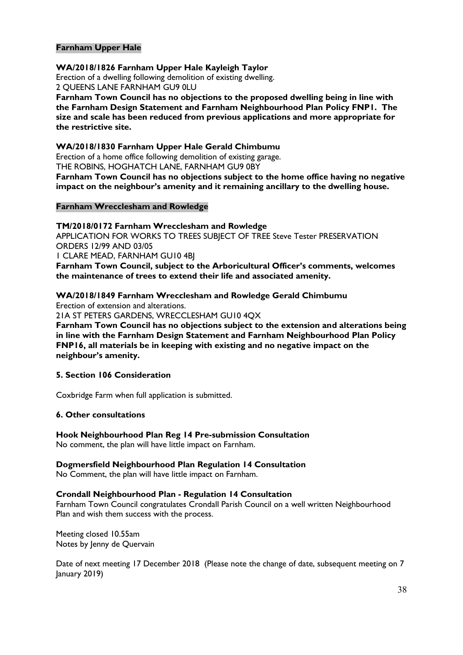#### **Farnham Upper Hale**

#### **WA/2018/1826 Farnham Upper Hale Kayleigh Taylor**

Erection of a dwelling following demolition of existing dwelling. 2 QUEENS LANE FARNHAM GU9 0LU

**Farnham Town Council has no objections to the proposed dwelling being in line with the Farnham Design Statement and Farnham Neighbourhood Plan Policy FNP1. The size and scale has been reduced from previous applications and more appropriate for the restrictive site.**

#### **WA/2018/1830 Farnham Upper Hale Gerald Chimbumu**

Erection of a home office following demolition of existing garage. THE ROBINS, HOGHATCH LANE, FARNHAM GU9 0BY **Farnham Town Council has no objections subject to the home office having no negative impact on the neighbour's amenity and it remaining ancillary to the dwelling house.**

#### **Farnham Wrecclesham and Rowledge**

#### **TM/2018/0172 Farnham Wrecclesham and Rowledge**

APPLICATION FOR WORKS TO TREES SUBJECT OF TREE Steve Tester PRESERVATION ORDERS 12/99 AND 03/05

1 CLARE MEAD, FARNHAM GU10 4BJ

**Farnham Town Council, subject to the Arboricultural Officer's comments, welcomes the maintenance of trees to extend their life and associated amenity.**

#### **WA/2018/1849 Farnham Wrecclesham and Rowledge Gerald Chimbumu**

Erection of extension and alterations.

21A ST PETERS GARDENS, WRECCLESHAM GU10 4QX

**Farnham Town Council has no objections subject to the extension and alterations being in line with the Farnham Design Statement and Farnham Neighbourhood Plan Policy FNP16, all materials be in keeping with existing and no negative impact on the neighbour's amenity.**

#### **5. Section 106 Consideration**

Coxbridge Farm when full application is submitted.

#### **6. Other consultations**

#### **Hook Neighbourhood Plan Reg 14 Pre-submission Consultation**

No comment, the plan will have little impact on Farnham.

#### **Dogmersfield Neighbourhood Plan Regulation 14 Consultation**

No Comment, the plan will have little impact on Farnham.

#### **Crondall Neighbourhood Plan - Regulation 14 Consultation**

Farnham Town Council congratulates Crondall Parish Council on a well written Neighbourhood Plan and wish them success with the process.

Meeting closed 10.55am Notes by Jenny de Quervain

Date of next meeting 17 December 2018 (Please note the change of date, subsequent meeting on 7 January 2019)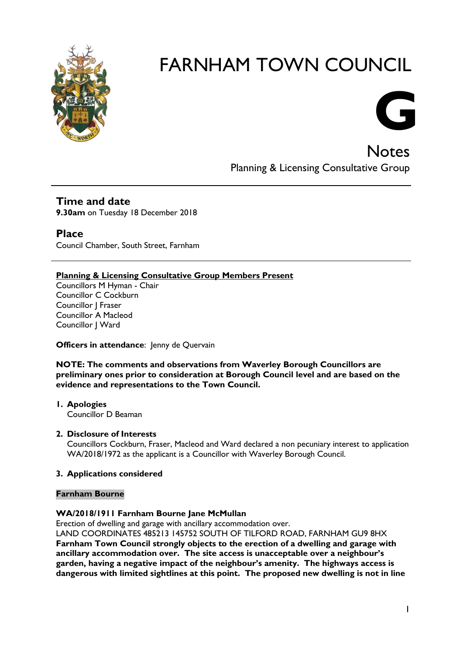



**Notes** Planning & Licensing Consultative Group

## **Time and date**

**9.30am** on Tuesday 18 December 2018

#### **Place**

Council Chamber, South Street, Farnham

#### **Planning & Licensing Consultative Group Members Present**

Councillors M Hyman - Chair Councillor C Cockburn Councillor J Fraser Councillor A Macleod Councillor J Ward

#### **Officers in attendance: Jenny de Quervain**

#### **NOTE: The comments and observations from Waverley Borough Councillors are preliminary ones prior to consideration at Borough Council level and are based on the evidence and representations to the Town Council.**

**1. Apologies** Councillor D Beaman

#### **2. Disclosure of Interests**

Councillors Cockburn, Fraser, Macleod and Ward declared a non pecuniary interest to application WA/2018/1972 as the applicant is a Councillor with Waverley Borough Council.

#### **3. Applications considered**

#### **Farnham Bourne**

#### **WA/2018/1911 Farnham Bourne Jane McMullan**

Erection of dwelling and garage with ancillary accommodation over.

LAND COORDINATES 485213 145752 SOUTH OF TILFORD ROAD, FARNHAM GU9 8HX **Farnham Town Council strongly objects to the erection of a dwelling and garage with ancillary accommodation over. The site access is unacceptable over a neighbour's garden, having a negative impact of the neighbour's amenity. The highways access is dangerous with limited sightlines at this point. The proposed new dwelling is not in line**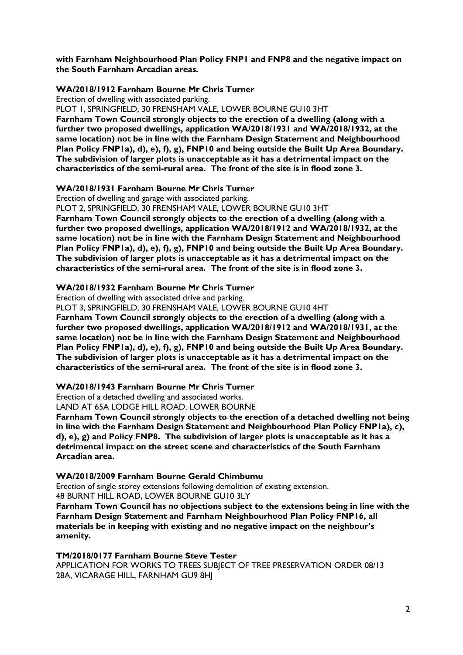**with Farnham Neighbourhood Plan Policy FNP1 and FNP8 and the negative impact on the South Farnham Arcadian areas.**

#### **WA/2018/1912 Farnham Bourne Mr Chris Turner**

Erection of dwelling with associated parking.

PLOT 1, SPRINGFIELD, 30 FRENSHAM VALE, LOWER BOURNE GU10 3HT **Farnham Town Council strongly objects to the erection of a dwelling (along with a further two proposed dwellings, application WA/2018/1931 and WA/2018/1932, at the same location) not be in line with the Farnham Design Statement and Neighbourhood Plan Policy FNP1a), d), e), f), g), FNP10 and being outside the Built Up Area Boundary. The subdivision of larger plots is unacceptable as it has a detrimental impact on the characteristics of the semi-rural area. The front of the site is in flood zone 3.**

#### **WA/2018/1931 Farnham Bourne Mr Chris Turner**

Erection of dwelling and garage with associated parking.

PLOT 2, SPRINGFIELD, 30 FRENSHAM VALE, LOWER BOURNE GU10 3HT

**Farnham Town Council strongly objects to the erection of a dwelling (along with a further two proposed dwellings, application WA/2018/1912 and WA/2018/1932, at the same location) not be in line with the Farnham Design Statement and Neighbourhood Plan Policy FNP1a), d), e), f), g), FNP10 and being outside the Built Up Area Boundary. The subdivision of larger plots is unacceptable as it has a detrimental impact on the characteristics of the semi-rural area. The front of the site is in flood zone 3.**

#### **WA/2018/1932 Farnham Bourne Mr Chris Turner**

Erection of dwelling with associated drive and parking.

PLOT 3, SPRINGFIELD, 30 FRENSHAM VALE, LOWER BOURNE GU10 4HT

**Farnham Town Council strongly objects to the erection of a dwelling (along with a further two proposed dwellings, application WA/2018/1912 and WA/2018/1931, at the same location) not be in line with the Farnham Design Statement and Neighbourhood Plan Policy FNP1a), d), e), f), g), FNP10 and being outside the Built Up Area Boundary. The subdivision of larger plots is unacceptable as it has a detrimental impact on the characteristics of the semi-rural area. The front of the site is in flood zone 3.**

#### **WA/2018/1943 Farnham Bourne Mr Chris Turner**

Erection of a detached dwelling and associated works.

LAND AT 65A LODGE HILL ROAD, LOWER BOURNE

**Farnham Town Council strongly objects to the erection of a detached dwelling not being in line with the Farnham Design Statement and Neighbourhood Plan Policy FNP1a), c), d), e), g) and Policy FNP8. The subdivision of larger plots is unacceptable as it has a detrimental impact on the street scene and characteristics of the South Farnham Arcadian area.**

#### **WA/2018/2009 Farnham Bourne Gerald Chimbumu**

Erection of single storey extensions following demolition of existing extension.

48 BURNT HILL ROAD, LOWER BOURNE GU10 3LY

**Farnham Town Council has no objections subject to the extensions being in line with the Farnham Design Statement and Farnham Neighbourhood Plan Policy FNP16, all materials be in keeping with existing and no negative impact on the neighbour's amenity.**

#### **TM/2018/0177 Farnham Bourne Steve Tester**

APPLICATION FOR WORKS TO TREES SUBJECT OF TREE PRESERVATION ORDER 08/13 28A, VICARAGE HILL, FARNHAM GU9 8HJ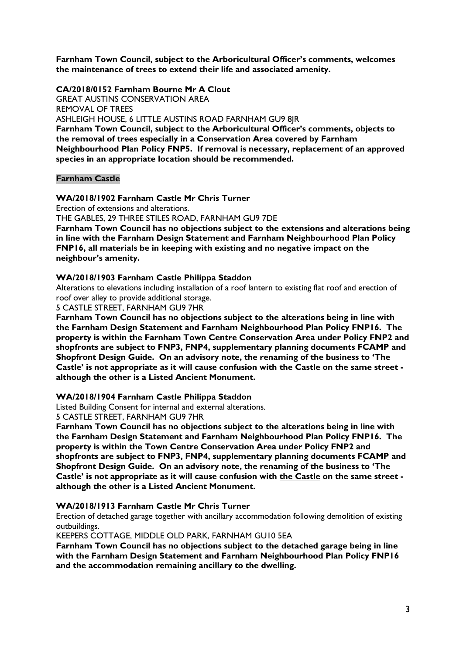**Farnham Town Council, subject to the Arboricultural Officer's comments, welcomes the maintenance of trees to extend their life and associated amenity.**

#### **CA/2018/0152 Farnham Bourne Mr A Clout**

GREAT AUSTINS CONSERVATION AREA REMOVAL OF TREES ASHLEIGH HOUSE, 6 LITTLE AUSTINS ROAD FARNHAM GU9 8JR **Farnham Town Council, subject to the Arboricultural Officer's comments, objects to the removal of trees especially in a Conservation Area covered by Farnham Neighbourhood Plan Policy FNP5. If removal is necessary, replacement of an approved species in an appropriate location should be recommended.**

#### **Farnham Castle**

#### **WA/2018/1902 Farnham Castle Mr Chris Turner**

Erection of extensions and alterations.

THE GABLES, 29 THREE STILES ROAD, FARNHAM GU9 7DE

**Farnham Town Council has no objections subject to the extensions and alterations being in line with the Farnham Design Statement and Farnham Neighbourhood Plan Policy FNP16, all materials be in keeping with existing and no negative impact on the neighbour's amenity.**

#### **WA/2018/1903 Farnham Castle Philippa Staddon**

Alterations to elevations including installation of a roof lantern to existing flat roof and erection of roof over alley to provide additional storage.

5 CASTLE STREET, FARNHAM GU9 7HR

**Farnham Town Council has no objections subject to the alterations being in line with the Farnham Design Statement and Farnham Neighbourhood Plan Policy FNP16. The property is within the Farnham Town Centre Conservation Area under Policy FNP2 and shopfronts are subject to FNP3, FNP4, supplementary planning documents FCAMP and Shopfront Design Guide. On an advisory note, the renaming of the business to 'The Castle' is not appropriate as it will cause confusion with the Castle on the same street although the other is a Listed Ancient Monument.**

#### **WA/2018/1904 Farnham Castle Philippa Staddon**

Listed Building Consent for internal and external alterations.

5 CASTLE STREET, FARNHAM GU9 7HR

**Farnham Town Council has no objections subject to the alterations being in line with the Farnham Design Statement and Farnham Neighbourhood Plan Policy FNP16. The property is within the Town Centre Conservation Area under Policy FNP2 and shopfronts are subject to FNP3, FNP4, supplementary planning documents FCAMP and Shopfront Design Guide. On an advisory note, the renaming of the business to 'The Castle' is not appropriate as it will cause confusion with the Castle on the same street although the other is a Listed Ancient Monument.**

#### **WA/2018/1913 Farnham Castle Mr Chris Turner**

Erection of detached garage together with ancillary accommodation following demolition of existing outbuildings.

KEEPERS COTTAGE, MIDDLE OLD PARK, FARNHAM GU10 5EA

**Farnham Town Council has no objections subject to the detached garage being in line with the Farnham Design Statement and Farnham Neighbourhood Plan Policy FNP16 and the accommodation remaining ancillary to the dwelling.**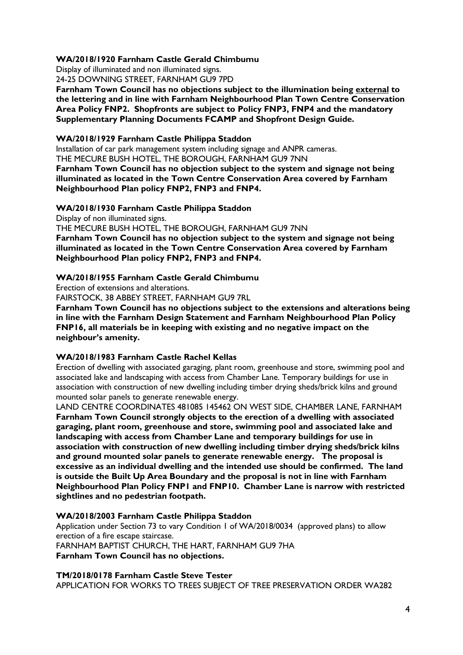#### **WA/2018/1920 Farnham Castle Gerald Chimbumu**

Display of illuminated and non illuminated signs.

24-25 DOWNING STREET, FARNHAM GU9 7PD

**Farnham Town Council has no objections subject to the illumination being external to the lettering and in line with Farnham Neighbourhood Plan Town Centre Conservation Area Policy FNP2. Shopfronts are subject to Policy FNP3, FNP4 and the mandatory Supplementary Planning Documents FCAMP and Shopfront Design Guide.**

#### **WA/2018/1929 Farnham Castle Philippa Staddon**

Installation of car park management system including signage and ANPR cameras. THE MECURE BUSH HOTEL, THE BOROUGH, FARNHAM GU9 7NN

**Farnham Town Council has no objection subject to the system and signage not being illuminated as located in the Town Centre Conservation Area covered by Farnham Neighbourhood Plan policy FNP2, FNP3 and FNP4.**

**WA/2018/1930 Farnham Castle Philippa Staddon**

Display of non illuminated signs.

THE MECURE BUSH HOTEL, THE BOROUGH, FARNHAM GU9 7NN

**Farnham Town Council has no objection subject to the system and signage not being illuminated as located in the Town Centre Conservation Area covered by Farnham Neighbourhood Plan policy FNP2, FNP3 and FNP4.**

#### **WA/2018/1955 Farnham Castle Gerald Chimbumu**

Erection of extensions and alterations.

FAIRSTOCK, 38 ABBEY STREET, FARNHAM GU9 7RL

**Farnham Town Council has no objections subject to the extensions and alterations being in line with the Farnham Design Statement and Farnham Neighbourhood Plan Policy FNP16, all materials be in keeping with existing and no negative impact on the neighbour's amenity.**

#### **WA/2018/1983 Farnham Castle Rachel Kellas**

Erection of dwelling with associated garaging, plant room, greenhouse and store, swimming pool and associated lake and landscaping with access from Chamber Lane. Temporary buildings for use in association with construction of new dwelling including timber drying sheds/brick kilns and ground mounted solar panels to generate renewable energy.

LAND CENTRE COORDINATES 481085 145462 ON WEST SIDE, CHAMBER LANE, FARNHAM **Farnham Town Council strongly objects to the erection of a dwelling with associated garaging, plant room, greenhouse and store, swimming pool and associated lake and landscaping with access from Chamber Lane and temporary buildings for use in association with construction of new dwelling including timber drying sheds/brick kilns and ground mounted solar panels to generate renewable energy. The proposal is excessive as an individual dwelling and the intended use should be confirmed. The land is outside the Built Up Area Boundary and the proposal is not in line with Farnham Neighbourhood Plan Policy FNP1 and FNP10. Chamber Lane is narrow with restricted sightlines and no pedestrian footpath.**

#### **WA/2018/2003 Farnham Castle Philippa Staddon**

Application under Section 73 to vary Condition 1 of WA/2018/0034 (approved plans) to allow erection of a fire escape staircase.

FARNHAM BAPTIST CHURCH, THE HART, FARNHAM GU9 7HA **Farnham Town Council has no objections.**

**TM/2018/0178 Farnham Castle Steve Tester**

APPLICATION FOR WORKS TO TREES SUBJECT OF TREE PRESERVATION ORDER WA282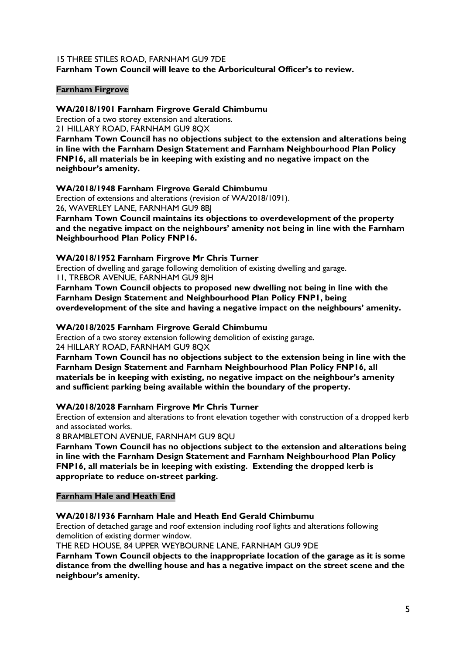#### 15 THREE STILES ROAD, FARNHAM GU9 7DE **Farnham Town Council will leave to the Arboricultural Officer's to review.**

#### **Farnham Firgrove**

**WA/2018/1901 Farnham Firgrove Gerald Chimbumu**

Erection of a two storey extension and alterations.

21 HILLARY ROAD, FARNHAM GU9 8QX

**Farnham Town Council has no objections subject to the extension and alterations being in line with the Farnham Design Statement and Farnham Neighbourhood Plan Policy FNP16, all materials be in keeping with existing and no negative impact on the neighbour's amenity.**

**WA/2018/1948 Farnham Firgrove Gerald Chimbumu**

Erection of extensions and alterations (revision of WA/2018/1091). 26, WAVERLEY LANE, FARNHAM GU9 8BJ

**Farnham Town Council maintains its objections to overdevelopment of the property and the negative impact on the neighbours' amenity not being in line with the Farnham Neighbourhood Plan Policy FNP16.**

#### **WA/2018/1952 Farnham Firgrove Mr Chris Turner**

Erection of dwelling and garage following demolition of existing dwelling and garage. 11, TREBOR AVENUE, FARNHAM GU9 8JH

**Farnham Town Council objects to proposed new dwelling not being in line with the Farnham Design Statement and Neighbourhood Plan Policy FNP1, being** 

**overdevelopment of the site and having a negative impact on the neighbours' amenity.**

#### **WA/2018/2025 Farnham Firgrove Gerald Chimbumu**

Erection of a two storey extension following demolition of existing garage. 24 HILLARY ROAD, FARNHAM GU9 8QX

**Farnham Town Council has no objections subject to the extension being in line with the Farnham Design Statement and Farnham Neighbourhood Plan Policy FNP16, all materials be in keeping with existing, no negative impact on the neighbour's amenity and sufficient parking being available within the boundary of the property.**

#### **WA/2018/2028 Farnham Firgrove Mr Chris Turner**

Erection of extension and alterations to front elevation together with construction of a dropped kerb and associated works.

8 BRAMBLETON AVENUE, FARNHAM GU9 8QU

**Farnham Town Council has no objections subject to the extension and alterations being in line with the Farnham Design Statement and Farnham Neighbourhood Plan Policy FNP16, all materials be in keeping with existing. Extending the dropped kerb is appropriate to reduce on-street parking.**

**Farnham Hale and Heath End**

#### **WA/2018/1936 Farnham Hale and Heath End Gerald Chimbumu**

Erection of detached garage and roof extension including roof lights and alterations following demolition of existing dormer window.

THE RED HOUSE, 84 UPPER WEYBOURNE LANE, FARNHAM GU9 9DE

**Farnham Town Council objects to the inappropriate location of the garage as it is some distance from the dwelling house and has a negative impact on the street scene and the neighbour's amenity.**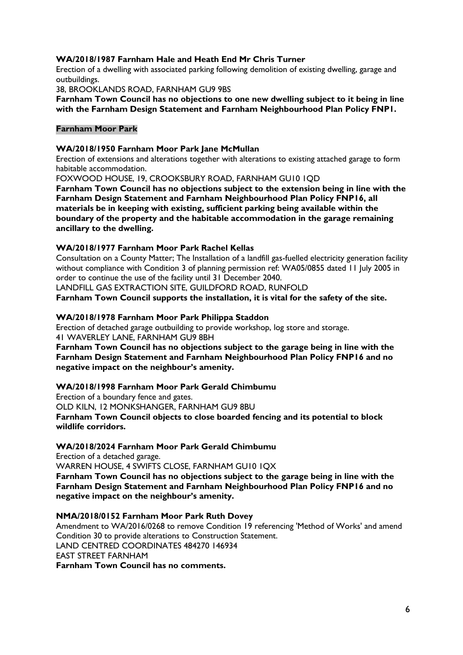#### **WA/2018/1987 Farnham Hale and Heath End Mr Chris Turner**

Erection of a dwelling with associated parking following demolition of existing dwelling, garage and outbuildings.

38, BROOKLANDS ROAD, FARNHAM GU9 9BS

**Farnham Town Council has no objections to one new dwelling subject to it being in line with the Farnham Design Statement and Farnham Neighbourhood Plan Policy FNP1.**

#### **Farnham Moor Park**

#### **WA/2018/1950 Farnham Moor Park Jane McMullan**

Erection of extensions and alterations together with alterations to existing attached garage to form habitable accommodation.

FOXWOOD HOUSE, 19, CROOKSBURY ROAD, FARNHAM GU10 1QD

**Farnham Town Council has no objections subject to the extension being in line with the Farnham Design Statement and Farnham Neighbourhood Plan Policy FNP16, all materials be in keeping with existing, sufficient parking being available within the boundary of the property and the habitable accommodation in the garage remaining ancillary to the dwelling.**

#### **WA/2018/1977 Farnham Moor Park Rachel Kellas**

Consultation on a County Matter; The Installation of a landfill gas-fuelled electricity generation facility without compliance with Condition 3 of planning permission ref: WA05/0855 dated 11 July 2005 in order to continue the use of the facility until 31 December 2040.

LANDFILL GAS EXTRACTION SITE, GUILDFORD ROAD, RUNFOLD

**Farnham Town Council supports the installation, it is vital for the safety of the site.**

#### **WA/2018/1978 Farnham Moor Park Philippa Staddon**

Erection of detached garage outbuilding to provide workshop, log store and storage. 41 WAVERLEY LANE, FARNHAM GU9 8BH

**Farnham Town Council has no objections subject to the garage being in line with the Farnham Design Statement and Farnham Neighbourhood Plan Policy FNP16 and no negative impact on the neighbour's amenity.**

#### **WA/2018/1998 Farnham Moor Park Gerald Chimbumu**

Erection of a boundary fence and gates.

OLD KILN, 12 MONKSHANGER, FARNHAM GU9 8BU

**Farnham Town Council objects to close boarded fencing and its potential to block wildlife corridors.**

#### **WA/2018/2024 Farnham Moor Park Gerald Chimbumu**

Erection of a detached garage.

WARREN HOUSE, 4 SWIFTS CLOSE, FARNHAM GU10 1QX

**Farnham Town Council has no objections subject to the garage being in line with the Farnham Design Statement and Farnham Neighbourhood Plan Policy FNP16 and no negative impact on the neighbour's amenity.**

#### **NMA/2018/0152 Farnham Moor Park Ruth Dovey**

Amendment to WA/2016/0268 to remove Condition 19 referencing 'Method of Works' and amend Condition 30 to provide alterations to Construction Statement. LAND CENTRED COORDINATES 484270 146934 EAST STREET FARNHAM **Farnham Town Council has no comments.**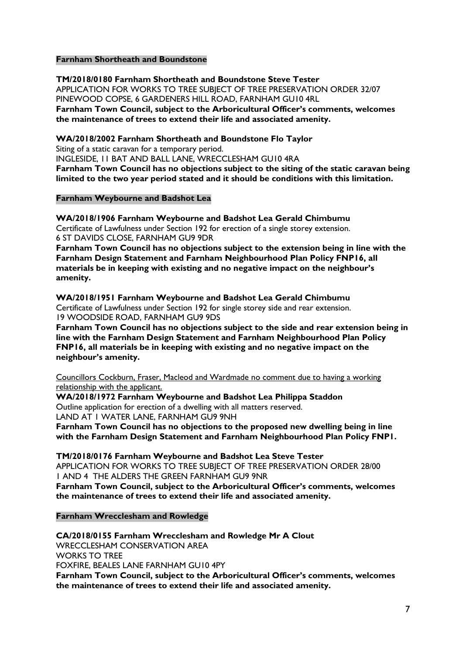#### **Farnham Shortheath and Boundstone**

**TM/2018/0180 Farnham Shortheath and Boundstone Steve Tester** APPLICATION FOR WORKS TO TREE SUBJECT OF TREE PRESERVATION ORDER 32/07 PINEWOOD COPSE, 6 GARDENERS HILL ROAD, FARNHAM GU10 4RL **Farnham Town Council, subject to the Arboricultural Officer's comments, welcomes the maintenance of trees to extend their life and associated amenity.**

**WA/2018/2002 Farnham Shortheath and Boundstone Flo Taylor**

Siting of a static caravan for a temporary period.

INGLESIDE, 11 BAT AND BALL LANE, WRECCLESHAM GU10 4RA

**Farnham Town Council has no objections subject to the siting of the static caravan being limited to the two year period stated and it should be conditions with this limitation.**

#### **Farnham Weybourne and Badshot Lea**

**WA/2018/1906 Farnham Weybourne and Badshot Lea Gerald Chimbumu** Certificate of Lawfulness under Section 192 for erection of a single storey extension. 6 ST DAVIDS CLOSE, FARNHAM GU9 9DR

**Farnham Town Council has no objections subject to the extension being in line with the Farnham Design Statement and Farnham Neighbourhood Plan Policy FNP16, all materials be in keeping with existing and no negative impact on the neighbour's amenity.**

**WA/2018/1951 Farnham Weybourne and Badshot Lea Gerald Chimbumu** Certificate of Lawfulness under Section 192 for single storey side and rear extension. 19 WOODSIDE ROAD, FARNHAM GU9 9DS

**Farnham Town Council has no objections subject to the side and rear extension being in line with the Farnham Design Statement and Farnham Neighbourhood Plan Policy FNP16, all materials be in keeping with existing and no negative impact on the neighbour's amenity.**

Councillors Cockburn, Fraser, Macleod and Wardmade no comment due to having a working relationship with the applicant.

**WA/2018/1972 Farnham Weybourne and Badshot Lea Philippa Staddon** Outline application for erection of a dwelling with all matters reserved. LAND AT 1 WATER LANE, FARNHAM GU9 9NH

**Farnham Town Council has no objections to the proposed new dwelling being in line with the Farnham Design Statement and Farnham Neighbourhood Plan Policy FNP1.**

**TM/2018/0176 Farnham Weybourne and Badshot Lea Steve Tester** APPLICATION FOR WORKS TO TREE SUBJECT OF TREE PRESERVATION ORDER 28/00 1 AND 4 THE ALDERS THE GREEN FARNHAM GU9 9NR **Farnham Town Council, subject to the Arboricultural Officer's comments, welcomes** 

**the maintenance of trees to extend their life and associated amenity.**

**Farnham Wrecclesham and Rowledge**

**CA/2018/0155 Farnham Wrecclesham and Rowledge Mr A Clout** WRECCLESHAM CONSERVATION AREA WORKS TO TREE FOXFIRE, BEALES LANE FARNHAM GU10 4PY **Farnham Town Council, subject to the Arboricultural Officer's comments, welcomes the maintenance of trees to extend their life and associated amenity.**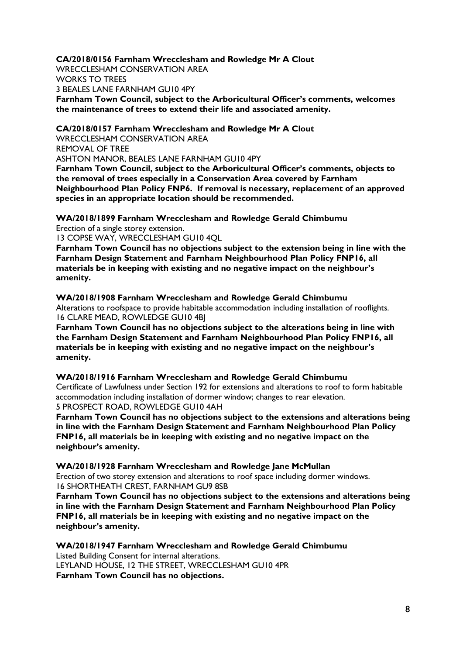**CA/2018/0156 Farnham Wrecclesham and Rowledge Mr A Clout** WRECCLESHAM CONSERVATION AREA WORKS TO TREES 3 BEALES LANE FARNHAM GU10 4PY **Farnham Town Council, subject to the Arboricultural Officer's comments, welcomes the maintenance of trees to extend their life and associated amenity.**

**CA/2018/0157 Farnham Wrecclesham and Rowledge Mr A Clout** WRECCLESHAM CONSERVATION AREA REMOVAL OF TREE ASHTON MANOR, BEALES LANE FARNHAM GU10 4PY **Farnham Town Council, subject to the Arboricultural Officer's comments, objects to** 

**the removal of trees especially in a Conservation Area covered by Farnham Neighbourhood Plan Policy FNP6. If removal is necessary, replacement of an approved species in an appropriate location should be recommended.**

**WA/2018/1899 Farnham Wrecclesham and Rowledge Gerald Chimbumu**

Erection of a single storey extension.

13 COPSE WAY, WRECCLESHAM GU10 4QL

**Farnham Town Council has no objections subject to the extension being in line with the Farnham Design Statement and Farnham Neighbourhood Plan Policy FNP16, all materials be in keeping with existing and no negative impact on the neighbour's amenity.**

**WA/2018/1908 Farnham Wrecclesham and Rowledge Gerald Chimbumu** Alterations to roofspace to provide habitable accommodation including installation of rooflights. 16 CLARE MEAD, ROWLEDGE GU10 4BJ

**Farnham Town Council has no objections subject to the alterations being in line with the Farnham Design Statement and Farnham Neighbourhood Plan Policy FNP16, all materials be in keeping with existing and no negative impact on the neighbour's amenity.**

**WA/2018/1916 Farnham Wrecclesham and Rowledge Gerald Chimbumu**

Certificate of Lawfulness under Section 192 for extensions and alterations to roof to form habitable accommodation including installation of dormer window; changes to rear elevation. 5 PROSPECT ROAD, ROWLEDGE GU10 4AH

**Farnham Town Council has no objections subject to the extensions and alterations being in line with the Farnham Design Statement and Farnham Neighbourhood Plan Policy FNP16, all materials be in keeping with existing and no negative impact on the neighbour's amenity.**

**WA/2018/1928 Farnham Wrecclesham and Rowledge Jane McMullan** Erection of two storey extension and alterations to roof space including dormer windows. 16 SHORTHEATH CREST, FARNHAM GU9 8SB

**Farnham Town Council has no objections subject to the extensions and alterations being in line with the Farnham Design Statement and Farnham Neighbourhood Plan Policy FNP16, all materials be in keeping with existing and no negative impact on the neighbour's amenity.**

**WA/2018/1947 Farnham Wrecclesham and Rowledge Gerald Chimbumu** Listed Building Consent for internal alterations. LEYLAND HOUSE, 12 THE STREET, WRECCLESHAM GU10 4PR **Farnham Town Council has no objections.**